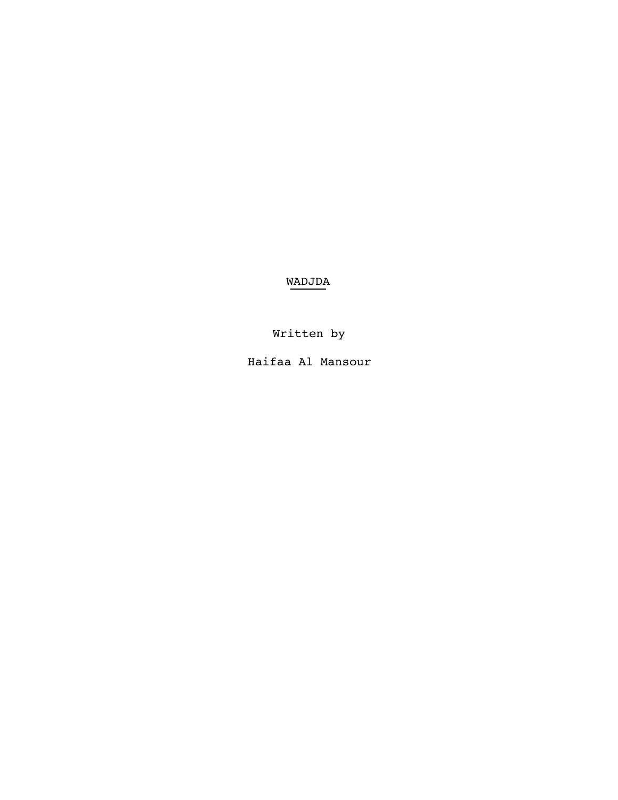WADJDA

Written by

Haifaa Al Mansour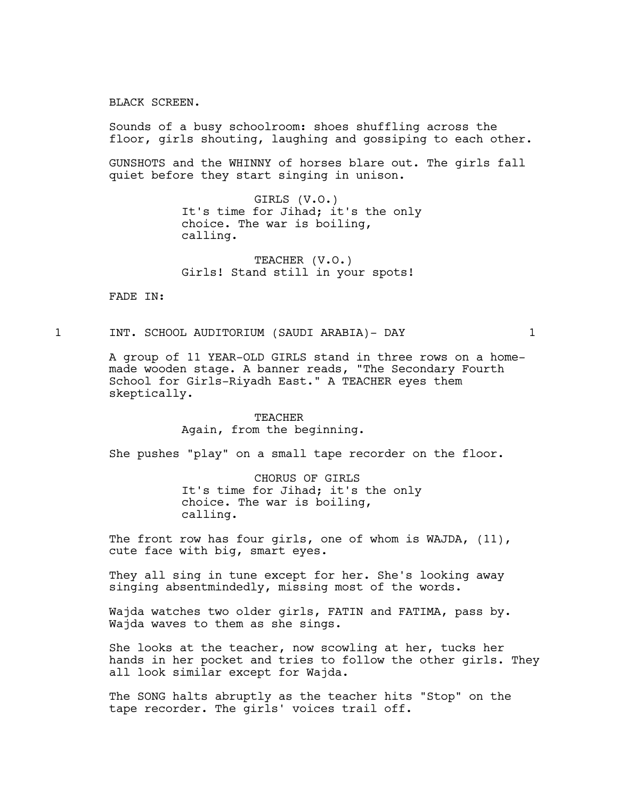BLACK SCREEN.

Sounds of a busy schoolroom: shoes shuffling across the floor, girls shouting, laughing and gossiping to each other.

GUNSHOTS and the WHINNY of horses blare out. The girls fall quiet before they start singing in unison.

> GIRLS (V.O.) It's time for Jihad; it's the only choice. The war is boiling, calling.

TEACHER (V.O.) Girls! Stand still in your spots!

FADE IN:

# 1 INT. SCHOOL AUDITORIUM (SAUDI ARABIA)- DAY 1

A group of 11 YEAR-OLD GIRLS stand in three rows on a homemade wooden stage. A banner reads, "The Secondary Fourth School for Girls-Riyadh East." A TEACHER eyes them skeptically.

> TEACHER Again, from the beginning.

She pushes "play" on a small tape recorder on the floor.

CHORUS OF GIRLS It's time for Jihad; it's the only choice. The war is boiling, calling.

The front row has four girls, one of whom is WAJDA, (11), cute face with big, smart eyes.

They all sing in tune except for her. She's looking away singing absentmindedly, missing most of the words.

Wajda watches two older girls, FATIN and FATIMA, pass by. Wajda waves to them as she sings.

She looks at the teacher, now scowling at her, tucks her hands in her pocket and tries to follow the other girls. They all look similar except for Wajda.

The SONG halts abruptly as the teacher hits "Stop" on the tape recorder. The girls' voices trail off.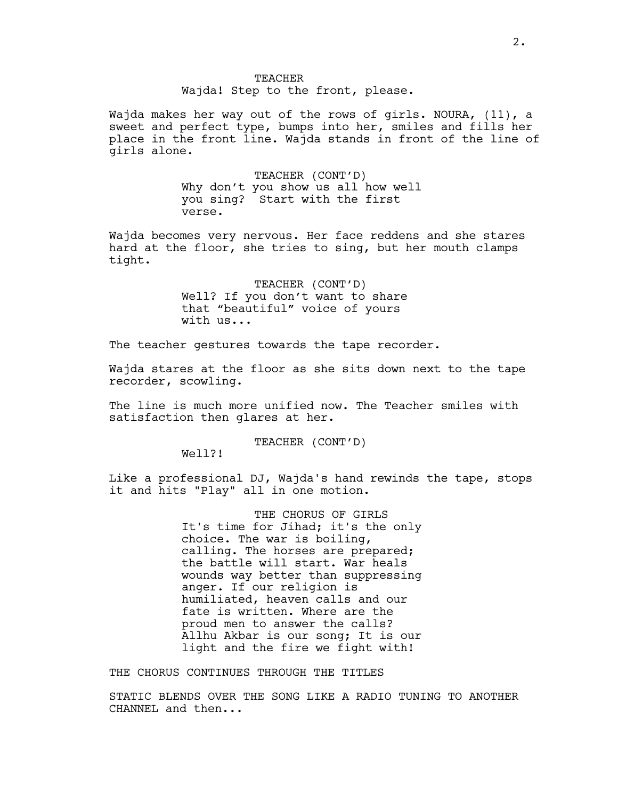Wajda! Step to the front, please.

Wajda makes her way out of the rows of girls. NOURA, (11), a sweet and perfect type, bumps into her, smiles and fills her place in the front line. Wajda stands in front of the line of girls alone.

> TEACHER (CONT'D) Why don't you show us all how well you sing? Start with the first verse.

Wajda becomes very nervous. Her face reddens and she stares hard at the floor, she tries to sing, but her mouth clamps tight.

> TEACHER (CONT'D) Well? If you don't want to share that "beautiful" voice of yours with us...

The teacher gestures towards the tape recorder.

Wajda stares at the floor as she sits down next to the tape recorder, scowling.

The line is much more unified now. The Teacher smiles with satisfaction then glares at her.

TEACHER (CONT'D)

Well?!

Like a professional DJ, Wajda's hand rewinds the tape, stops it and hits "Play" all in one motion.

> THE CHORUS OF GIRLS It's time for Jihad; it's the only choice. The war is boiling, calling. The horses are prepared; the battle will start. War heals wounds way better than suppressing anger. If our religion is humiliated, heaven calls and our fate is written. Where are the proud men to answer the calls? Allhu Akbar is our song; It is our light and the fire we fight with!

THE CHORUS CONTINUES THROUGH THE TITLES

STATIC BLENDS OVER THE SONG LIKE A RADIO TUNING TO ANOTHER CHANNEL and then...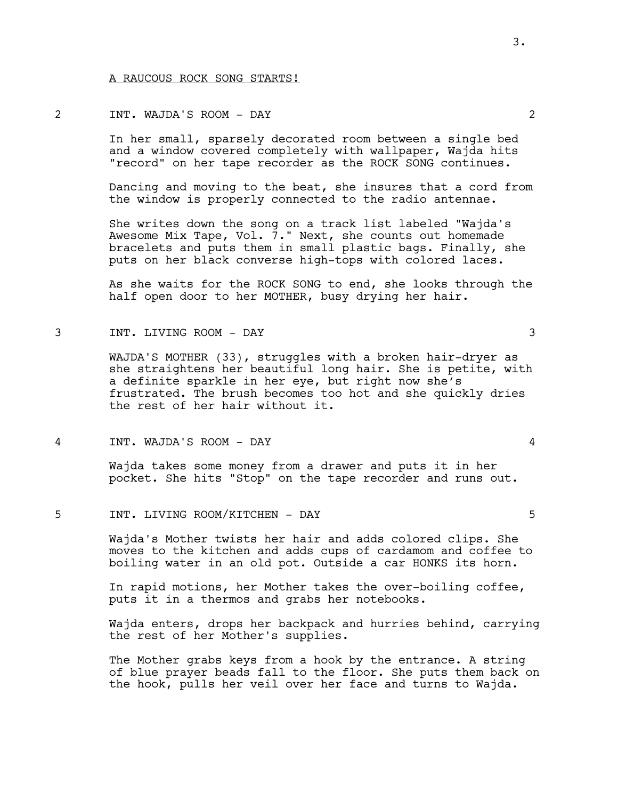#### A RAUCOUS ROCK SONG STARTS!

# 2 INT. WAJDA'S ROOM - DAY 2

In her small, sparsely decorated room between a single bed and a window covered completely with wallpaper, Wajda hits "record" on her tape recorder as the ROCK SONG continues.

Dancing and moving to the beat, she insures that a cord from the window is properly connected to the radio antennae.

She writes down the song on a track list labeled "Wajda's Awesome Mix Tape, Vol. 7." Next, she counts out homemade bracelets and puts them in small plastic bags. Finally, she puts on her black converse high-tops with colored laces.

As she waits for the ROCK SONG to end, she looks through the half open door to her MOTHER, busy drying her hair.

# 3 INT. LIVING ROOM - DAY 3

WAJDA'S MOTHER (33), struggles with a broken hair-dryer as she straightens her beautiful long hair. She is petite, with a definite sparkle in her eye, but right now she's frustrated. The brush becomes too hot and she quickly dries the rest of her hair without it.

#### 4 INT. WAJDA'S ROOM - DAY 4

Wajda takes some money from a drawer and puts it in her pocket. She hits "Stop" on the tape recorder and runs out.

#### 5 INT. LIVING ROOM/KITCHEN - DAY 5

Wajda's Mother twists her hair and adds colored clips. She moves to the kitchen and adds cups of cardamom and coffee to boiling water in an old pot. Outside a car HONKS its horn.

In rapid motions, her Mother takes the over-boiling coffee, puts it in a thermos and grabs her notebooks.

Wajda enters, drops her backpack and hurries behind, carrying the rest of her Mother's supplies.

The Mother grabs keys from a hook by the entrance. A string of blue prayer beads fall to the floor. She puts them back on the hook, pulls her veil over her face and turns to Wajda.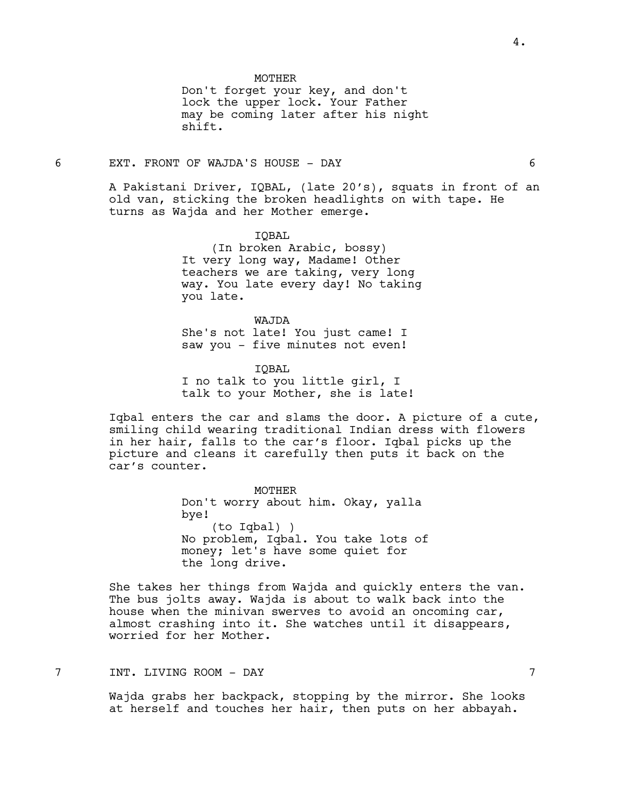**MOTHER** 

Don't forget your key, and don't lock the upper lock. Your Father may be coming later after his night shift.

#### 6 EXT. FRONT OF WAJDA'S HOUSE - DAY 6

A Pakistani Driver, IQBAL, (late 20's), squats in front of an old van, sticking the broken headlights on with tape. He turns as Wajda and her Mother emerge.

IQBAL

(In broken Arabic, bossy) It very long way, Madame! Other teachers we are taking, very long way. You late every day! No taking you late.

WAJDA She's not late! You just came! I saw you - five minutes not even!

IQBAL I no talk to you little girl, I talk to your Mother, she is late!

Iqbal enters the car and slams the door. A picture of a cute, smiling child wearing traditional Indian dress with flowers in her hair, falls to the car's floor. Iqbal picks up the picture and cleans it carefully then puts it back on the car's counter.

> MOTHER Don't worry about him. Okay, yalla bye! (to Iqbal) ) No problem, Iqbal. You take lots of money; let's have some quiet for the long drive.

She takes her things from Wajda and quickly enters the van. The bus jolts away. Wajda is about to walk back into the house when the minivan swerves to avoid an oncoming car, almost crashing into it. She watches until it disappears, worried for her Mother.

7 INT. LIVING ROOM - DAY 7

Wajda grabs her backpack, stopping by the mirror. She looks at herself and touches her hair, then puts on her abbayah.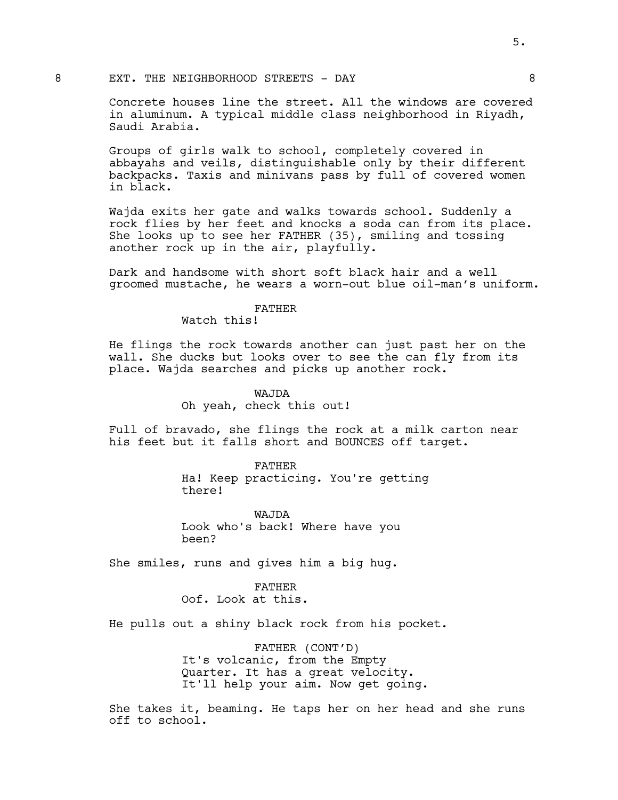#### 8 EXT. THE NEIGHBORHOOD STREETS - DAY 8

Concrete houses line the street. All the windows are covered in aluminum. A typical middle class neighborhood in Riyadh, Saudi Arabia.

Groups of girls walk to school, completely covered in abbayahs and veils, distinguishable only by their different backpacks. Taxis and minivans pass by full of covered women in black.

Wajda exits her gate and walks towards school. Suddenly a rock flies by her feet and knocks a soda can from its place. She looks up to see her FATHER (35), smiling and tossing another rock up in the air, playfully.

Dark and handsome with short soft black hair and a well groomed mustache, he wears a worn-out blue oil-man's uniform.

#### FATHER

Watch this!

He flings the rock towards another can just past her on the wall. She ducks but looks over to see the can fly from its place. Wajda searches and picks up another rock.

# WAJDA

Oh yeah, check this out!

Full of bravado, she flings the rock at a milk carton near his feet but it falls short and BOUNCES off target.

FATHER

Ha! Keep practicing. You're getting there!

WAJDA Look who's back! Where have you been?

She smiles, runs and gives him a big hug.

#### FATHER

Oof. Look at this.

He pulls out a shiny black rock from his pocket.

FATHER (CONT'D) It's volcanic, from the Empty Quarter. It has a great velocity. It'll help your aim. Now get going.

She takes it, beaming. He taps her on her head and she runs off to school.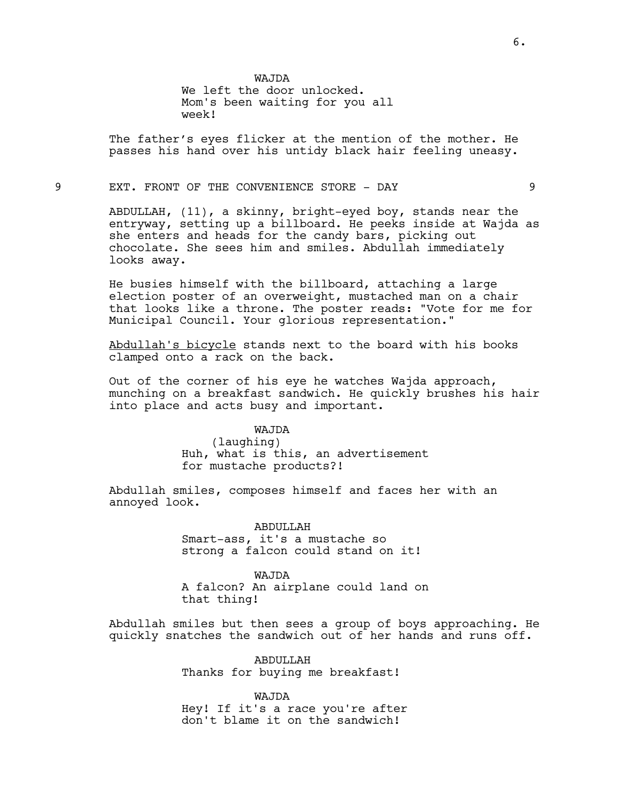WAJDA

We left the door unlocked. Mom's been waiting for you all week!

The father's eyes flicker at the mention of the mother. He passes his hand over his untidy black hair feeling uneasy.

9 EXT. FRONT OF THE CONVENIENCE STORE - DAY 9

ABDULLAH, (11), a skinny, bright-eyed boy, stands near the entryway, setting up a billboard. He peeks inside at Wajda as she enters and heads for the candy bars, picking out chocolate. She sees him and smiles. Abdullah immediately looks away.

He busies himself with the billboard, attaching a large election poster of an overweight, mustached man on a chair that looks like a throne. The poster reads: "Vote for me for Municipal Council. Your glorious representation."

Abdullah's bicycle stands next to the board with his books clamped onto a rack on the back.

Out of the corner of his eye he watches Wajda approach, munching on a breakfast sandwich. He quickly brushes his hair into place and acts busy and important.

WAJDA

(laughing) Huh, what is this, an advertisement for mustache products?!

Abdullah smiles, composes himself and faces her with an annoyed look.

> ABDULLAH Smart-ass, it's a mustache so strong a falcon could stand on it!

WAJDA A falcon? An airplane could land on that thing!

Abdullah smiles but then sees a group of boys approaching. He quickly snatches the sandwich out of her hands and runs off.

> ABDULLAH Thanks for buying me breakfast!

WAJDA Hey! If it's a race you're after don't blame it on the sandwich!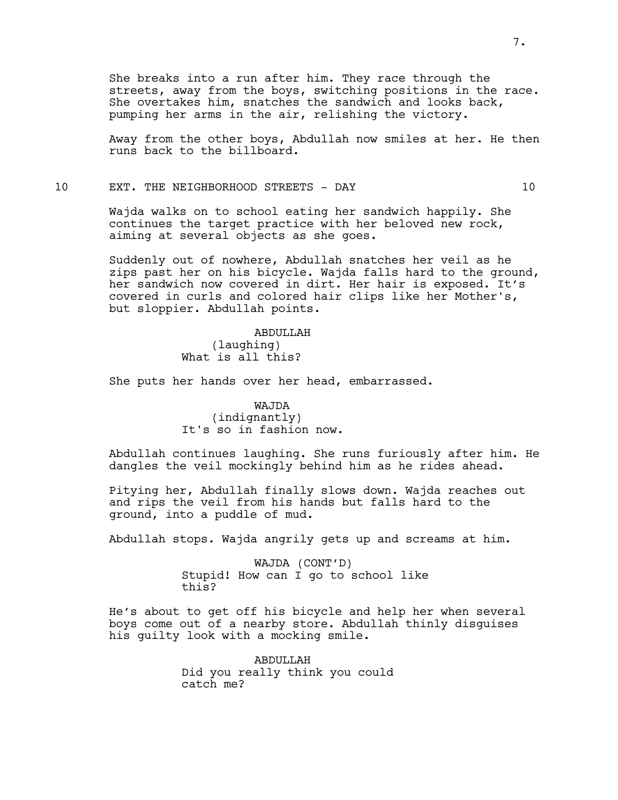She breaks into a run after him. They race through the streets, away from the boys, switching positions in the race. She overtakes him, snatches the sandwich and looks back, pumping her arms in the air, relishing the victory.

Away from the other boys, Abdullah now smiles at her. He then runs back to the billboard.

# 10 EXT. THE NEIGHBORHOOD STREETS - DAY 10

Wajda walks on to school eating her sandwich happily. She continues the target practice with her beloved new rock, aiming at several objects as she goes.

Suddenly out of nowhere, Abdullah snatches her veil as he zips past her on his bicycle. Wajda falls hard to the ground, her sandwich now covered in dirt. Her hair is exposed. It's covered in curls and colored hair clips like her Mother's, but sloppier. Abdullah points.

> ABDULLAH (laughing) What is all this?

She puts her hands over her head, embarrassed.

WAJDA (indignantly) It's so in fashion now.

Abdullah continues laughing. She runs furiously after him. He dangles the veil mockingly behind him as he rides ahead.

Pitying her, Abdullah finally slows down. Wajda reaches out and rips the veil from his hands but falls hard to the ground, into a puddle of mud.

Abdullah stops. Wajda angrily gets up and screams at him.

WAJDA (CONT'D) Stupid! How can I go to school like this?

He's about to get off his bicycle and help her when several boys come out of a nearby store. Abdullah thinly disguises his guilty look with a mocking smile.

> ABDULLAH Did you really think you could catch me?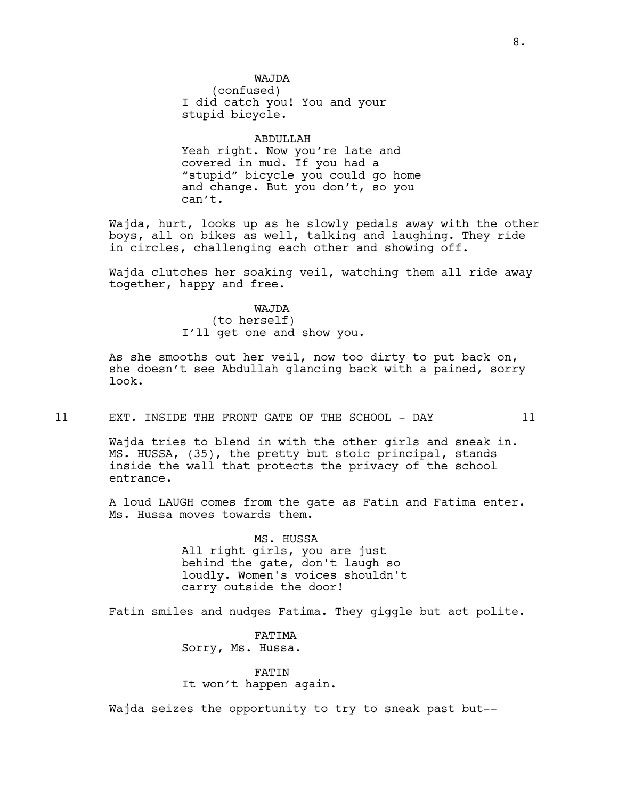WAJDA (confused) I did catch you! You and your stupid bicycle.

ABDULLAH Yeah right. Now you're late and covered in mud. If you had a "stupid" bicycle you could go home and change. But you don't, so you can't.

Wajda, hurt, looks up as he slowly pedals away with the other boys, all on bikes as well, talking and laughing. They ride in circles, challenging each other and showing off.

Wajda clutches her soaking veil, watching them all ride away together, happy and free.

> WAJDA (to herself) I'll get one and show you.

As she smooths out her veil, now too dirty to put back on, she doesn't see Abdullah glancing back with a pained, sorry look.

#### 11 EXT. INSIDE THE FRONT GATE OF THE SCHOOL - DAY 11

Wajda tries to blend in with the other girls and sneak in. MS. HUSSA, (35), the pretty but stoic principal, stands inside the wall that protects the privacy of the school entrance.

A loud LAUGH comes from the gate as Fatin and Fatima enter. Ms. Hussa moves towards them.

> MS. HUSSA All right girls, you are just behind the gate, don't laugh so loudly. Women's voices shouldn't carry outside the door!

Fatin smiles and nudges Fatima. They giggle but act polite.

FATIMA Sorry, Ms. Hussa.

#### FATIN

It won't happen again.

Wajda seizes the opportunity to try to sneak past but--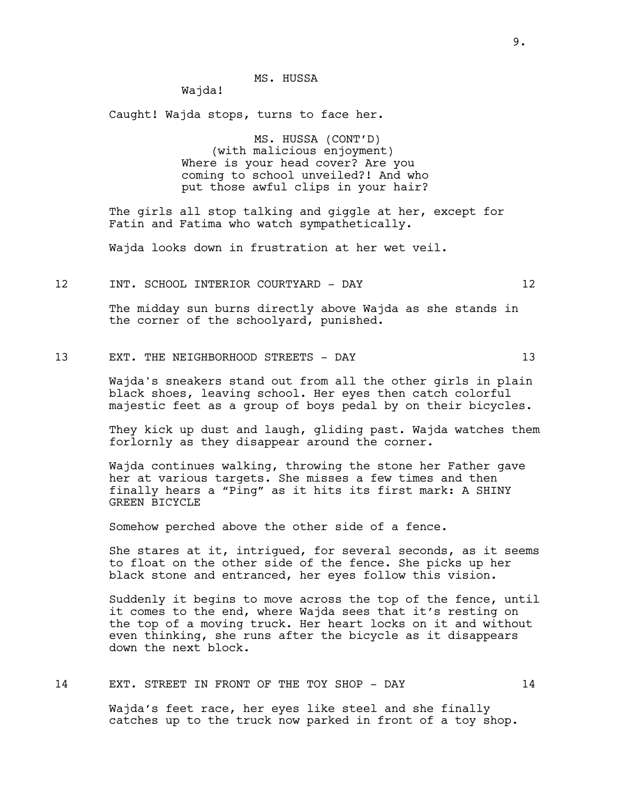Wajda!

Caught! Wajda stops, turns to face her.

MS. HUSSA (CONT'D) (with malicious enjoyment) Where is your head cover? Are you coming to school unveiled?! And who put those awful clips in your hair?

The girls all stop talking and giggle at her, except for Fatin and Fatima who watch sympathetically.

Wajda looks down in frustration at her wet veil.

12 INT. SCHOOL INTERIOR COURTYARD - DAY 12

The midday sun burns directly above Wajda as she stands in the corner of the schoolyard, punished.

# 13 EXT. THE NEIGHBORHOOD STREETS - DAY 13

Wajda's sneakers stand out from all the other girls in plain black shoes, leaving school. Her eyes then catch colorful majestic feet as a group of boys pedal by on their bicycles.

They kick up dust and laugh, gliding past. Wajda watches them forlornly as they disappear around the corner.

Wajda continues walking, throwing the stone her Father gave her at various targets. She misses a few times and then finally hears a "Ping" as it hits its first mark: A SHINY GREEN BICYCLE

Somehow perched above the other side of a fence.

She stares at it, intrigued, for several seconds, as it seems to float on the other side of the fence. She picks up her black stone and entranced, her eyes follow this vision.

Suddenly it begins to move across the top of the fence, until it comes to the end, where Wajda sees that it's resting on the top of a moving truck. Her heart locks on it and without even thinking, she runs after the bicycle as it disappears down the next block.

14 EXT. STREET IN FRONT OF THE TOY SHOP - DAY 14

Wajda's feet race, her eyes like steel and she finally catches up to the truck now parked in front of a toy shop.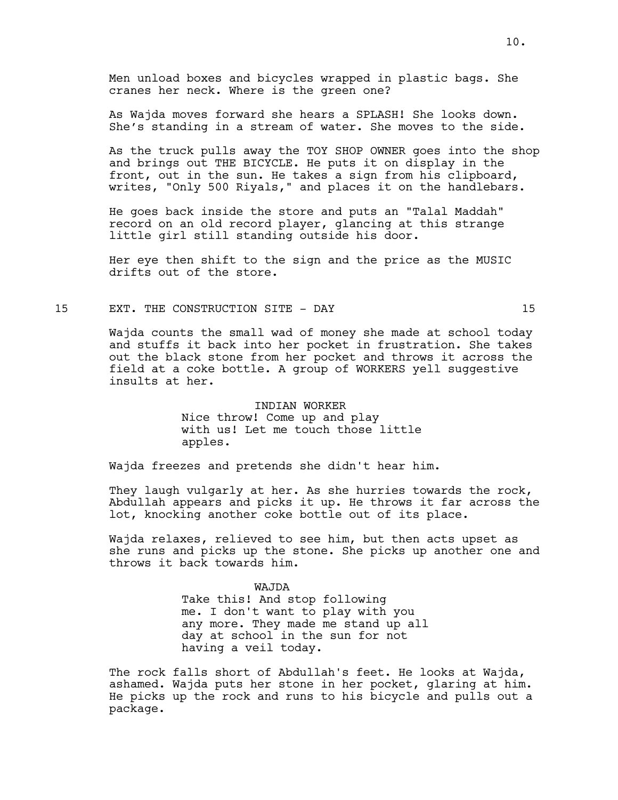Men unload boxes and bicycles wrapped in plastic bags. She cranes her neck. Where is the green one?

As Wajda moves forward she hears a SPLASH! She looks down. She's standing in a stream of water. She moves to the side.

As the truck pulls away the TOY SHOP OWNER goes into the shop and brings out THE BICYCLE. He puts it on display in the front, out in the sun. He takes a sign from his clipboard, writes, "Only 500 Riyals," and places it on the handlebars.

He goes back inside the store and puts an "Talal Maddah" record on an old record player, glancing at this strange little girl still standing outside his door.

Her eye then shift to the sign and the price as the MUSIC drifts out of the store.

# 15 EXT. THE CONSTRUCTION SITE - DAY 15

Wajda counts the small wad of money she made at school today and stuffs it back into her pocket in frustration. She takes out the black stone from her pocket and throws it across the field at a coke bottle. A group of WORKERS yell suggestive insults at her.

> INDIAN WORKER Nice throw! Come up and play with us! Let me touch those little apples.

Wajda freezes and pretends she didn't hear him.

They laugh vulgarly at her. As she hurries towards the rock, Abdullah appears and picks it up. He throws it far across the lot, knocking another coke bottle out of its place.

Wajda relaxes, relieved to see him, but then acts upset as she runs and picks up the stone. She picks up another one and throws it back towards him.

> WAJDA Take this! And stop following me. I don't want to play with you any more. They made me stand up all day at school in the sun for not having a veil today.

The rock falls short of Abdullah's feet. He looks at Wajda, ashamed. Wajda puts her stone in her pocket, glaring at him. He picks up the rock and runs to his bicycle and pulls out a package.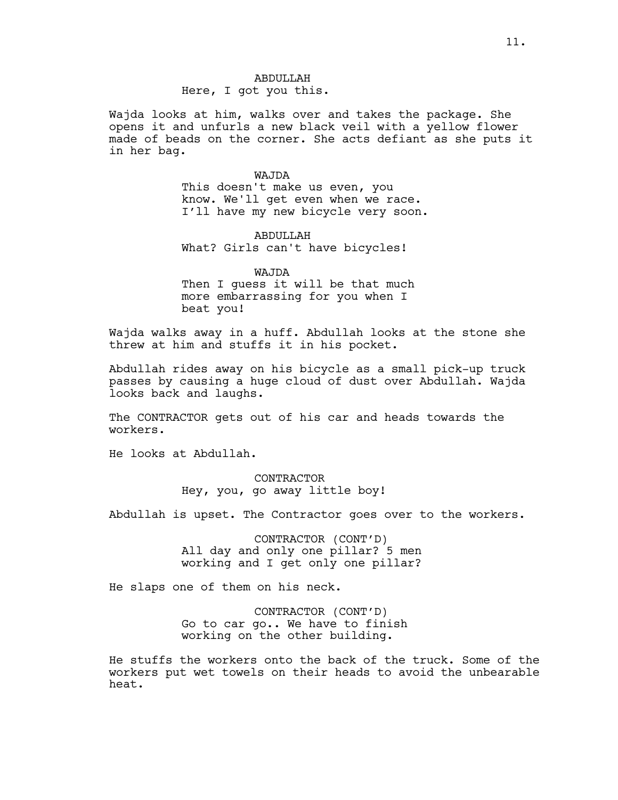ABDULLAH Here, I got you this.

Wajda looks at him, walks over and takes the package. She opens it and unfurls a new black veil with a yellow flower made of beads on the corner. She acts defiant as she puts it in her bag.

> WAJDA This doesn't make us even, you know. We'll get even when we race. I'll have my new bicycle very soon.

ABDULLAH What? Girls can't have bicycles!

WAJDA Then I quess it will be that much more embarrassing for you when I beat you!

Wajda walks away in a huff. Abdullah looks at the stone she threw at him and stuffs it in his pocket.

Abdullah rides away on his bicycle as a small pick-up truck passes by causing a huge cloud of dust over Abdullah. Wajda looks back and laughs.

The CONTRACTOR gets out of his car and heads towards the workers.

He looks at Abdullah.

CONTRACTOR Hey, you, go away little boy!

Abdullah is upset. The Contractor goes over to the workers.

CONTRACTOR (CONT'D) All day and only one pillar? 5 men working and I get only one pillar?

He slaps one of them on his neck.

CONTRACTOR (CONT'D) Go to car go.. We have to finish working on the other building.

He stuffs the workers onto the back of the truck. Some of the workers put wet towels on their heads to avoid the unbearable heat.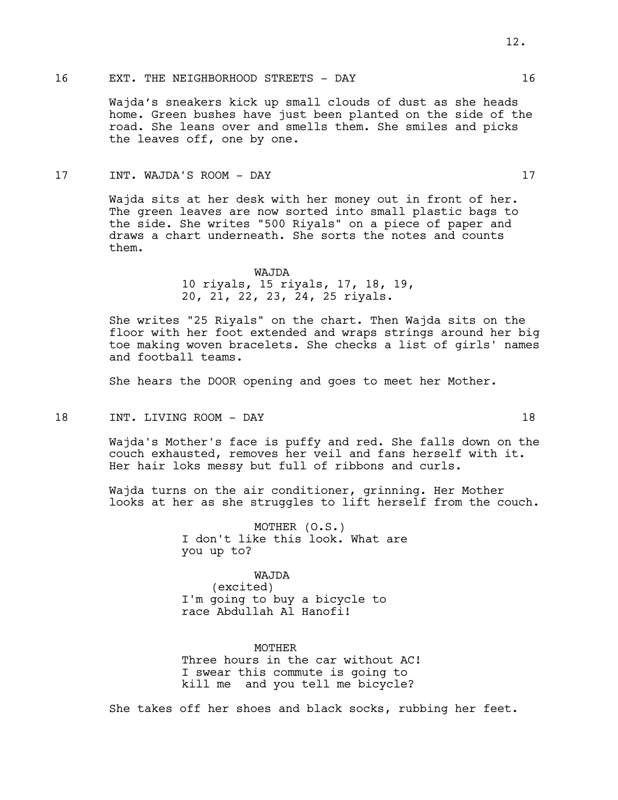# 16 EXT. THE NEIGHBORHOOD STREETS - DAY 16

Wajda's sneakers kick up small clouds of dust as she heads home. Green bushes have just been planted on the side of the road. She leans over and smells them. She smiles and picks the leaves off, one by one.

## 17 INT. WAJDA'S ROOM - DAY 17

Wajda sits at her desk with her money out in front of her. The green leaves are now sorted into small plastic bags to the side. She writes "500 Riyals" on a piece of paper and draws a chart underneath. She sorts the notes and counts them.

# WAJDA 10 riyals, 15 riyals, 17, 18, 19, 20, 21, 22, 23, 24, 25 riyals.

She writes "25 Riyals" on the chart. Then Wajda sits on the floor with her foot extended and wraps strings around her big toe making woven bracelets. She checks a list of girls' names and football teams.

She hears the DOOR opening and goes to meet her Mother.

18 INT. LIVING ROOM - DAY 18

Wajda's Mother's face is puffy and red. She falls down on the couch exhausted, removes her veil and fans herself with it. Her hair loks messy but full of ribbons and curls.

Wajda turns on the air conditioner, grinning. Her Mother looks at her as she struggles to lift herself from the couch.

> MOTHER (O.S.) I don't like this look. What are you up to?

WAJDA (excited) I'm going to buy a bicycle to race Abdullah Al Hanofi!

MOTHER Three hours in the car without AC! I swear this commute is going to kill me and you tell me bicycle?

She takes off her shoes and black socks, rubbing her feet.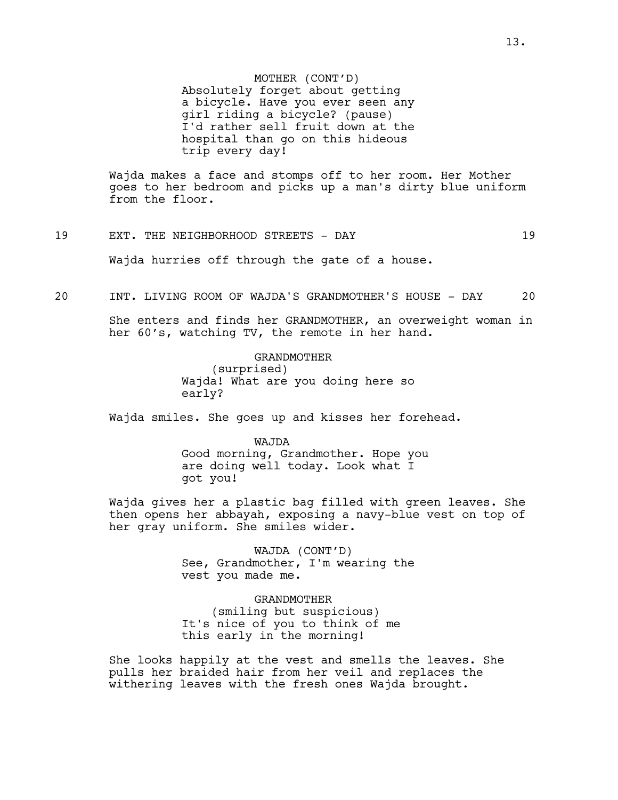MOTHER (CONT'D) Absolutely forget about getting a bicycle. Have you ever seen any girl riding a bicycle? (pause) I'd rather sell fruit down at the hospital than go on this hideous trip every day!

Wajda makes a face and stomps off to her room. Her Mother goes to her bedroom and picks up a man's dirty blue uniform from the floor.

# 19 EXT. THE NEIGHBORHOOD STREETS - DAY 19

Wajda hurries off through the gate of a house.

#### 20 INT. LIVING ROOM OF WAJDA'S GRANDMOTHER'S HOUSE - DAY 20

She enters and finds her GRANDMOTHER, an overweight woman in her 60's, watching TV, the remote in her hand.

> GRANDMOTHER (surprised) Wajda! What are you doing here so early?

Wajda smiles. She goes up and kisses her forehead.

WAJDA Good morning, Grandmother. Hope you are doing well today. Look what I got you!

Wajda gives her a plastic bag filled with green leaves. She then opens her abbayah, exposing a navy-blue vest on top of her gray uniform. She smiles wider.

> WAJDA (CONT'D) See, Grandmother, I'm wearing the vest you made me.

GRANDMOTHER (smiling but suspicious) It's nice of you to think of me this early in the morning!

She looks happily at the vest and smells the leaves. She pulls her braided hair from her veil and replaces the withering leaves with the fresh ones Wajda brought.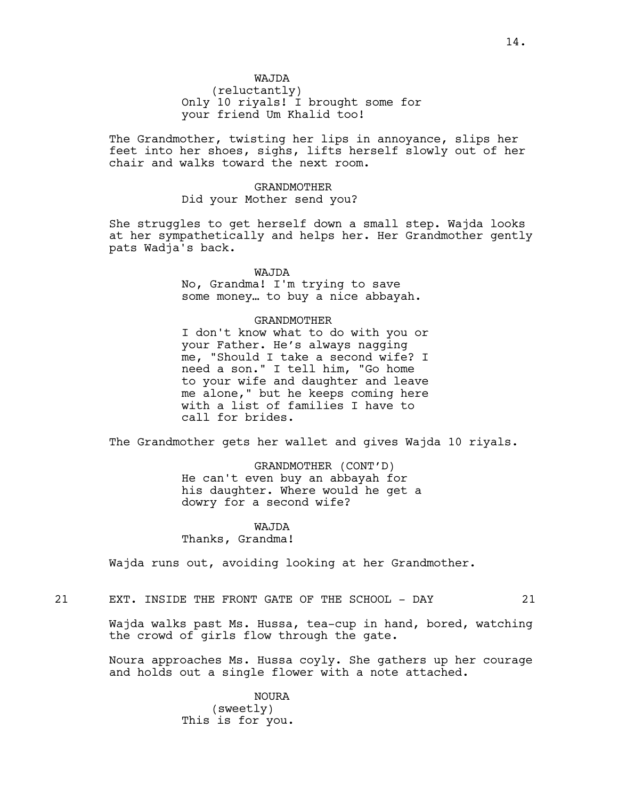(reluctantly) Only 10 riyals! I brought some for your friend Um Khalid too!

The Grandmother, twisting her lips in annoyance, slips her feet into her shoes, sighs, lifts herself slowly out of her chair and walks toward the next room.

# GRANDMOTHER Did your Mother send you?

She struggles to get herself down a small step. Wajda looks at her sympathetically and helps her. Her Grandmother gently pats Wadja's back.

# WAJDA

No, Grandma! I'm trying to save some money… to buy a nice abbayah.

# GRANDMOTHER

I don't know what to do with you or your Father. He's always nagging me, "Should I take a second wife? I need a son." I tell him, "Go home to your wife and daughter and leave me alone," but he keeps coming here with a list of families I have to call for brides.

The Grandmother gets her wallet and gives Wajda 10 riyals.

GRANDMOTHER (CONT'D) He can't even buy an abbayah for his daughter. Where would he get a dowry for a second wife?

# WAJDA

Thanks, Grandma!

Wajda runs out, avoiding looking at her Grandmother.

21 EXT. INSIDE THE FRONT GATE OF THE SCHOOL - DAY 21

Wajda walks past Ms. Hussa, tea-cup in hand, bored, watching the crowd of girls flow through the gate.

Noura approaches Ms. Hussa coyly. She gathers up her courage and holds out a single flower with a note attached.

> NOURA (sweetly) This is for you.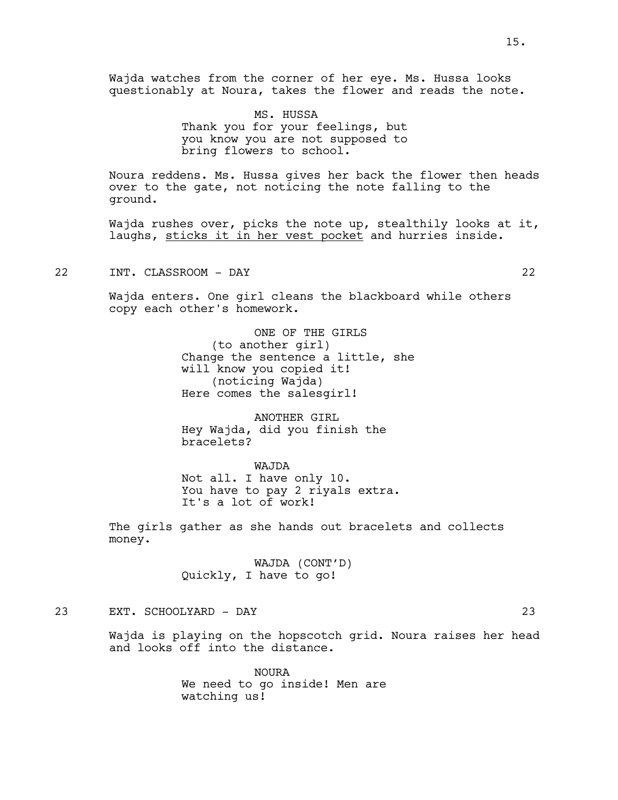Wajda watches from the corner of her eye. Ms. Hussa looks questionably at Noura, takes the flower and reads the note.

> MS. HUSSA Thank you for your feelings, but you know you are not supposed to bring flowers to school.

Noura reddens. Ms. Hussa gives her back the flower then heads over to the gate, not noticing the note falling to the ground.

Wajda rushes over, picks the note up, stealthily looks at it, laughs, sticks it in her vest pocket and hurries inside.

22 INT. CLASSROOM - DAY 22

Wajda enters. One girl cleans the blackboard while others copy each other's homework.

> ONE OF THE GIRLS (to another girl) Change the sentence a little, she will know you copied it! (noticing Wajda) Here comes the salesgirl!

ANOTHER GIRL Hey Wajda, did you finish the bracelets?

WAJDA Not all. I have only 10. You have to pay 2 riyals extra. It's a lot of work!

The girls gather as she hands out bracelets and collects money.

> WAJDA (CONT'D) Quickly, I have to go!

23 EXT. SCHOOLYARD - DAY 23

Wajda is playing on the hopscotch grid. Noura raises her head and looks off into the distance.

> NOURA We need to go inside! Men are watching us!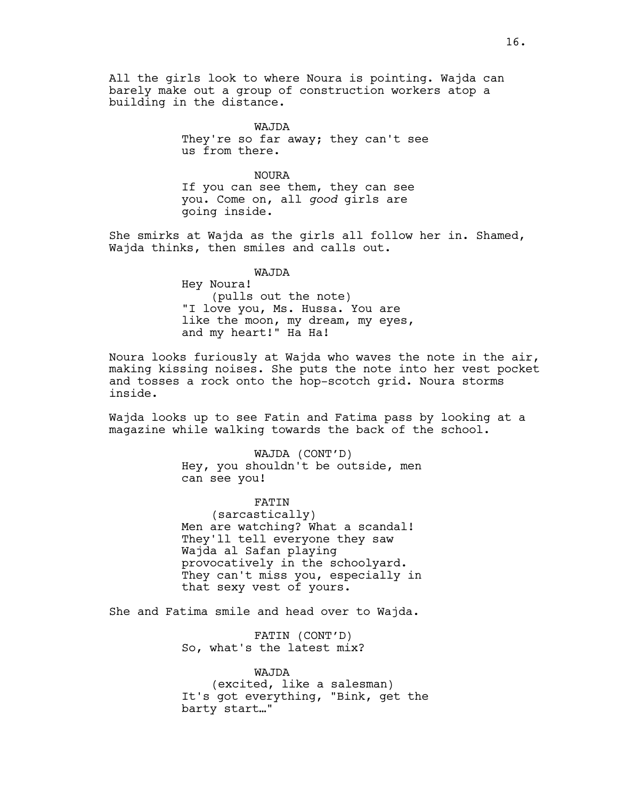All the girls look to where Noura is pointing. Wajda can barely make out a group of construction workers atop a building in the distance.

> WAJDA They're so far away; they can't see us from there.

NOURA If you can see them, they can see you. Come on, all *good* girls are going inside.

She smirks at Wajda as the girls all follow her in. Shamed, Wajda thinks, then smiles and calls out.

WAJDA

Hey Noura! (pulls out the note) "I love you, Ms. Hussa. You are like the moon, my dream, my eyes, and my heart!" Ha Ha!

Noura looks furiously at Wajda who waves the note in the air, making kissing noises. She puts the note into her vest pocket and tosses a rock onto the hop-scotch grid. Noura storms inside.

Wajda looks up to see Fatin and Fatima pass by looking at a magazine while walking towards the back of the school.

> WAJDA (CONT'D) Hey, you shouldn't be outside, men can see you!

> FATIN (sarcastically) Men are watching? What a scandal! They'll tell everyone they saw Wajda al Safan playing provocatively in the schoolyard. They can't miss you, especially in that sexy vest of yours.

She and Fatima smile and head over to Wajda.

FATIN (CONT'D) So, what's the latest mix?

WAJDA (excited, like a salesman) It's got everything, "Bink, get the barty start…"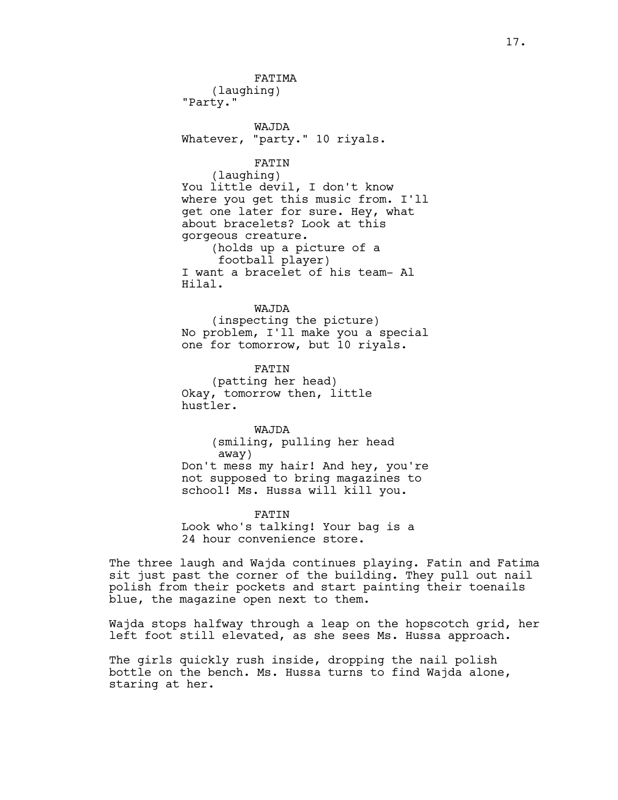FATIMA (laughing) "Party."

WAJDA Whatever, "party." 10 riyals.

#### FATIN

(laughing) You little devil, I don't know where you get this music from. I'll get one later for sure. Hey, what about bracelets? Look at this gorgeous creature. (holds up a picture of a football player) I want a bracelet of his team- Al Hilal.

#### WAJDA

(inspecting the picture) No problem, I'll make you a special one for tomorrow, but 10 riyals.

FATIN (patting her head) Okay, tomorrow then, little hustler.

WAJDA (smiling, pulling her head away) Don't mess my hair! And hey, you're not supposed to bring magazines to school! Ms. Hussa will kill you.

FATIN Look who's talking! Your bag is a 24 hour convenience store.

The three laugh and Wajda continues playing. Fatin and Fatima sit just past the corner of the building. They pull out nail polish from their pockets and start painting their toenails blue, the magazine open next to them.

Wajda stops halfway through a leap on the hopscotch grid, her left foot still elevated, as she sees Ms. Hussa approach.

The girls quickly rush inside, dropping the nail polish bottle on the bench. Ms. Hussa turns to find Wajda alone, staring at her.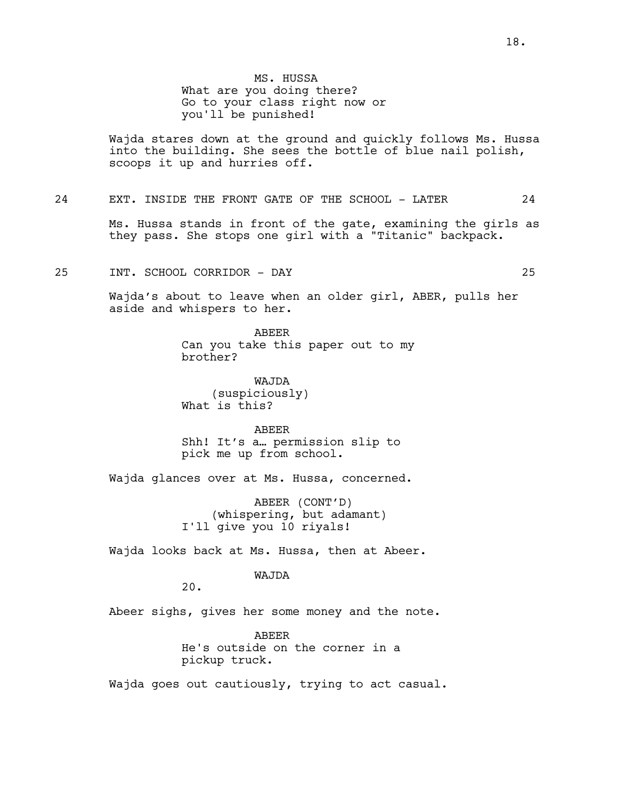Wajda stares down at the ground and quickly follows Ms. Hussa into the building. She sees the bottle of blue nail polish, scoops it up and hurries off.

#### 24 EXT. INSIDE THE FRONT GATE OF THE SCHOOL - LATER 24

Ms. Hussa stands in front of the gate, examining the girls as they pass. She stops one girl with a "Titanic" backpack.

# 25 INT. SCHOOL CORRIDOR - DAY 25

Wajda's about to leave when an older girl, ABER, pulls her aside and whispers to her.

> ABEER Can you take this paper out to my brother?

WAJDA (suspiciously) What is this?

ABEER Shh! It's a… permission slip to pick me up from school.

Wajda glances over at Ms. Hussa, concerned.

ABEER (CONT'D) (whispering, but adamant) I'll give you 10 riyals!

Wajda looks back at Ms. Hussa, then at Abeer.

#### WAJDA

20.

Abeer sighs, gives her some money and the note.

ABEER He's outside on the corner in a pickup truck.

Wajda goes out cautiously, trying to act casual.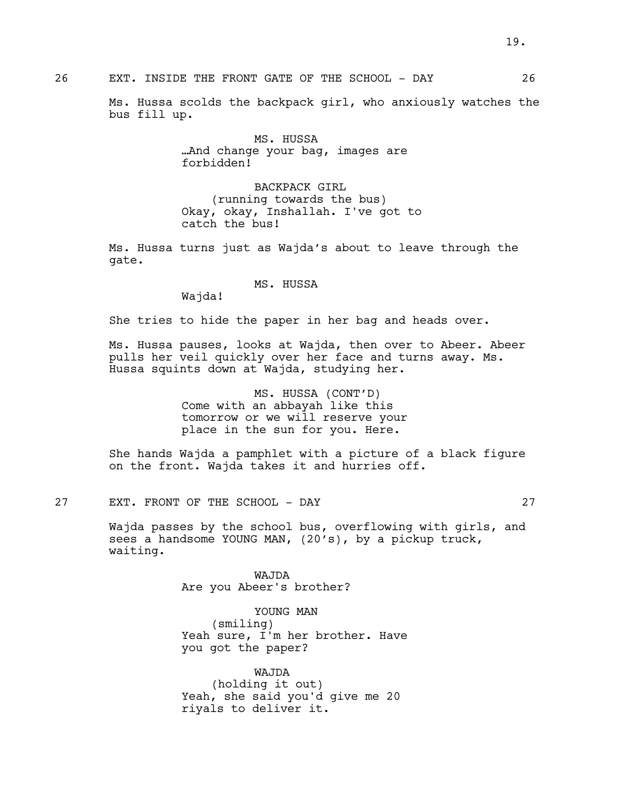# 26 EXT. INSIDE THE FRONT GATE OF THE SCHOOL - DAY 26

Ms. Hussa scolds the backpack girl, who anxiously watches the bus fill up.

> MS. HUSSA …And change your bag, images are forbidden!

BACKPACK GIRL (running towards the bus) Okay, okay, Inshallah. I've got to catch the bus!

Ms. Hussa turns just as Wajda's about to leave through the gate.

MS. HUSSA

Wajda!

She tries to hide the paper in her bag and heads over.

Ms. Hussa pauses, looks at Wajda, then over to Abeer. Abeer pulls her veil quickly over her face and turns away. Ms. Hussa squints down at Wajda, studying her.

> MS. HUSSA (CONT'D) Come with an abbayah like this tomorrow or we will reserve your place in the sun for you. Here.

She hands Wajda a pamphlet with a picture of a black figure on the front. Wajda takes it and hurries off.

# 27 EXT. FRONT OF THE SCHOOL - DAY 27

Wajda passes by the school bus, overflowing with girls, and sees a handsome YOUNG MAN, (20's), by a pickup truck, waiting.

> WAJDA Are you Abeer's brother?

YOUNG MAN (smiling) Yeah sure, I'm her brother. Have you got the paper?

WAJDA (holding it out) Yeah, she said you'd give me 20 riyals to deliver it.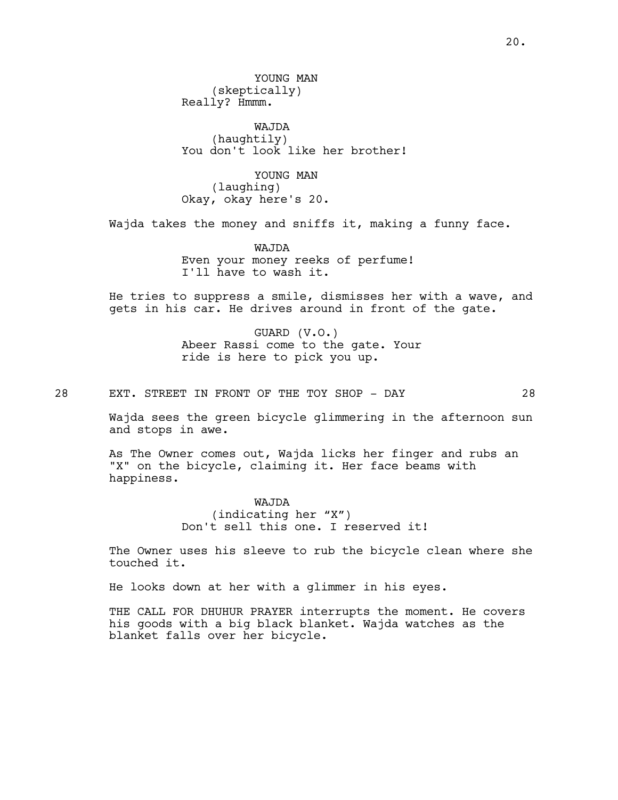YOUNG MAN (skeptically) Really? Hmmm.

WAJDA (haughtily) You don't look like her brother!

YOUNG MAN (laughing) Okay, okay here's 20.

Wajda takes the money and sniffs it, making a funny face.

WAJDA Even your money reeks of perfume! I'll have to wash it.

He tries to suppress a smile, dismisses her with a wave, and gets in his car. He drives around in front of the gate.

> GUARD (V.O.) Abeer Rassi come to the gate. Your ride is here to pick you up.

28 EXT. STREET IN FRONT OF THE TOY SHOP - DAY 28

Wajda sees the green bicycle glimmering in the afternoon sun and stops in awe.

As The Owner comes out, Wajda licks her finger and rubs an "X" on the bicycle, claiming it. Her face beams with happiness.

> WAJDA (indicating her "X") Don't sell this one. I reserved it!

The Owner uses his sleeve to rub the bicycle clean where she touched it.

He looks down at her with a glimmer in his eyes.

THE CALL FOR DHUHUR PRAYER interrupts the moment. He covers his goods with a big black blanket. Wajda watches as the blanket falls over her bicycle.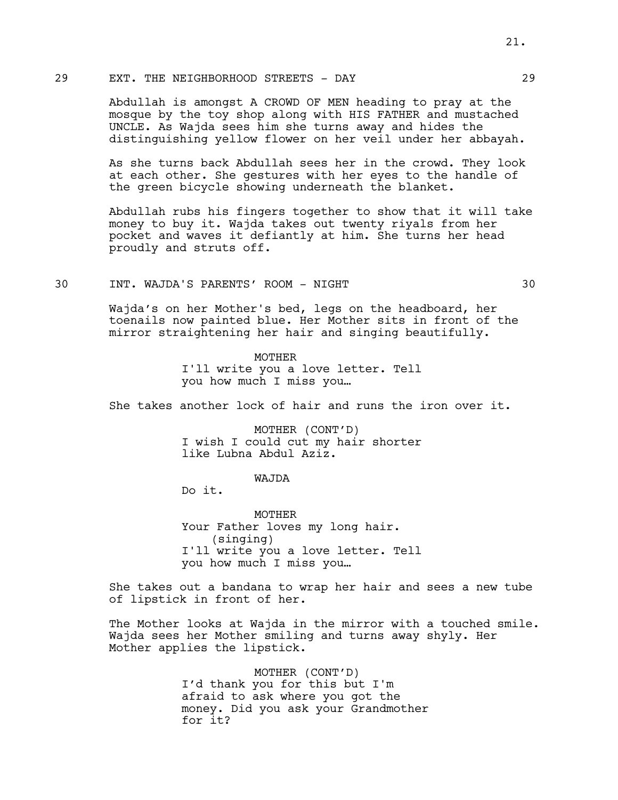# 29 EXT. THE NEIGHBORHOOD STREETS - DAY 29

Abdullah is amongst A CROWD OF MEN heading to pray at the mosque by the toy shop along with HIS FATHER and mustached UNCLE. As Wajda sees him she turns away and hides the distinguishing yellow flower on her veil under her abbayah.

As she turns back Abdullah sees her in the crowd. They look at each other. She gestures with her eyes to the handle of the green bicycle showing underneath the blanket.

Abdullah rubs his fingers together to show that it will take money to buy it. Wajda takes out twenty riyals from her pocket and waves it defiantly at him. She turns her head proudly and struts off.

# 30 INT. WAJDA'S PARENTS' ROOM - NIGHT 30

Wajda's on her Mother's bed, legs on the headboard, her toenails now painted blue. Her Mother sits in front of the mirror straightening her hair and singing beautifully.

> MOTHER I'll write you a love letter. Tell you how much I miss you…

She takes another lock of hair and runs the iron over it.

MOTHER (CONT'D) I wish I could cut my hair shorter like Lubna Abdul Aziz.

#### WAJDA

Do it.

MOTHER Your Father loves my long hair. (singing) I'll write you a love letter. Tell you how much I miss you…

She takes out a bandana to wrap her hair and sees a new tube of lipstick in front of her.

The Mother looks at Wajda in the mirror with a touched smile. Wajda sees her Mother smiling and turns away shyly. Her Mother applies the lipstick.

> MOTHER (CONT'D) I'd thank you for this but I'm afraid to ask where you got the money. Did you ask your Grandmother for it?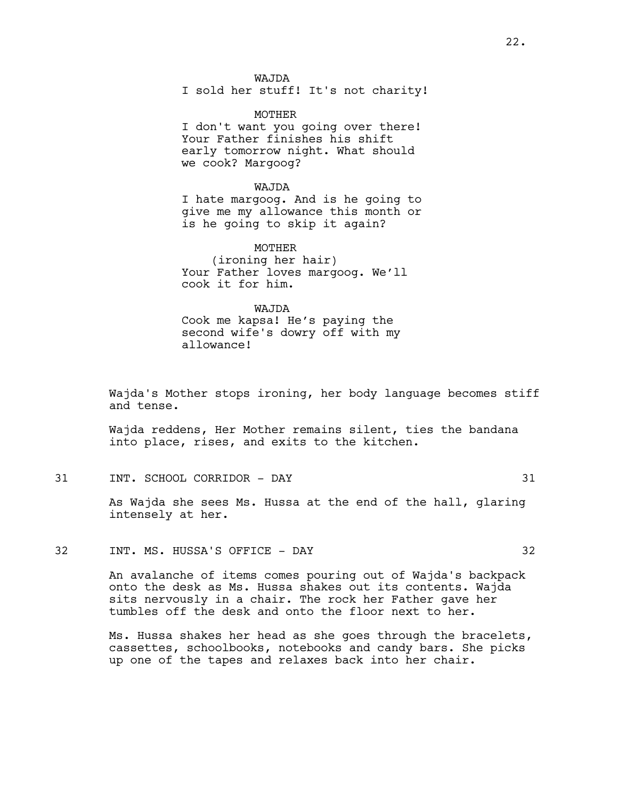WAJDA I sold her stuff! It's not charity!

MOTHER I don't want you going over there! Your Father finishes his shift early tomorrow night. What should we cook? Margoog?

# WAJDA

I hate margoog. And is he going to give me my allowance this month or is he going to skip it again?

MOTHER (ironing her hair) Your Father loves margoog. We'll cook it for him.

#### WAJDA

Cook me kapsa! He's paying the second wife's dowry off with my allowance!

Wajda's Mother stops ironing, her body language becomes stiff and tense.

Wajda reddens, Her Mother remains silent, ties the bandana into place, rises, and exits to the kitchen.

31 INT. SCHOOL CORRIDOR - DAY 31

As Wajda she sees Ms. Hussa at the end of the hall, glaring intensely at her.

32 INT. MS. HUSSA'S OFFICE - DAY 32

An avalanche of items comes pouring out of Wajda's backpack onto the desk as Ms. Hussa shakes out its contents. Wajda sits nervously in a chair. The rock her Father gave her tumbles off the desk and onto the floor next to her.

Ms. Hussa shakes her head as she goes through the bracelets, cassettes, schoolbooks, notebooks and candy bars. She picks up one of the tapes and relaxes back into her chair.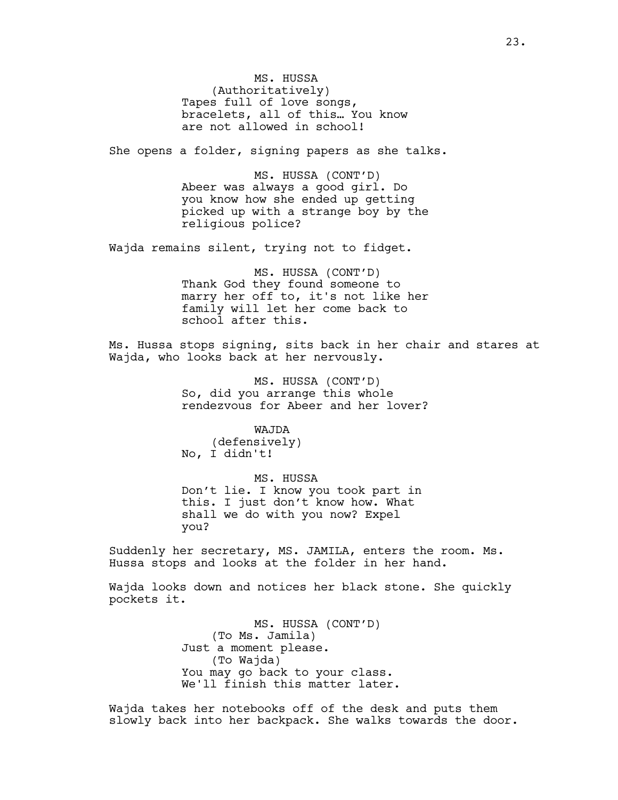MS. HUSSA (Authoritatively) Tapes full of love songs, bracelets, all of this… You know are not allowed in school!

She opens a folder, signing papers as she talks.

MS. HUSSA (CONT'D) Abeer was always a good girl. Do you know how she ended up getting picked up with a strange boy by the religious police?

Wajda remains silent, trying not to fidget.

MS. HUSSA (CONT'D) Thank God they found someone to marry her off to, it's not like her family will let her come back to school after this.

Ms. Hussa stops signing, sits back in her chair and stares at Wajda, who looks back at her nervously.

> MS. HUSSA (CONT'D) So, did you arrange this whole rendezvous for Abeer and her lover?

WAJDA (defensively) No, I didn't!

MS. HUSSA Don't lie. I know you took part in this. I just don't know how. What shall we do with you now? Expel you?

Suddenly her secretary, MS. JAMILA, enters the room. Ms. Hussa stops and looks at the folder in her hand.

Wajda looks down and notices her black stone. She quickly pockets it.

> MS. HUSSA (CONT'D) (To Ms. Jamila) Just a moment please. (To Wajda) You may go back to your class. We'll finish this matter later.

Wajda takes her notebooks off of the desk and puts them slowly back into her backpack. She walks towards the door.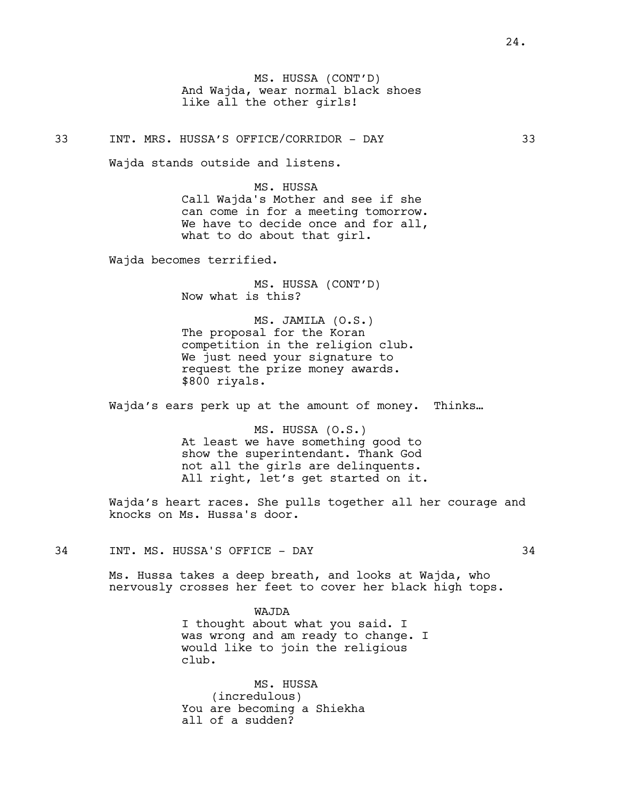MS. HUSSA (CONT'D) And Wajda, wear normal black shoes like all the other girls!

33 INT. MRS. HUSSA'S OFFICE/CORRIDOR - DAY 33

Wajda stands outside and listens.

MS. HUSSA Call Wajda's Mother and see if she can come in for a meeting tomorrow. We have to decide once and for all, what to do about that girl.

Wajda becomes terrified.

MS. HUSSA (CONT'D) Now what is this?

MS. JAMILA (O.S.) The proposal for the Koran competition in the religion club. We just need your signature to request the prize money awards. \$800 riyals.

Wajda's ears perk up at the amount of money. Thinks…

MS. HUSSA (O.S.) At least we have something good to show the superintendant. Thank God not all the girls are delinquents. All right, let's get started on it.

Wajda's heart races. She pulls together all her courage and knocks on Ms. Hussa's door.

34 INT. MS. HUSSA'S OFFICE - DAY 34

Ms. Hussa takes a deep breath, and looks at Wajda, who nervously crosses her feet to cover her black high tops.

> WAJDA I thought about what you said. I was wrong and am ready to change. I would like to join the religious club.

MS. HUSSA (incredulous) You are becoming a Shiekha all of a sudden?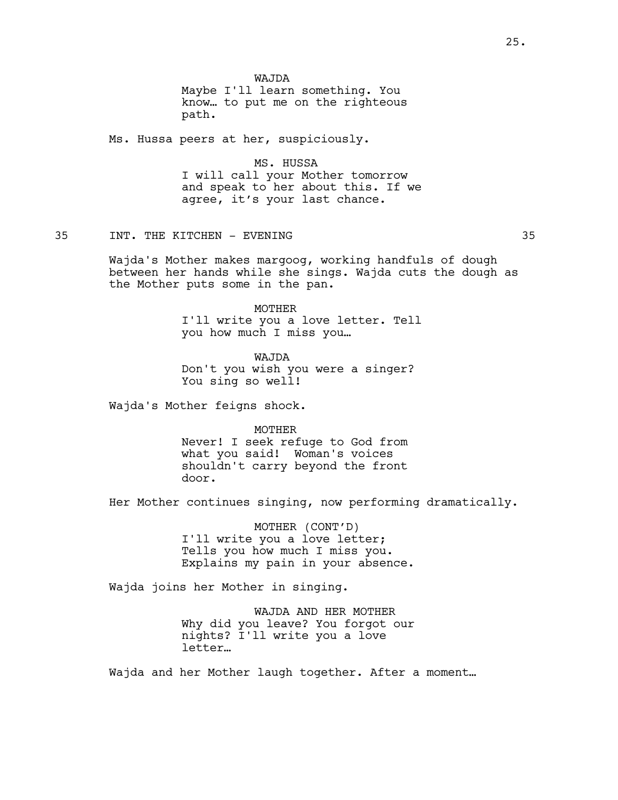WAJDA Maybe I'll learn something. You know… to put me on the righteous path.

Ms. Hussa peers at her, suspiciously.

MS. HUSSA I will call your Mother tomorrow and speak to her about this. If we agree, it's your last chance.

35 INT. THE KITCHEN - EVENING 35

Wajda's Mother makes margoog, working handfuls of dough between her hands while she sings. Wajda cuts the dough as the Mother puts some in the pan.

> MOTHER I'll write you a love letter. Tell you how much I miss you…

WAJDA Don't you wish you were a singer? You sing so well!

Wajda's Mother feigns shock.

MOTHER Never! I seek refuge to God from what you said! Woman's voices shouldn't carry beyond the front door.

Her Mother continues singing, now performing dramatically.

MOTHER (CONT'D) I'll write you a love letter; Tells you how much I miss you. Explains my pain in your absence.

Wajda joins her Mother in singing.

WAJDA AND HER MOTHER Why did you leave? You forgot our nights? I'll write you a love letter…

Wajda and her Mother laugh together. After a moment…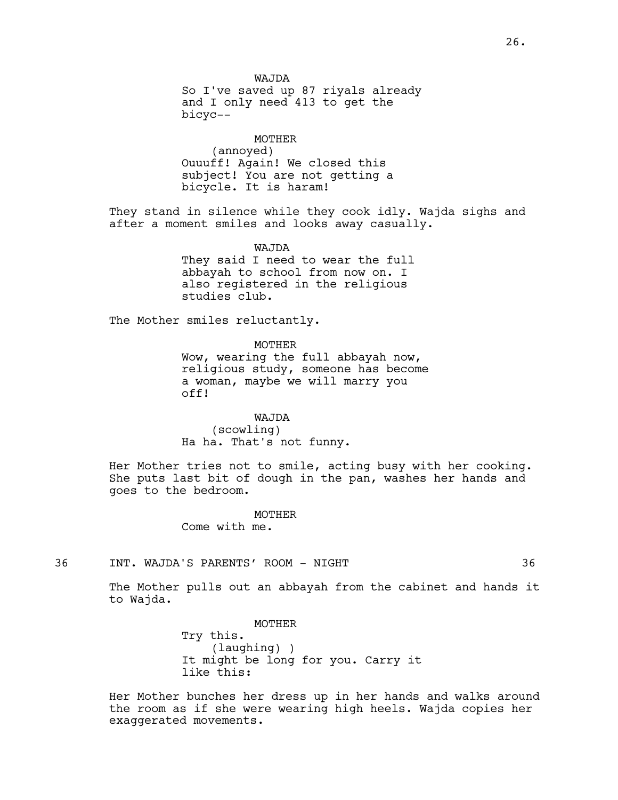WAJDA So I've saved up 87 riyals already and I only need 413 to get the bicyc--

MOTHER (annoyed) Ouuuff! Again! We closed this subject! You are not getting a bicycle. It is haram!

They stand in silence while they cook idly. Wajda sighs and after a moment smiles and looks away casually.

WAJDA

They said I need to wear the full abbayah to school from now on. I also registered in the religious studies club.

The Mother smiles reluctantly.

MOTHER

Wow, wearing the full abbayah now, religious study, someone has become a woman, maybe we will marry you off!

WAJDA

(scowling) Ha ha. That's not funny.

Her Mother tries not to smile, acting busy with her cooking. She puts last bit of dough in the pan, washes her hands and goes to the bedroom.

MOTHER

Come with me.

36 INT. WAJDA'S PARENTS' ROOM - NIGHT 36

The Mother pulls out an abbayah from the cabinet and hands it to Wajda.

> MOTHER Try this. (laughing) ) It might be long for you. Carry it like this:

Her Mother bunches her dress up in her hands and walks around the room as if she were wearing high heels. Wajda copies her exaggerated movements.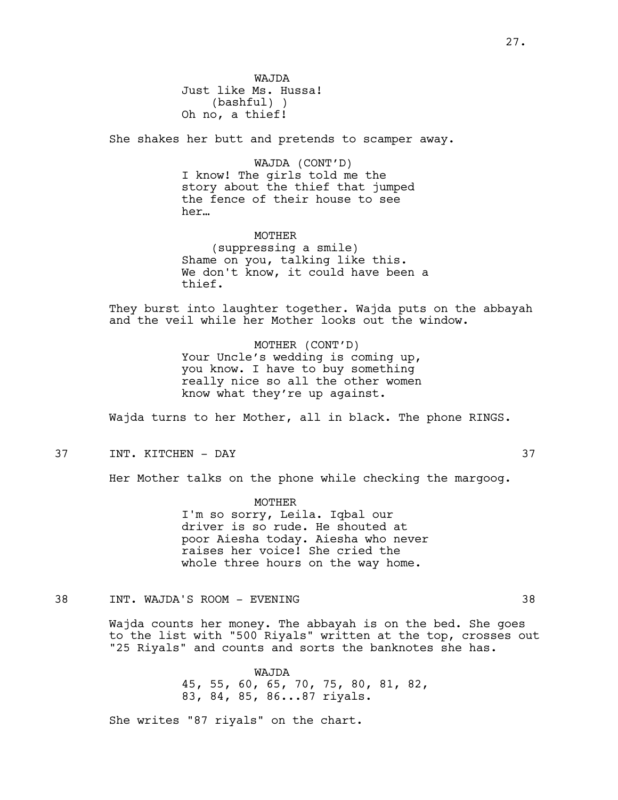WAJDA Just like Ms. Hussa! (bashful) ) Oh no, a thief!

She shakes her butt and pretends to scamper away.

WAJDA (CONT'D) I know! The girls told me the story about the thief that jumped the fence of their house to see her…

# MOTHER

(suppressing a smile) Shame on you, talking like this. We don't know, it could have been a thief.

They burst into laughter together. Wajda puts on the abbayah and the veil while her Mother looks out the window.

> MOTHER (CONT'D) Your Uncle's wedding is coming up, you know. I have to buy something really nice so all the other women know what they're up against.

Wajda turns to her Mother, all in black. The phone RINGS.

37 INT. KITCHEN - DAY 37

Her Mother talks on the phone while checking the margoog.

MOTHER I'm so sorry, Leila. Iqbal our driver is so rude. He shouted at poor Aiesha today. Aiesha who never raises her voice! She cried the whole three hours on the way home.

38 INT. WAJDA'S ROOM - EVENING 38

Wajda counts her money. The abbayah is on the bed. She goes to the list with "500 Riyals" written at the top, crosses out "25 Riyals" and counts and sorts the banknotes she has.

> WAJDA 45, 55, 60, 65, 70, 75, 80, 81, 82, 83, 84, 85, 86...87 riyals.

She writes "87 riyals" on the chart.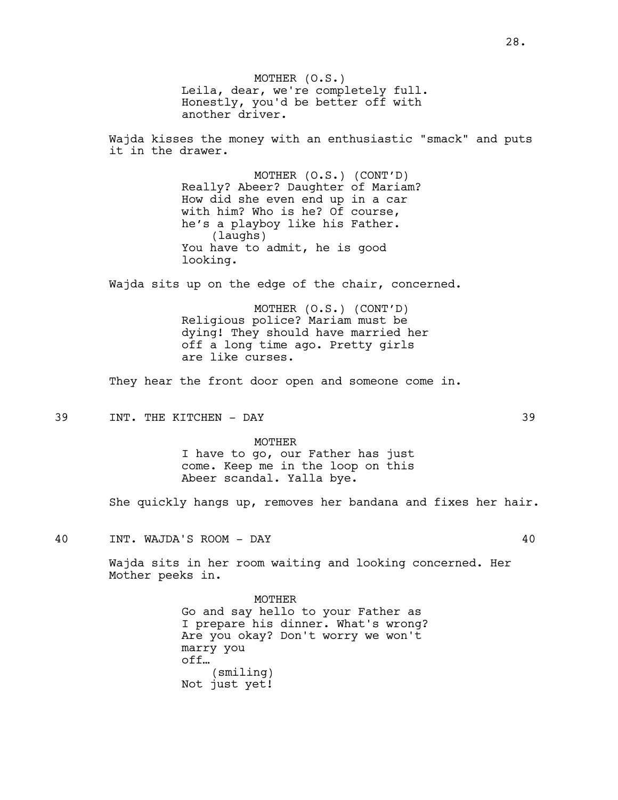MOTHER (O.S.) Leila, dear, we're completely full. Honestly, you'd be better off with another driver.

Wajda kisses the money with an enthusiastic "smack" and puts it in the drawer.

> MOTHER (O.S.) (CONT'D) Really? Abeer? Daughter of Mariam? How did she even end up in a car with him? Who is he? Of course, he's a playboy like his Father. (laughs) You have to admit, he is good looking.

Wajda sits up on the edge of the chair, concerned.

MOTHER (O.S.) (CONT'D) Religious police? Mariam must be dying! They should have married her off a long time ago. Pretty girls are like curses.

They hear the front door open and someone come in.

39 INT. THE KITCHEN - DAY 39

MOTHER I have to go, our Father has just come. Keep me in the loop on this Abeer scandal. Yalla bye.

She quickly hangs up, removes her bandana and fixes her hair.

40 INT. WAJDA'S ROOM - DAY 40

Wajda sits in her room waiting and looking concerned. Her Mother peeks in.

> MOTHER Go and say hello to your Father as I prepare his dinner. What's wrong? Are you okay? Don't worry we won't marry you off… (smiling) Not just yet!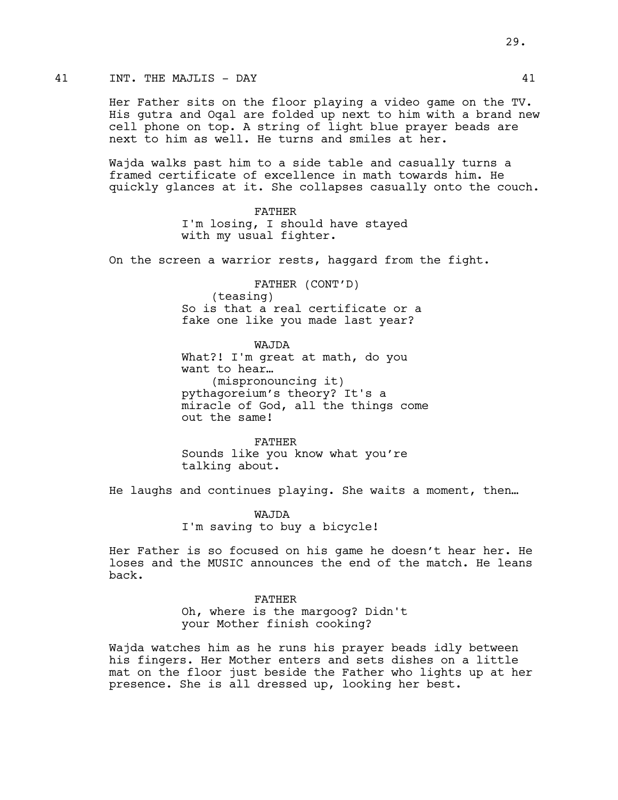# 41 INT. THE MAJLIS - DAY 41

Her Father sits on the floor playing a video game on the TV. His gutra and Oqal are folded up next to him with a brand new cell phone on top. A string of light blue prayer beads are next to him as well. He turns and smiles at her.

Wajda walks past him to a side table and casually turns a framed certificate of excellence in math towards him. He quickly glances at it. She collapses casually onto the couch.

> FATHER I'm losing, I should have stayed with my usual fighter.

On the screen a warrior rests, haggard from the fight.

FATHER (CONT'D) (teasing) So is that a real certificate or a fake one like you made last year?

WAJDA What?! I'm great at math, do you want to hear… (mispronouncing it) pythagoreium's theory? It's a miracle of God, all the things come out the same!

FATHER Sounds like you know what you're talking about.

He laughs and continues playing. She waits a moment, then…

WAJDA I'm saving to buy a bicycle!

Her Father is so focused on his game he doesn't hear her. He loses and the MUSIC announces the end of the match. He leans back.

#### FATHER

Oh, where is the margoog? Didn't your Mother finish cooking?

Wajda watches him as he runs his prayer beads idly between his fingers. Her Mother enters and sets dishes on a little mat on the floor just beside the Father who lights up at her presence. She is all dressed up, looking her best.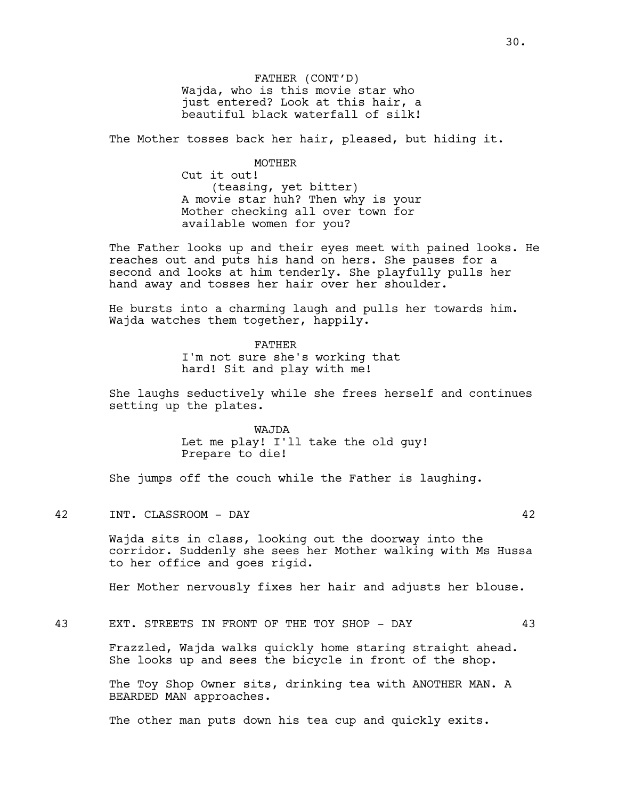FATHER (CONT'D) Wajda, who is this movie star who just entered? Look at this hair, a beautiful black waterfall of silk!

The Mother tosses back her hair, pleased, but hiding it.

MOTHER

Cut it out! (teasing, yet bitter) A movie star huh? Then why is your Mother checking all over town for available women for you?

The Father looks up and their eyes meet with pained looks. He reaches out and puts his hand on hers. She pauses for a second and looks at him tenderly. She playfully pulls her hand away and tosses her hair over her shoulder.

He bursts into a charming laugh and pulls her towards him. Wajda watches them together, happily.

> FATHER I'm not sure she's working that hard! Sit and play with me!

She laughs seductively while she frees herself and continues setting up the plates.

> WAJDA Let me play! I'll take the old guy! Prepare to die!

She jumps off the couch while the Father is laughing.

42 INT. CLASSROOM - DAY 42

Wajda sits in class, looking out the doorway into the corridor. Suddenly she sees her Mother walking with Ms Hussa to her office and goes rigid.

Her Mother nervously fixes her hair and adjusts her blouse.

43 EXT. STREETS IN FRONT OF THE TOY SHOP - DAY 43

Frazzled, Wajda walks quickly home staring straight ahead. She looks up and sees the bicycle in front of the shop.

The Toy Shop Owner sits, drinking tea with ANOTHER MAN. A BEARDED MAN approaches.

The other man puts down his tea cup and quickly exits.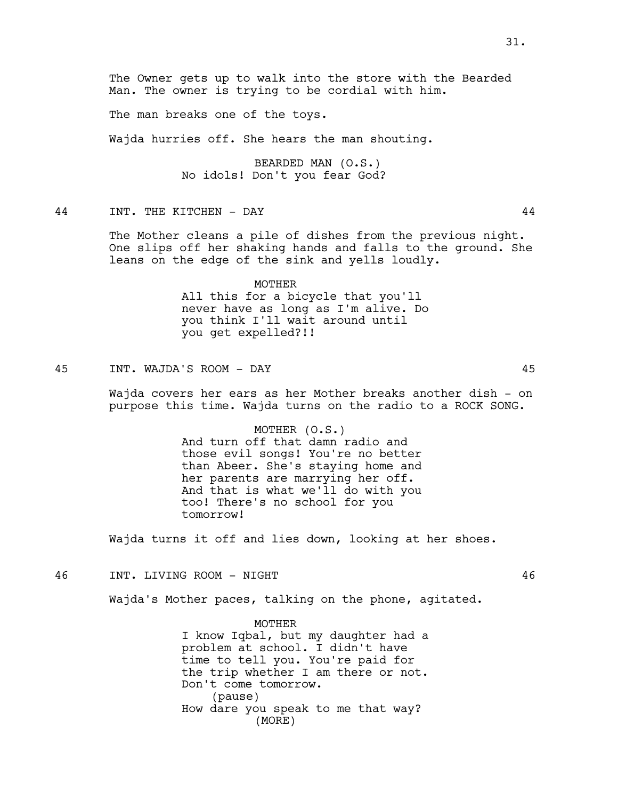The Owner gets up to walk into the store with the Bearded Man. The owner is trying to be cordial with him.

The man breaks one of the toys.

Wajda hurries off. She hears the man shouting.

BEARDED MAN (O.S.) No idols! Don't you fear God?

44 INT. THE KITCHEN - DAY 44

The Mother cleans a pile of dishes from the previous night. One slips off her shaking hands and falls to the ground. She leans on the edge of the sink and yells loudly.

> MOTHER All this for a bicycle that you'll never have as long as I'm alive. Do you think I'll wait around until you get expelled?!!

45 INT. WAJDA'S ROOM - DAY 45

Wajda covers her ears as her Mother breaks another dish - on purpose this time. Wajda turns on the radio to a ROCK SONG.

> MOTHER (O.S.) And turn off that damn radio and those evil songs! You're no better than Abeer. She's staying home and her parents are marrying her off. And that is what we'll do with you too! There's no school for you tomorrow!

Wajda turns it off and lies down, looking at her shoes.

46 INT. LIVING ROOM - NIGHT 46

Wajda's Mother paces, talking on the phone, agitated.

MOTHER I know Iqbal, but my daughter had a problem at school. I didn't have time to tell you. You're paid for the trip whether I am there or not. Don't come tomorrow. (pause) How dare you speak to me that way? (MORE)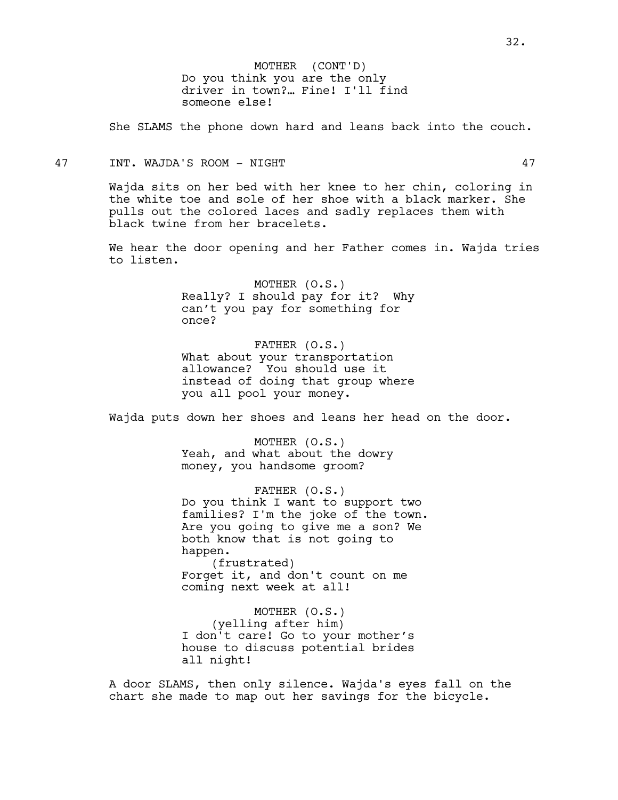Do you think you are the only driver in town?… Fine! I'll find someone else! MOTHER (CONT'D)

She SLAMS the phone down hard and leans back into the couch.

#### 47 INT. WAJDA'S ROOM - NIGHT 47

Wajda sits on her bed with her knee to her chin, coloring in the white toe and sole of her shoe with a black marker. She pulls out the colored laces and sadly replaces them with black twine from her bracelets.

We hear the door opening and her Father comes in. Wajda tries to listen.

> MOTHER (O.S.) Really? I should pay for it? Why can't you pay for something for once?

> FATHER (O.S.) What about your transportation allowance? You should use it instead of doing that group where you all pool your money.

Wajda puts down her shoes and leans her head on the door.

MOTHER (O.S.) Yeah, and what about the dowry money, you handsome groom?

FATHER (O.S.) Do you think I want to support two families? I'm the joke of the town. Are you going to give me a son? We both know that is not going to happen. (frustrated) Forget it, and don't count on me coming next week at all!

MOTHER (O.S.) (yelling after him) I don't care! Go to your mother's house to discuss potential brides all night!

A door SLAMS, then only silence. Wajda's eyes fall on the chart she made to map out her savings for the bicycle.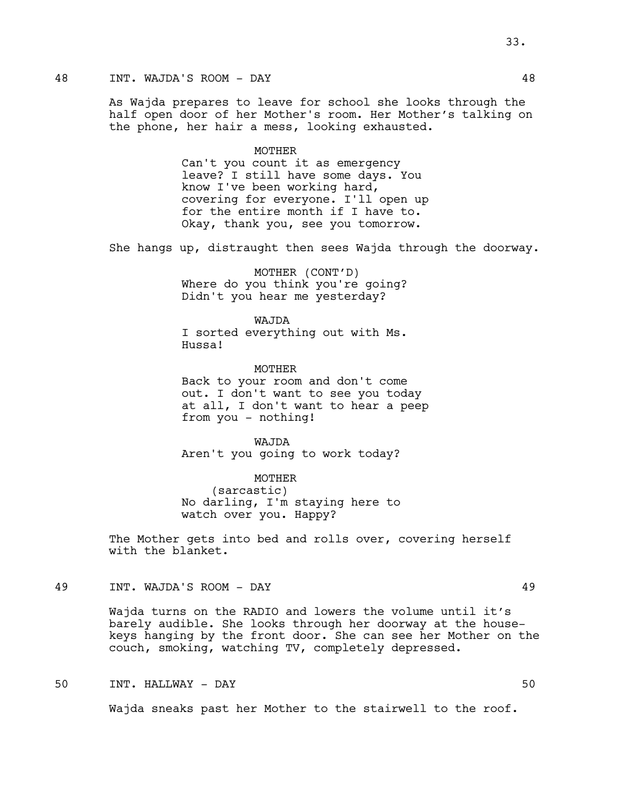# 48 INT. WAJDA'S ROOM - DAY 48

As Wajda prepares to leave for school she looks through the half open door of her Mother's room. Her Mother's talking on the phone, her hair a mess, looking exhausted.

#### MOTHER

Can't you count it as emergency leave? I still have some days. You know I've been working hard, covering for everyone. I'll open up for the entire month if I have to. Okay, thank you, see you tomorrow.

She hangs up, distraught then sees Wajda through the doorway.

MOTHER (CONT'D) Where do you think you're going? Didn't you hear me yesterday?

WAJDA I sorted everything out with Ms. Hussa!

**MOTHER** Back to your room and don't come out. I don't want to see you today at all, I don't want to hear a peep from you - nothing!

WAJDA Aren't you going to work today?

MOTHER (sarcastic) No darling, I'm staying here to watch over you. Happy?

The Mother gets into bed and rolls over, covering herself with the blanket.

49 INT. WAJDA'S ROOM - DAY 49

Wajda turns on the RADIO and lowers the volume until it's barely audible. She looks through her doorway at the housekeys hanging by the front door. She can see her Mother on the couch, smoking, watching TV, completely depressed.

# 50 INT. HALLWAY - DAY 50

Wajda sneaks past her Mother to the stairwell to the roof.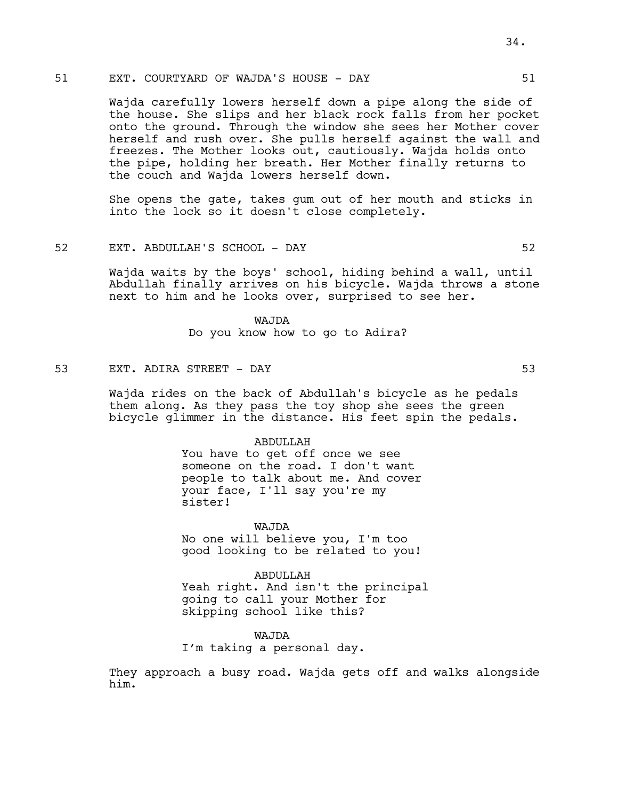# 51 EXT. COURTYARD OF WAJDA'S HOUSE - DAY 51

Wajda carefully lowers herself down a pipe along the side of the house. She slips and her black rock falls from her pocket onto the ground. Through the window she sees her Mother cover herself and rush over. She pulls herself against the wall and freezes. The Mother looks out, cautiously. Wajda holds onto the pipe, holding her breath. Her Mother finally returns to the couch and Wajda lowers herself down.

She opens the gate, takes gum out of her mouth and sticks in into the lock so it doesn't close completely.

#### 52 EXT. ABDULLAH'S SCHOOL - DAY 52

Wajda waits by the boys' school, hiding behind a wall, until Abdullah finally arrives on his bicycle. Wajda throws a stone next to him and he looks over, surprised to see her.

> WAJDA Do you know how to go to Adira?

# 53 EXT. ADIRA STREET - DAY 53

Wajda rides on the back of Abdullah's bicycle as he pedals them along. As they pass the toy shop she sees the green bicycle glimmer in the distance. His feet spin the pedals.

#### ABDULLAH

You have to get off once we see someone on the road. I don't want people to talk about me. And cover your face, I'll say you're my sister!

WAJDA No one will believe you, I'm too good looking to be related to you!

ABDULLAH Yeah right. And isn't the principal going to call your Mother for skipping school like this?

# WAJDA

I'm taking a personal day.

They approach a busy road. Wajda gets off and walks alongside him.

34.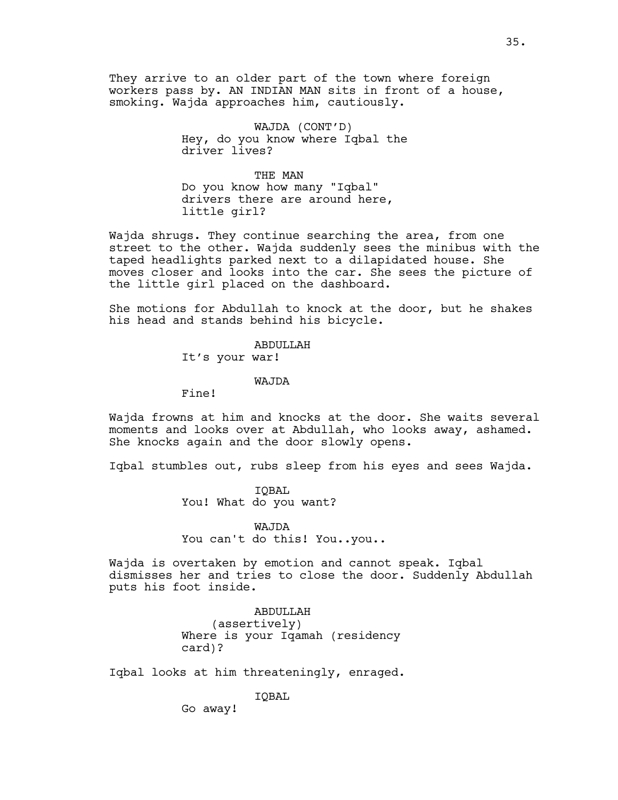They arrive to an older part of the town where foreign workers pass by. AN INDIAN MAN sits in front of a house, smoking. Wajda approaches him, cautiously.

> WAJDA (CONT'D) Hey, do you know where Iqbal the driver lives?

THE MAN Do you know how many "Iqbal" drivers there are around here, little girl?

Wajda shrugs. They continue searching the area, from one street to the other. Wajda suddenly sees the minibus with the taped headlights parked next to a dilapidated house. She moves closer and looks into the car. She sees the picture of the little girl placed on the dashboard.

She motions for Abdullah to knock at the door, but he shakes his head and stands behind his bicycle.

ABDULLAH

It's your war!

#### WAJDA

Fine!

Wajda frowns at him and knocks at the door. She waits several moments and looks over at Abdullah, who looks away, ashamed. She knocks again and the door slowly opens.

Iqbal stumbles out, rubs sleep from his eyes and sees Wajda.

IQBAL You! What do you want?

WAJDA You can't do this! You..you..

Wajda is overtaken by emotion and cannot speak. Iqbal dismisses her and tries to close the door. Suddenly Abdullah puts his foot inside.

> ABDULLAH (assertively) Where is your Iqamah (residency card)?

Iqbal looks at him threateningly, enraged.

IQBAL

Go away!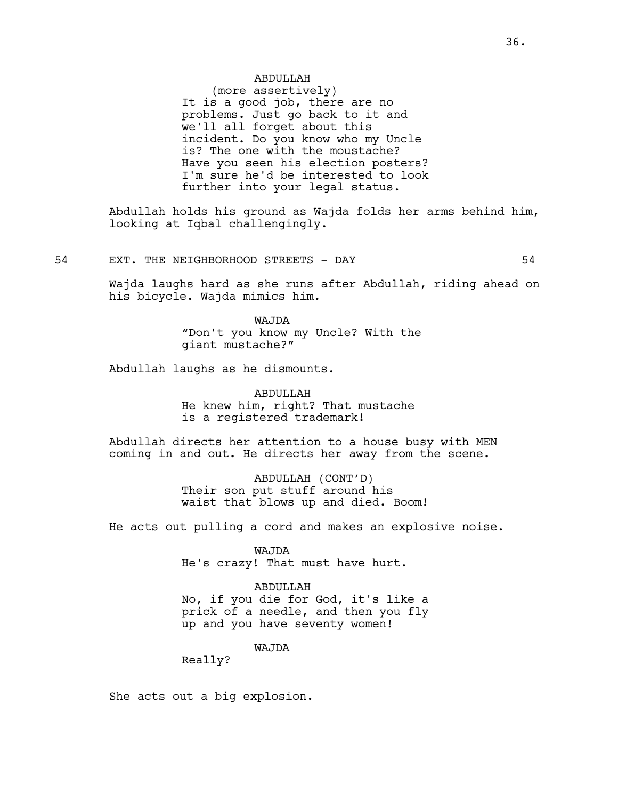# ABDULLAH

(more assertively) It is a good job, there are no problems. Just go back to it and we'll all forget about this incident. Do you know who my Uncle is? The one with the moustache? Have you seen his election posters? I'm sure he'd be interested to look further into your legal status.

Abdullah holds his ground as Wajda folds her arms behind him, looking at Iqbal challengingly.

54 EXT. THE NEIGHBORHOOD STREETS - DAY 64

Wajda laughs hard as she runs after Abdullah, riding ahead on his bicycle. Wajda mimics him.

> WAJDA "Don't you know my Uncle? With the giant mustache?"

Abdullah laughs as he dismounts.

ABDULLAH He knew him, right? That mustache is a registered trademark!

Abdullah directs her attention to a house busy with MEN coming in and out. He directs her away from the scene.

> ABDULLAH (CONT'D) Their son put stuff around his waist that blows up and died. Boom!

He acts out pulling a cord and makes an explosive noise.

WAJDA He's crazy! That must have hurt.

ABDULLAH No, if you die for God, it's like a prick of a needle, and then you fly up and you have seventy women!

WAJDA

Really?

She acts out a big explosion.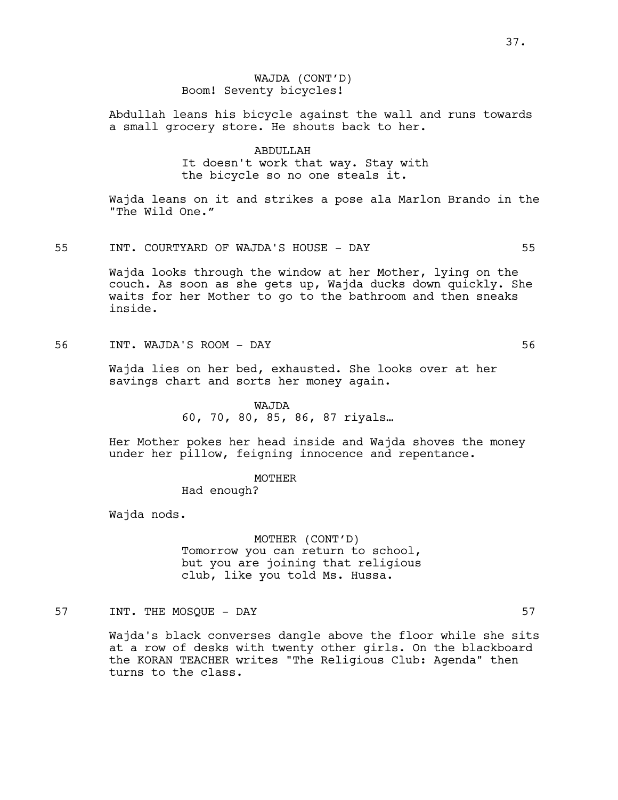# WAJDA (CONT'D) Boom! Seventy bicycles!

Abdullah leans his bicycle against the wall and runs towards a small grocery store. He shouts back to her.

# ABDULLAH

It doesn't work that way. Stay with the bicycle so no one steals it.

Wajda leans on it and strikes a pose ala Marlon Brando in the "The Wild One."

55 INT. COURTYARD OF WAJDA'S HOUSE - DAY 55

Wajda looks through the window at her Mother, lying on the couch. As soon as she gets up, Wajda ducks down quickly. She waits for her Mother to go to the bathroom and then sneaks inside.

56 INT. WAJDA'S ROOM - DAY 56

Wajda lies on her bed, exhausted. She looks over at her savings chart and sorts her money again.

WAJDA

60, 70, 80, 85, 86, 87 riyals…

Her Mother pokes her head inside and Wajda shoves the money under her pillow, feigning innocence and repentance.

MOTHER

Had enough?

Wajda nods.

MOTHER (CONT'D) Tomorrow you can return to school, but you are joining that religious club, like you told Ms. Hussa.

57 INT. THE MOSQUE – DAY 57

Wajda's black converses dangle above the floor while she sits at a row of desks with twenty other girls. On the blackboard the KORAN TEACHER writes "The Religious Club: Agenda" then turns to the class.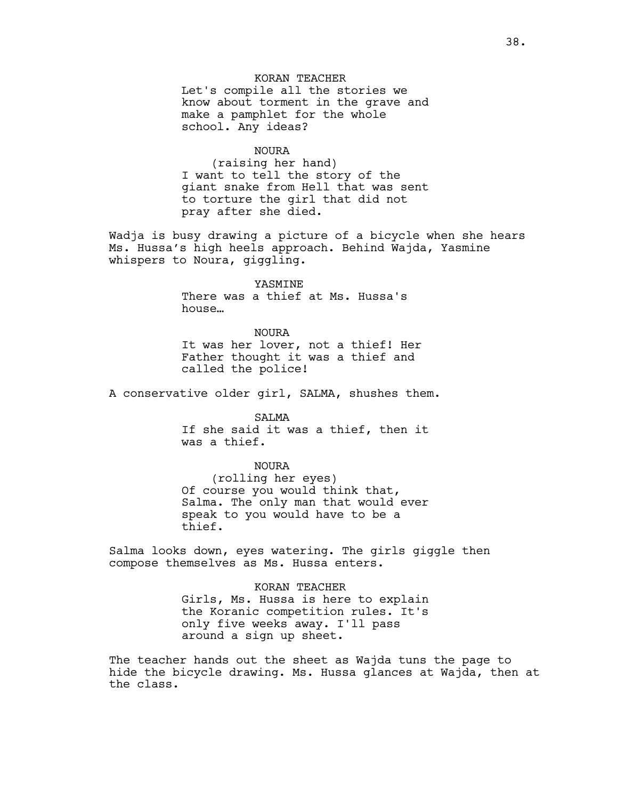KORAN TEACHER Let's compile all the stories we know about torment in the grave and make a pamphlet for the whole school. Any ideas?

#### NOURA

(raising her hand) I want to tell the story of the giant snake from Hell that was sent to torture the girl that did not pray after she died.

Wadja is busy drawing a picture of a bicycle when she hears Ms. Hussa's high heels approach. Behind Wajda, Yasmine whispers to Noura, giggling.

YASMINE

There was a thief at Ms. Hussa's house…

NOURA It was her lover, not a thief! Her Father thought it was a thief and called the police!

A conservative older girl, SALMA, shushes them.

SALMA If she said it was a thief, then it was a thief.

NOURA (rolling her eyes) Of course you would think that, Salma. The only man that would ever speak to you would have to be a thief.

Salma looks down, eyes watering. The girls giggle then compose themselves as Ms. Hussa enters.

> KORAN TEACHER Girls, Ms. Hussa is here to explain the Koranic competition rules. It's only five weeks away. I'll pass around a sign up sheet.

The teacher hands out the sheet as Wajda tuns the page to hide the bicycle drawing. Ms. Hussa glances at Wajda, then at the class.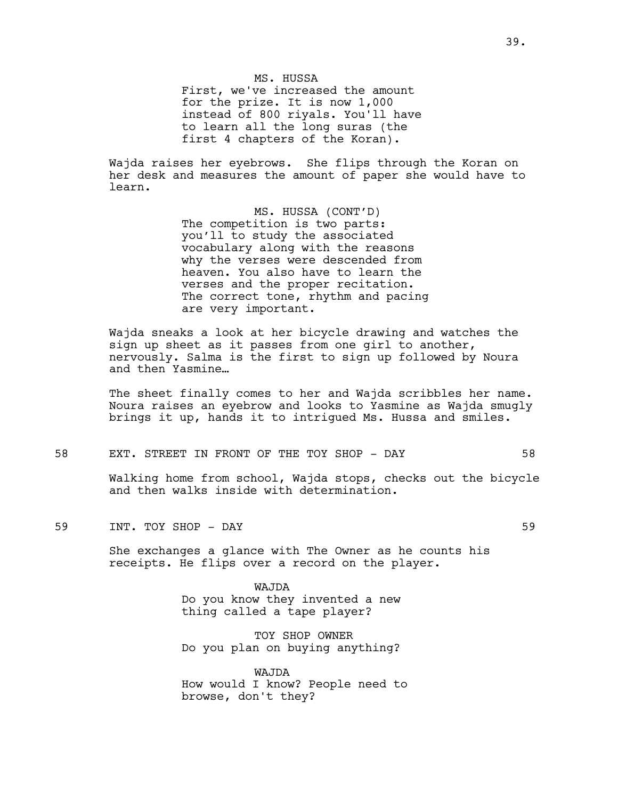MS. HUSSA First, we've increased the amount for the prize. It is now 1,000 instead of 800 riyals. You'll have to learn all the long suras (the first 4 chapters of the Koran).

Wajda raises her eyebrows. She flips through the Koran on her desk and measures the amount of paper she would have to learn.

> MS. HUSSA (CONT'D) The competition is two parts: you'll to study the associated vocabulary along with the reasons why the verses were descended from heaven. You also have to learn the verses and the proper recitation. The correct tone, rhythm and pacing are very important.

Wajda sneaks a look at her bicycle drawing and watches the sign up sheet as it passes from one girl to another, nervously. Salma is the first to sign up followed by Noura and then Yasmine…

The sheet finally comes to her and Wajda scribbles her name. Noura raises an eyebrow and looks to Yasmine as Wajda smugly brings it up, hands it to intrigued Ms. Hussa and smiles.

58 EXT. STREET IN FRONT OF THE TOY SHOP - DAY 58

Walking home from school, Wajda stops, checks out the bicycle and then walks inside with determination.

59 INT. TOY SHOP - DAY 59

She exchanges a glance with The Owner as he counts his receipts. He flips over a record on the player.

> WAJDA Do you know they invented a new thing called a tape player?

> TOY SHOP OWNER Do you plan on buying anything?

WAJDA How would I know? People need to browse, don't they?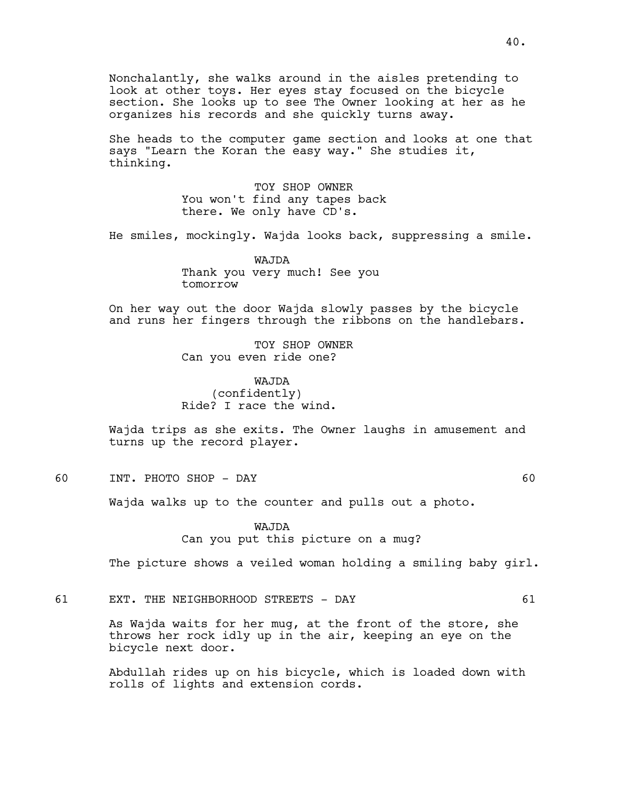Nonchalantly, she walks around in the aisles pretending to look at other toys. Her eyes stay focused on the bicycle section. She looks up to see The Owner looking at her as he organizes his records and she quickly turns away.

She heads to the computer game section and looks at one that says "Learn the Koran the easy way." She studies it, thinking.

> TOY SHOP OWNER You won't find any tapes back there. We only have CD's.

He smiles, mockingly. Wajda looks back, suppressing a smile.

WAJDA Thank you very much! See you tomorrow

On her way out the door Wajda slowly passes by the bicycle and runs her fingers through the ribbons on the handlebars.

> TOY SHOP OWNER Can you even ride one?

WAJDA (confidently) Ride? I race the wind.

Wajda trips as she exits. The Owner laughs in amusement and turns up the record player.

60 INT. PHOTO SHOP - DAY 60

Wajda walks up to the counter and pulls out a photo.

WAJDA Can you put this picture on a mug?

The picture shows a veiled woman holding a smiling baby girl.

61 EXT. THE NEIGHBORHOOD STREETS - DAY 61

As Wajda waits for her mug, at the front of the store, she throws her rock idly up in the air, keeping an eye on the bicycle next door.

Abdullah rides up on his bicycle, which is loaded down with rolls of lights and extension cords.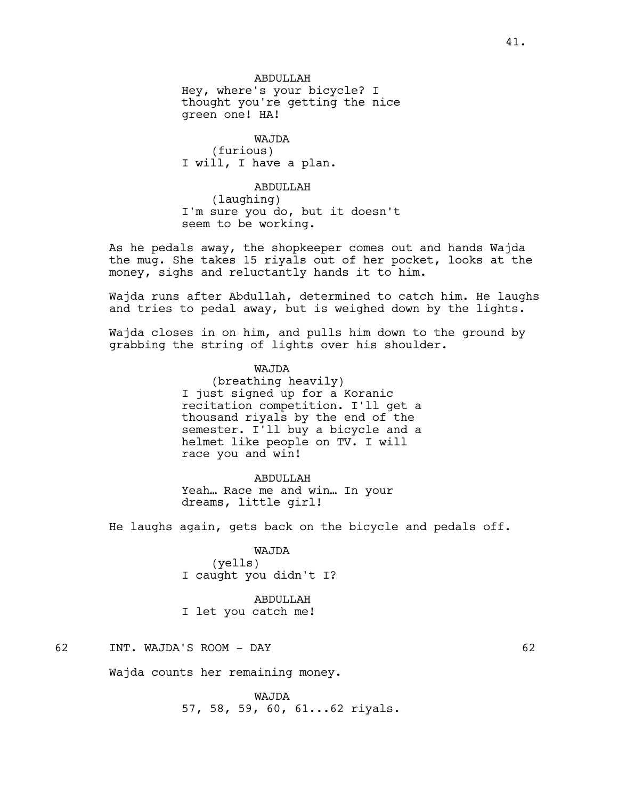# **ABDULLAH**

Hey, where's your bicycle? I thought you're getting the nice green one! HA!

WAJDA (furious) I will, I have a plan.

# ABDULLAH

(laughing) I'm sure you do, but it doesn't seem to be working.

As he pedals away, the shopkeeper comes out and hands Wajda the mug. She takes 15 riyals out of her pocket, looks at the money, sighs and reluctantly hands it to him.

Wajda runs after Abdullah, determined to catch him. He laughs and tries to pedal away, but is weighed down by the lights.

Wajda closes in on him, and pulls him down to the ground by grabbing the string of lights over his shoulder.

# WAJDA

(breathing heavily) I just signed up for a Koranic recitation competition. I'll get a thousand riyals by the end of the semester. I'll buy a bicycle and a helmet like people on TV. I will race you and win!

#### ABDULLAH

Yeah… Race me and win… In your dreams, little girl!

He laughs again, gets back on the bicycle and pedals off.

### WAJDA

(yells) I caught you didn't I?

ABDULLAH I let you catch me!

### 62 INT. WAJDA'S ROOM - DAY 62

Wajda counts her remaining money.

WAJDA 57, 58, 59, 60, 61...62 riyals.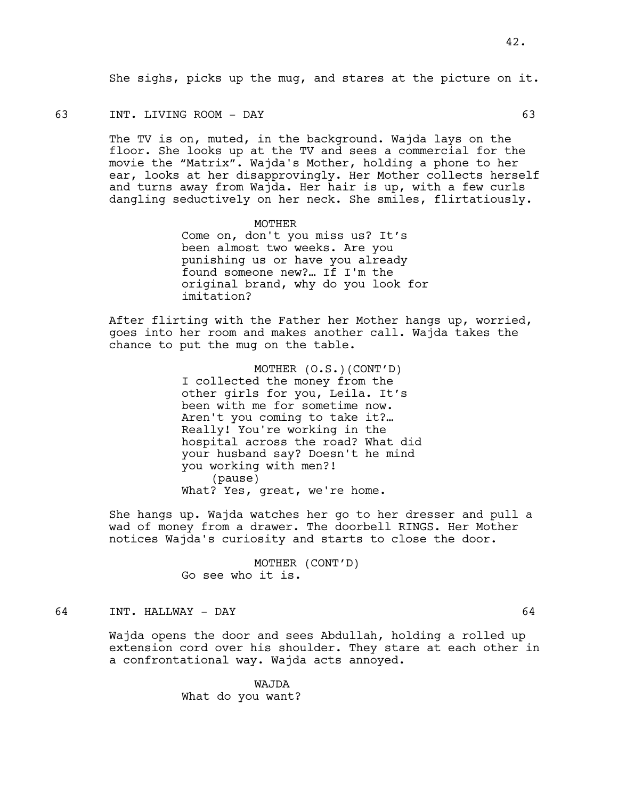She sighs, picks up the mug, and stares at the picture on it.

63 INT. LIVING ROOM - DAY 63

The TV is on, muted, in the background. Wajda lays on the floor. She looks up at the TV and sees a commercial for the movie the "Matrix". Wajda's Mother, holding a phone to her ear, looks at her disapprovingly. Her Mother collects herself and turns away from Wajda. Her hair is up, with a few curls dangling seductively on her neck. She smiles, flirtatiously.

> MOTHER Come on, don't you miss us? It's been almost two weeks. Are you punishing us or have you already found someone new?… If I'm the original brand, why do you look for imitation?

After flirting with the Father her Mother hangs up, worried, goes into her room and makes another call. Wajda takes the chance to put the mug on the table.

> MOTHER (O.S.)(CONT'D) I collected the money from the other girls for you, Leila. It's been with me for sometime now. Aren't you coming to take it?… Really! You're working in the hospital across the road? What did your husband say? Doesn't he mind you working with men?! (pause) What? Yes, great, we're home.

She hangs up. Wajda watches her go to her dresser and pull a wad of money from a drawer. The doorbell RINGS. Her Mother notices Wajda's curiosity and starts to close the door.

> MOTHER (CONT'D) Go see who it is.

# 64 INT. HALLWAY - DAY 64

Wajda opens the door and sees Abdullah, holding a rolled up extension cord over his shoulder. They stare at each other in a confrontational way. Wajda acts annoyed.

> WAJDA What do you want?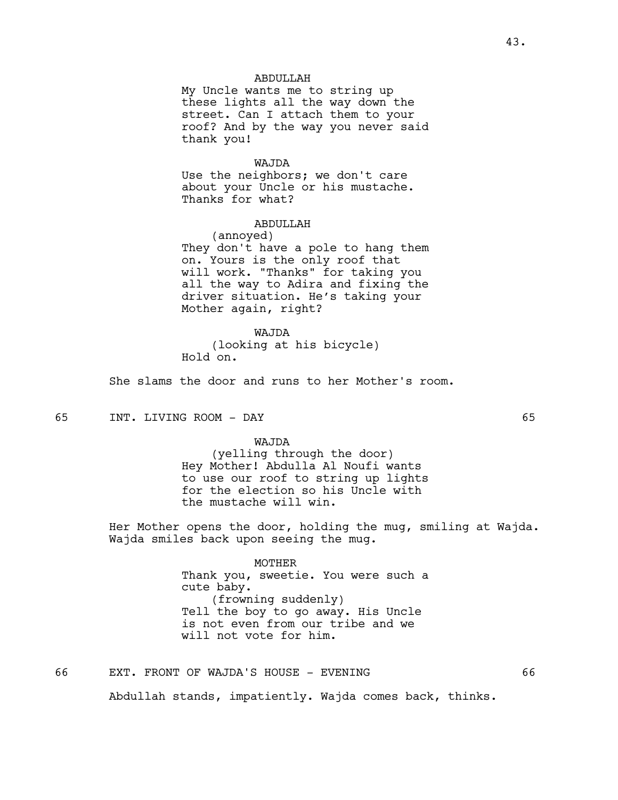### ABDULLAH

My Uncle wants me to string up these lights all the way down the street. Can I attach them to your roof? And by the way you never said thank you!

#### WAJDA

Use the neighbors; we don't care about your Uncle or his mustache. Thanks for what?

### ABDULLAH

(annoyed) They don't have a pole to hang them on. Yours is the only roof that will work. "Thanks" for taking you all the way to Adira and fixing the driver situation. He's taking your Mother again, right?

WAJDA (looking at his bicycle) Hold on.

She slams the door and runs to her Mother's room.

65 INT. LIVING ROOM - DAY 65

#### WAJDA

(yelling through the door) Hey Mother! Abdulla Al Noufi wants to use our roof to string up lights for the election so his Uncle with the mustache will win.

Her Mother opens the door, holding the mug, smiling at Wajda. Wajda smiles back upon seeing the mug.

> MOTHER Thank you, sweetie. You were such a cute baby. (frowning suddenly) Tell the boy to go away. His Uncle is not even from our tribe and we will not vote for him.

66 EXT. FRONT OF WAJDA'S HOUSE - EVENING 66

Abdullah stands, impatiently. Wajda comes back, thinks.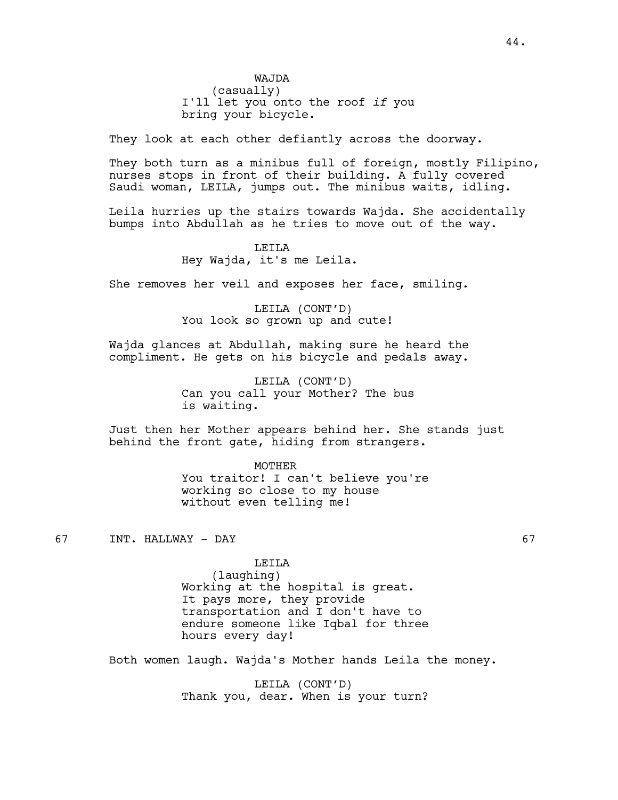bring your bicycle.

They look at each other defiantly across the doorway.

They both turn as a minibus full of foreign, mostly Filipino, nurses stops in front of their building. A fully covered Saudi woman, LEILA, jumps out. The minibus waits, idling.

Leila hurries up the stairs towards Wajda. She accidentally bumps into Abdullah as he tries to move out of the way.

### LEILA

Hey Wajda, it's me Leila.

She removes her veil and exposes her face, smiling.

LEILA (CONT'D) You look so grown up and cute!

Wajda glances at Abdullah, making sure he heard the compliment. He gets on his bicycle and pedals away.

> LEILA (CONT'D) Can you call your Mother? The bus is waiting.

Just then her Mother appears behind her. She stands just behind the front gate, hiding from strangers.

> MOTHER You traitor! I can't believe you're working so close to my house without even telling me!

67 INT. HALLWAY - DAY 67

LEILA

(laughing) Working at the hospital is great. It pays more, they provide transportation and I don't have to endure someone like Iqbal for three hours every day!

Both women laugh. Wajda's Mother hands Leila the money.

LEILA (CONT'D) Thank you, dear. When is your turn?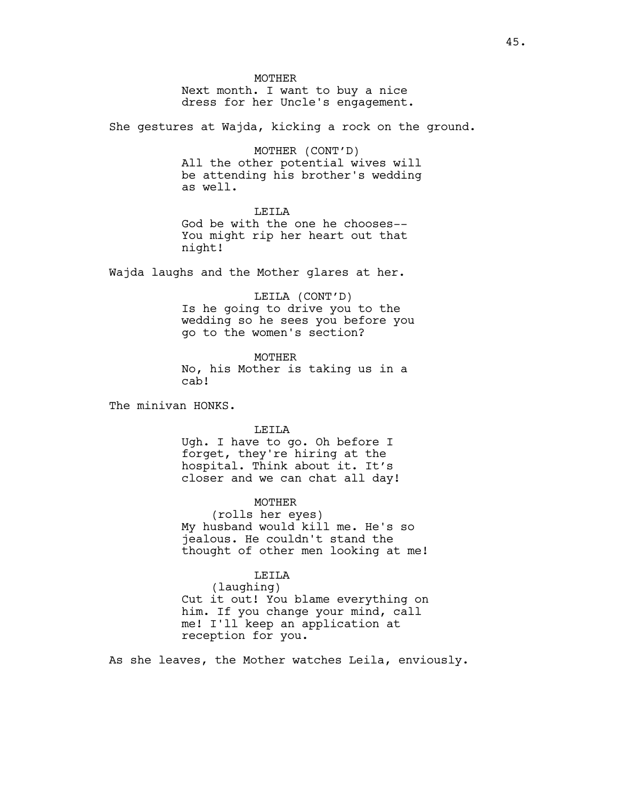**MOTHER** Next month. I want to buy a nice dress for her Uncle's engagement.

She gestures at Wajda, kicking a rock on the ground.

### MOTHER (CONT'D)

All the other potential wives will be attending his brother's wedding as well.

### LEILA

God be with the one he chooses-- You might rip her heart out that night!

Wajda laughs and the Mother glares at her.

LEILA (CONT'D) Is he going to drive you to the wedding so he sees you before you go to the women's section?

MOTHER No, his Mother is taking us in a cab!

The minivan HONKS.

LEILA

Ugh. I have to go. Oh before I forget, they're hiring at the hospital. Think about it. It's closer and we can chat all day!

#### **MOTHER**

(rolls her eyes) My husband would kill me. He's so jealous. He couldn't stand the thought of other men looking at me!

#### LEILA

(laughing) Cut it out! You blame everything on him. If you change your mind, call me! I'll keep an application at reception for you.

As she leaves, the Mother watches Leila, enviously.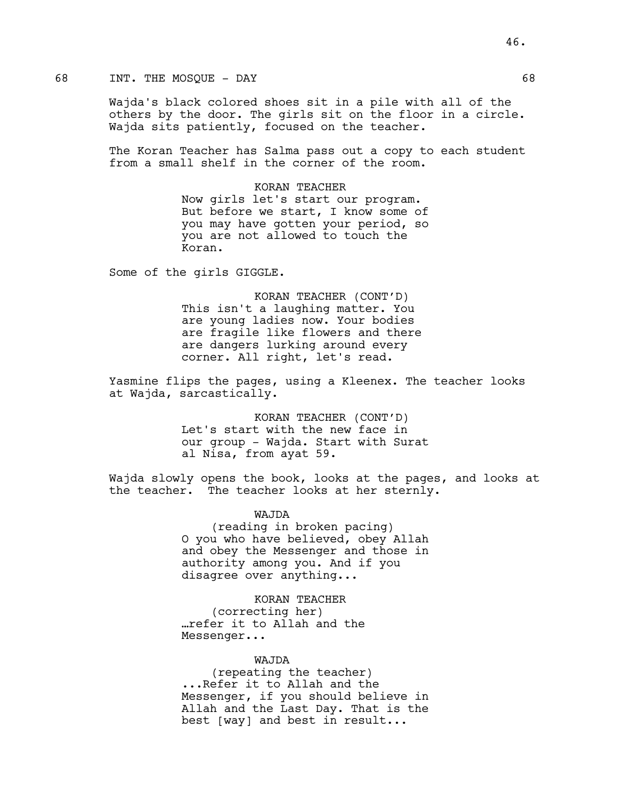# 68 INT. THE MOSQUE - DAY

Wajda's black colored shoes sit in a pile with all of the others by the door. The girls sit on the floor in a circle. Wajda sits patiently, focused on the teacher.

The Koran Teacher has Salma pass out a copy to each student from a small shelf in the corner of the room.

> KORAN TEACHER Now girls let's start our program. But before we start, I know some of you may have gotten your period, so you are not allowed to touch the Koran.

Some of the girls GIGGLE.

KORAN TEACHER (CONT'D) This isn't a laughing matter. You are young ladies now. Your bodies are fragile like flowers and there are dangers lurking around every corner. All right, let's read.

Yasmine flips the pages, using a Kleenex. The teacher looks at Wajda, sarcastically.

> KORAN TEACHER (CONT'D) Let's start with the new face in our group - Wajda. Start with Surat al Nisa, from ayat 59.

Wajda slowly opens the book, looks at the pages, and looks at the teacher. The teacher looks at her sternly.

WAJDA

(reading in broken pacing) O you who have believed, obey Allah and obey the Messenger and those in authority among you. And if you disagree over anything...

KORAN TEACHER (correcting her) …refer it to Allah and the Messenger...

# WAJDA

(repeating the teacher) ...Refer it to Allah and the Messenger, if you should believe in Allah and the Last Day. That is the best [way] and best in result...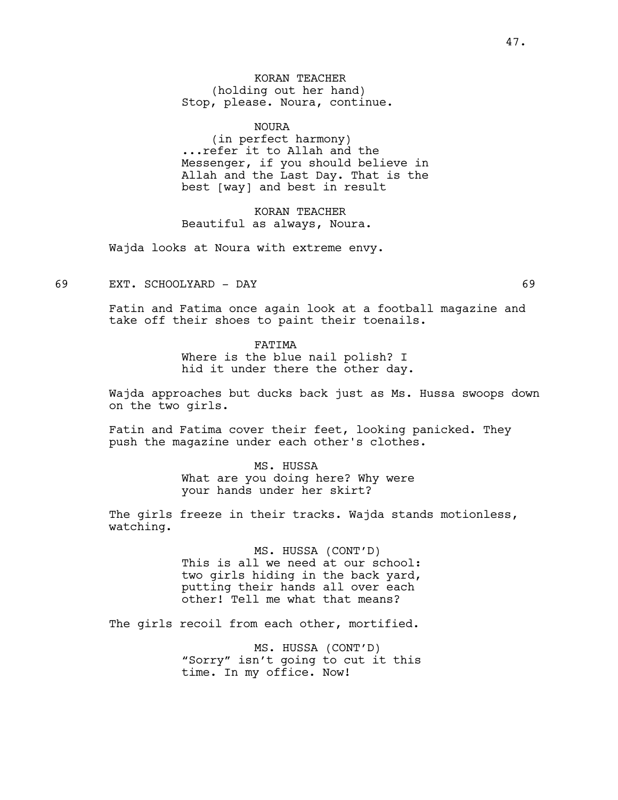KORAN TEACHER (holding out her hand) Stop, please. Noura, continue.

NOURA

(in perfect harmony) ...refer it to Allah and the Messenger, if you should believe in Allah and the Last Day. That is the best [way] and best in result

KORAN TEACHER Beautiful as always, Noura.

Wajda looks at Noura with extreme envy.

69 EXT. SCHOOLYARD - DAY 69

Fatin and Fatima once again look at a football magazine and take off their shoes to paint their toenails.

FATIMA

Where is the blue nail polish? I hid it under there the other day.

Wajda approaches but ducks back just as Ms. Hussa swoops down on the two girls.

Fatin and Fatima cover their feet, looking panicked. They push the magazine under each other's clothes.

> MS. HUSSA What are you doing here? Why were your hands under her skirt?

The girls freeze in their tracks. Wajda stands motionless, watching.

> MS. HUSSA (CONT'D) This is all we need at our school: two girls hiding in the back yard, putting their hands all over each other! Tell me what that means?

The girls recoil from each other, mortified.

MS. HUSSA (CONT'D) "Sorry" isn't going to cut it this time. In my office. Now!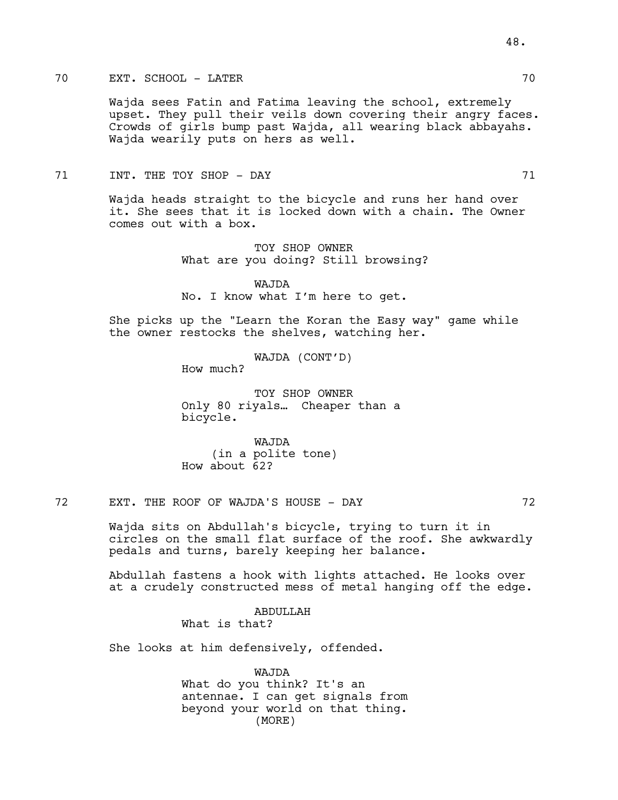# 70 EXT. SCHOOL - LATER 70

Wajda sees Fatin and Fatima leaving the school, extremely upset. They pull their veils down covering their angry faces. Crowds of girls bump past Wajda, all wearing black abbayahs. Wajda wearily puts on hers as well.

### 71 INT. THE TOY SHOP - DAY 71

Wajda heads straight to the bicycle and runs her hand over it. She sees that it is locked down with a chain. The Owner comes out with a box.

> TOY SHOP OWNER What are you doing? Still browsing?

WAJDA No. I know what I'm here to get.

She picks up the "Learn the Koran the Easy way" game while the owner restocks the shelves, watching her.

WAJDA (CONT'D)

How much?

TOY SHOP OWNER Only 80 riyals… Cheaper than a bicycle.

WAJDA (in a polite tone) How about 62?

72 EXT. THE ROOF OF WAJDA'S HOUSE - DAY 72

Wajda sits on Abdullah's bicycle, trying to turn it in circles on the small flat surface of the roof. She awkwardly pedals and turns, barely keeping her balance.

Abdullah fastens a hook with lights attached. He looks over at a crudely constructed mess of metal hanging off the edge.

> ABDULLAH What is that?

She looks at him defensively, offended.

WAJDA What do you think? It's an antennae. I can get signals from beyond your world on that thing. (MORE)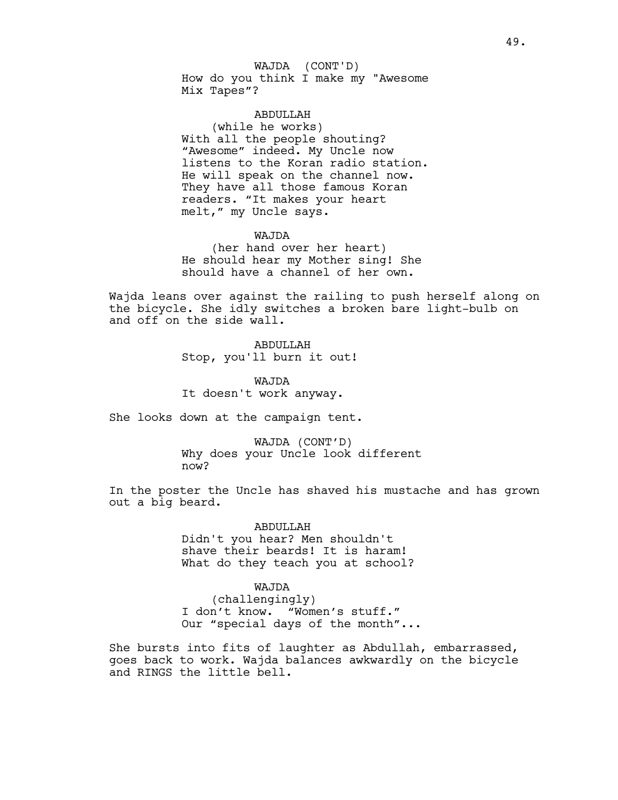How do you think I make my "Awesome Mix Tapes"? WAJDA (CONT'D)

### ABDULLAH

(while he works) With all the people shouting? "Awesome" indeed. My Uncle now listens to the Koran radio station. He will speak on the channel now. They have all those famous Koran readers. "It makes your heart melt," my Uncle says.

### WAJDA

(her hand over her heart) He should hear my Mother sing! She should have a channel of her own.

Wajda leans over against the railing to push herself along on the bicycle. She idly switches a broken bare light-bulb on and off on the side wall.

> **ABDULLAH** Stop, you'll burn it out!

WAJDA It doesn't work anyway.

She looks down at the campaign tent.

WAJDA (CONT'D) Why does your Uncle look different now?

In the poster the Uncle has shaved his mustache and has grown out a big beard.

> ABDULLAH Didn't you hear? Men shouldn't shave their beards! It is haram! What do they teach you at school?

### WAJDA

(challengingly) I don't know. "Women's stuff." Our "special days of the month"...

She bursts into fits of laughter as Abdullah, embarrassed, goes back to work. Wajda balances awkwardly on the bicycle and RINGS the little bell.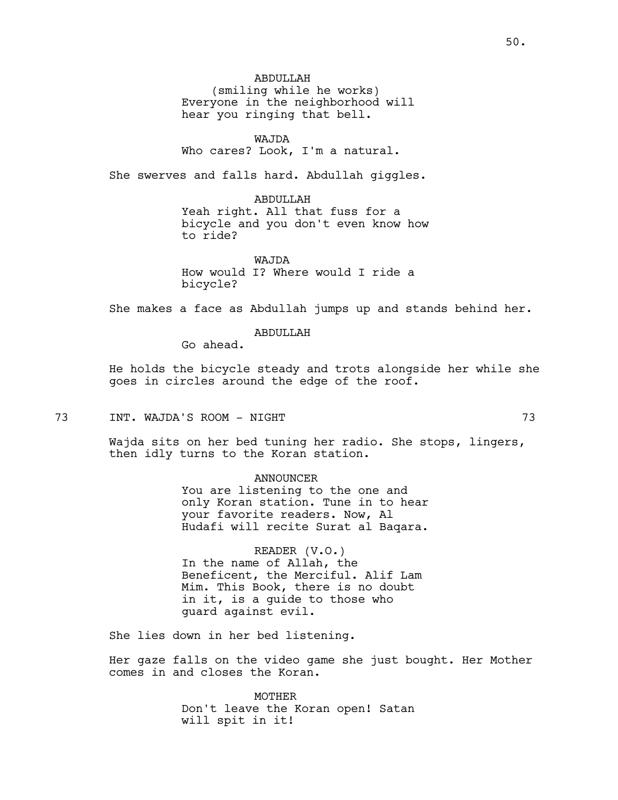(smiling while he works) Everyone in the neighborhood will hear you ringing that bell.

### WAJDA

### Who cares? Look, I'm a natural.

She swerves and falls hard. Abdullah giggles.

#### ABDULLAH

Yeah right. All that fuss for a bicycle and you don't even know how to ride?

WAJDA How would I? Where would I ride a bicycle?

She makes a face as Abdullah jumps up and stands behind her.

ABDULLAH

Go ahead.

He holds the bicycle steady and trots alongside her while she goes in circles around the edge of the roof.

73 INT. WAJDA'S ROOM - NIGHT 73

Wajda sits on her bed tuning her radio. She stops, lingers, then idly turns to the Koran station.

> ANNOUNCER You are listening to the one and only Koran station. Tune in to hear your favorite readers. Now, Al Hudafi will recite Surat al Baqara.

READER (V.O.) In the name of Allah, the Beneficent, the Merciful. Alif Lam Mim. This Book, there is no doubt in it, is a guide to those who guard against evil.

She lies down in her bed listening.

Her gaze falls on the video game she just bought. Her Mother comes in and closes the Koran.

> MOTHER Don't leave the Koran open! Satan will spit in it!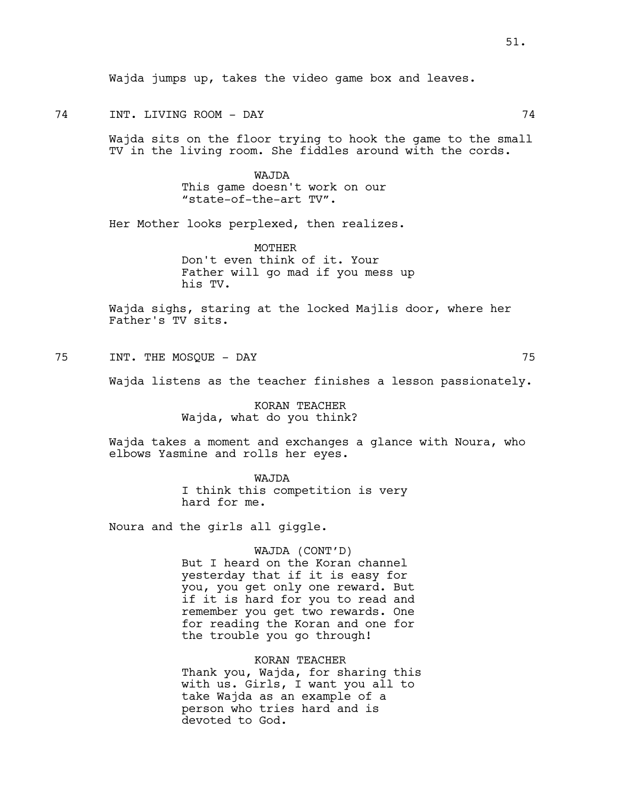Wajda jumps up, takes the video game box and leaves.

74 INT. LIVING ROOM - DAY 74

Wajda sits on the floor trying to hook the game to the small TV in the living room. She fiddles around with the cords.

> WAJDA This game doesn't work on our "state-of-the-art TV".

Her Mother looks perplexed, then realizes.

MOTHER Don't even think of it. Your Father will go mad if you mess up his TV.

Wajda sighs, staring at the locked Majlis door, where her Father's TV sits.

75 INT. THE MOSQUE - DAY 75

Wajda listens as the teacher finishes a lesson passionately.

KORAN TEACHER Wajda, what do you think?

Wajda takes a moment and exchanges a glance with Noura, who elbows Yasmine and rolls her eyes.

> WAJDA I think this competition is very hard for me.

Noura and the girls all giggle.

#### WAJDA (CONT'D)

But I heard on the Koran channel yesterday that if it is easy for you, you get only one reward. But if it is hard for you to read and remember you get two rewards. One for reading the Koran and one for the trouble you go through!

KORAN TEACHER Thank you, Wajda, for sharing this with us. Girls, I want you all to take Wajda as an example of a person who tries hard and is devoted to God.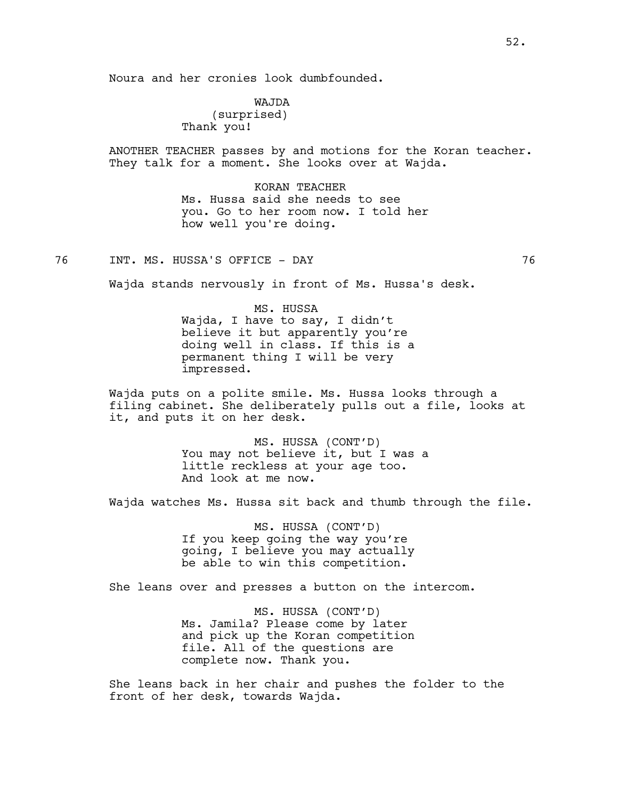Noura and her cronies look dumbfounded.

WAJDA (surprised) Thank you!

ANOTHER TEACHER passes by and motions for the Koran teacher. They talk for a moment. She looks over at Wajda.

> KORAN TEACHER Ms. Hussa said she needs to see you. Go to her room now. I told her how well you're doing.

76 INT. MS. HUSSA'S OFFICE - DAY 76

Wajda stands nervously in front of Ms. Hussa's desk.

MS. HUSSA Wajda, I have to say, I didn't believe it but apparently you're doing well in class. If this is a permanent thing I will be very impressed.

Wajda puts on a polite smile. Ms. Hussa looks through a filing cabinet. She deliberately pulls out a file, looks at it, and puts it on her desk.

> MS. HUSSA (CONT'D) You may not believe it, but I was a little reckless at your age too. And look at me now.

Wajda watches Ms. Hussa sit back and thumb through the file.

MS. HUSSA (CONT'D) If you keep going the way you're going, I believe you may actually be able to win this competition.

She leans over and presses a button on the intercom.

MS. HUSSA (CONT'D) Ms. Jamila? Please come by later and pick up the Koran competition file. All of the questions are complete now. Thank you.

She leans back in her chair and pushes the folder to the front of her desk, towards Wajda.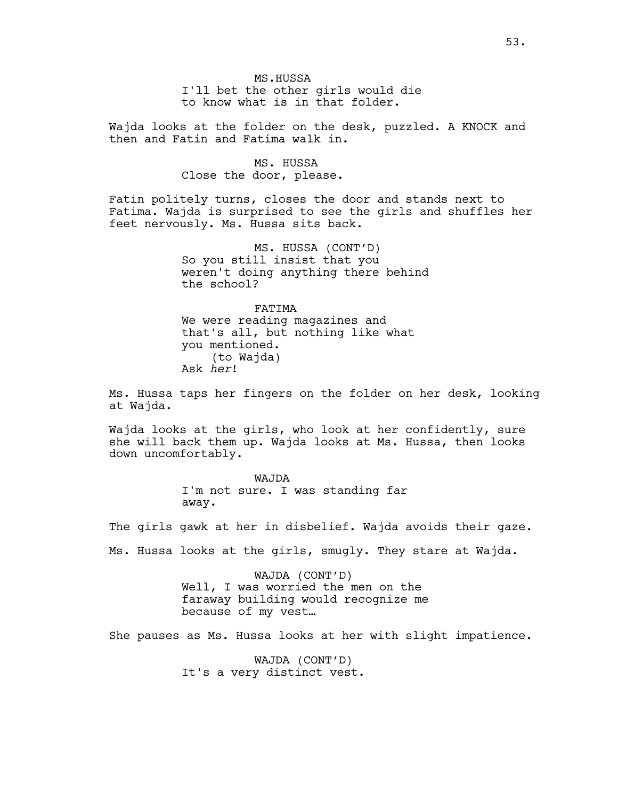MS.HUSSA I'll bet the other girls would die to know what is in that folder.

Wajda looks at the folder on the desk, puzzled. A KNOCK and then and Fatin and Fatima walk in.

> MS. HUSSA Close the door, please.

Fatin politely turns, closes the door and stands next to Fatima. Wajda is surprised to see the girls and shuffles her feet nervously. Ms. Hussa sits back.

> MS. HUSSA (CONT'D) So you still insist that you weren't doing anything there behind the school?

FATIMA We were reading magazines and that's all, but nothing like what you mentioned. (to Wajda) Ask *her*!

Ms. Hussa taps her fingers on the folder on her desk, looking at Wajda.

Wajda looks at the girls, who look at her confidently, sure she will back them up. Wajda looks at Ms. Hussa, then looks down uncomfortably.

> WAJDA I'm not sure. I was standing far away.

The girls gawk at her in disbelief. Wajda avoids their gaze.

Ms. Hussa looks at the girls, smugly. They stare at Wajda.

WAJDA (CONT'D) Well, I was worried the men on the faraway building would recognize me because of my vest…

She pauses as Ms. Hussa looks at her with slight impatience.

WAJDA (CONT'D) It's a very distinct vest.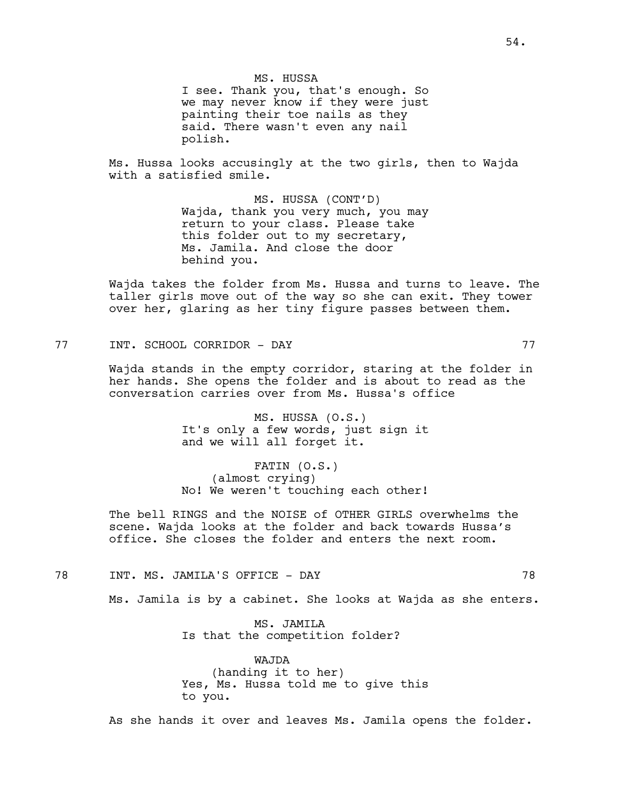MS. HUSSA I see. Thank you, that's enough. So we may never know if they were just painting their toe nails as they said. There wasn't even any nail polish.

Ms. Hussa looks accusingly at the two girls, then to Wajda with a satisfied smile.

> MS. HUSSA (CONT'D) Wajda, thank you very much, you may return to your class. Please take this folder out to my secretary, Ms. Jamila. And close the door behind you.

Wajda takes the folder from Ms. Hussa and turns to leave. The taller girls move out of the way so she can exit. They tower over her, glaring as her tiny figure passes between them.

77 INT. SCHOOL CORRIDOR - DAY 77

Wajda stands in the empty corridor, staring at the folder in her hands. She opens the folder and is about to read as the conversation carries over from Ms. Hussa's office

> MS. HUSSA (O.S.) It's only a few words, just sign it and we will all forget it.

FATIN (O.S.) (almost crying) No! We weren't touching each other!

The bell RINGS and the NOISE of OTHER GIRLS overwhelms the scene. Wajda looks at the folder and back towards Hussa's office. She closes the folder and enters the next room.

78 INT. MS. JAMILA'S OFFICE - DAY 78

Ms. Jamila is by a cabinet. She looks at Wajda as she enters.

MS. JAMILA Is that the competition folder?

WAJDA (handing it to her) Yes, Ms. Hussa told me to give this to you.

As she hands it over and leaves Ms. Jamila opens the folder.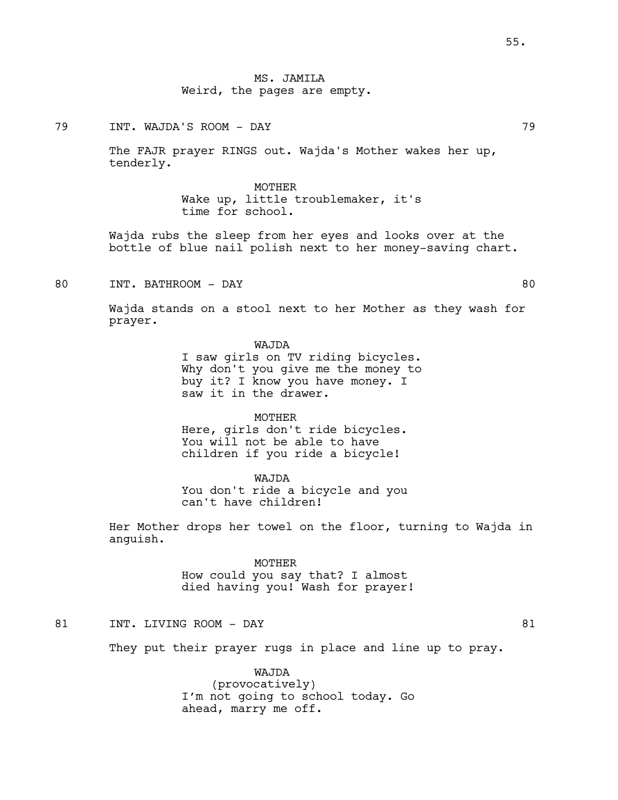79 INT. WAJDA'S ROOM - DAY 79

The FAJR prayer RINGS out. Wajda's Mother wakes her up, tenderly.

> MOTHER Wake up, little troublemaker, it's time for school.

Wajda rubs the sleep from her eyes and looks over at the bottle of blue nail polish next to her money-saving chart.

80 INT. BATHROOM - DAY 80

Wajda stands on a stool next to her Mother as they wash for prayer.

WAJDA

I saw girls on TV riding bicycles. Why don't you give me the money to buy it? I know you have money. I saw it in the drawer.

MOTHER Here, girls don't ride bicycles. You will not be able to have children if you ride a bicycle!

WAJDA You don't ride a bicycle and you can't have children!

Her Mother drops her towel on the floor, turning to Wajda in anguish.

> MOTHER How could you say that? I almost died having you! Wash for prayer!

81 INT. LIVING ROOM – DAY 81

They put their prayer rugs in place and line up to pray.

WAJDA (provocatively) I'm not going to school today. Go ahead, marry me off.

55.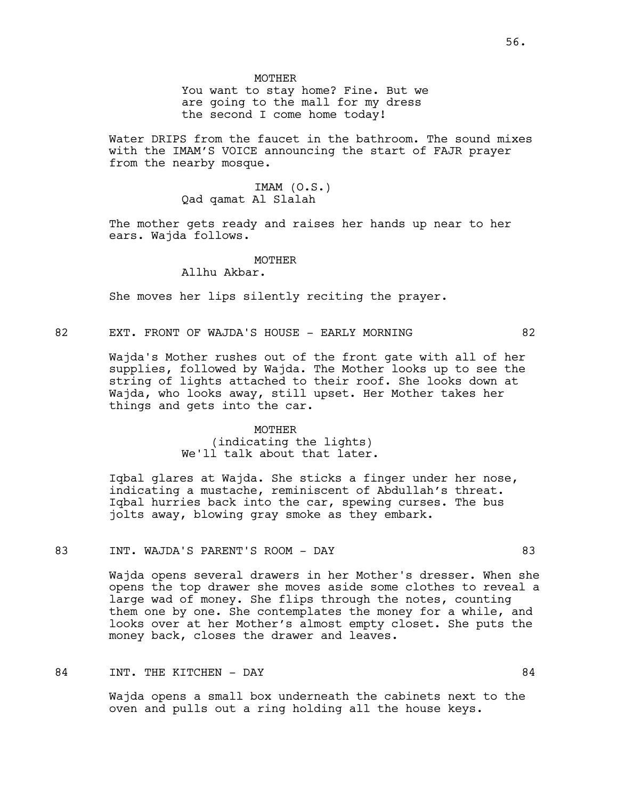**MOTHER** 

You want to stay home? Fine. But we are going to the mall for my dress the second I come home today!

Water DRIPS from the faucet in the bathroom. The sound mixes with the IMAM'S VOICE announcing the start of FAJR prayer from the nearby mosque.

# IMAM (O.S.) Qad qamat Al Slalah

The mother gets ready and raises her hands up near to her ears. Wajda follows.

#### **MOTHER**

Allhu Akbar.

She moves her lips silently reciting the prayer.

82 EXT. FRONT OF WAJDA'S HOUSE - EARLY MORNING 62

Wajda's Mother rushes out of the front gate with all of her supplies, followed by Wajda. The Mother looks up to see the string of lights attached to their roof. She looks down at Wajda, who looks away, still upset. Her Mother takes her things and gets into the car.

#### MOTHER

(indicating the lights) We'll talk about that later.

Iqbal glares at Wajda. She sticks a finger under her nose, indicating a mustache, reminiscent of Abdullah's threat. Iqbal hurries back into the car, spewing curses. The bus jolts away, blowing gray smoke as they embark.

# 83 INT. WAJDA'S PARENT'S ROOM - DAY 63

Wajda opens several drawers in her Mother's dresser. When she opens the top drawer she moves aside some clothes to reveal a large wad of money. She flips through the notes, counting them one by one. She contemplates the money for a while, and looks over at her Mother's almost empty closet. She puts the money back, closes the drawer and leaves.

### 84 INT. THE KITCHEN - DAY 64

Wajda opens a small box underneath the cabinets next to the oven and pulls out a ring holding all the house keys.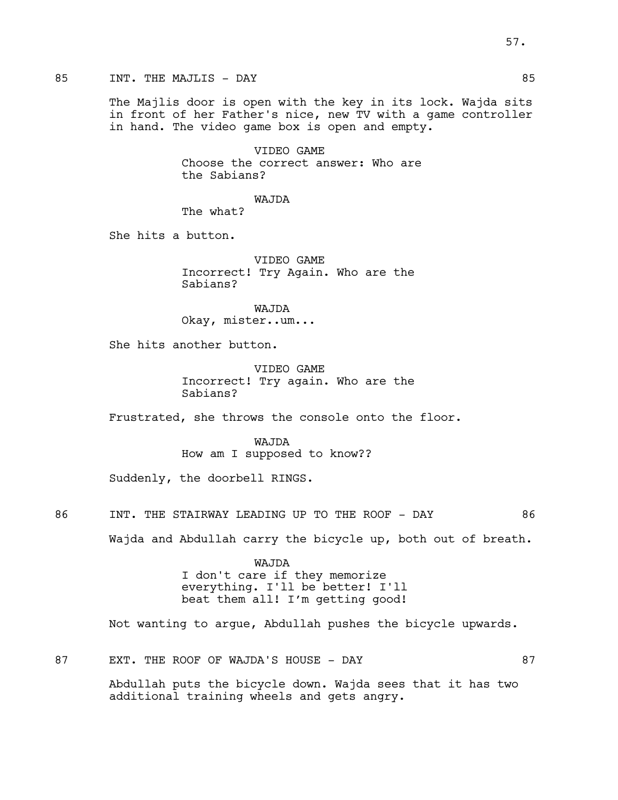85 INT. THE MAJLIS – DAY 85

The Majlis door is open with the key in its lock. Wajda sits in front of her Father's nice, new TV with a game controller in hand. The video game box is open and empty.

> VIDEO GAME Choose the correct answer: Who are the Sabians?

WAJDA The what?

She hits a button.

VIDEO GAME Incorrect! Try Again. Who are the Sabians?

WAJDA Okay, mister..um...

She hits another button.

VIDEO GAME Incorrect! Try again. Who are the Sabians?

Frustrated, she throws the console onto the floor.

WAJDA How am I supposed to know??

Suddenly, the doorbell RINGS.

86 INT. THE STAIRWAY LEADING UP TO THE ROOF - DAY 86

Wajda and Abdullah carry the bicycle up, both out of breath.

WAJDA I don't care if they memorize everything. I'll be better! I'll beat them all! I'm getting good!

Not wanting to argue, Abdullah pushes the bicycle upwards.

87 EXT. THE ROOF OF WAJDA'S HOUSE - DAY 67

Abdullah puts the bicycle down. Wajda sees that it has two additional training wheels and gets angry.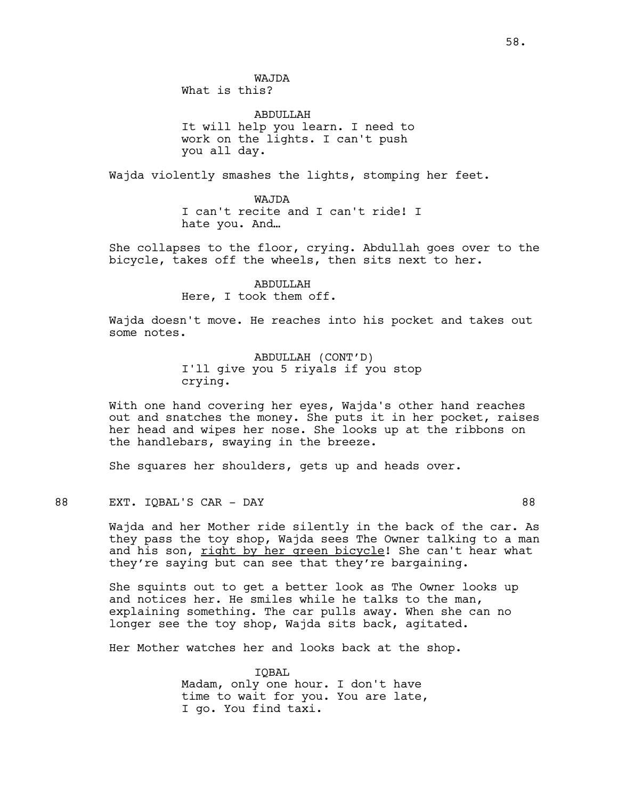WAJDA What is this?

**ABDULLAH** It will help you learn. I need to work on the lights. I can't push you all day.

Wajda violently smashes the lights, stomping her feet.

WAJDA I can't recite and I can't ride! I hate you. And…

She collapses to the floor, crying. Abdullah goes over to the bicycle, takes off the wheels, then sits next to her.

> ABDULLAH Here, I took them off.

Wajda doesn't move. He reaches into his pocket and takes out some notes.

> ABDULLAH (CONT'D) I'll give you 5 riyals if you stop crying.

With one hand covering her eyes, Wajda's other hand reaches out and snatches the money. She puts it in her pocket, raises her head and wipes her nose. She looks up at the ribbons on the handlebars, swaying in the breeze.

She squares her shoulders, gets up and heads over.

88 EXT. IQBAL'S CAR – DAY 88

Wajda and her Mother ride silently in the back of the car. As they pass the toy shop, Wajda sees The Owner talking to a man and his son, right by her green bicycle! She can't hear what they're saying but can see that they're bargaining.

She squints out to get a better look as The Owner looks up and notices her. He smiles while he talks to the man, explaining something. The car pulls away. When she can no longer see the toy shop, Wajda sits back, agitated.

Her Mother watches her and looks back at the shop.

IQBAL Madam, only one hour. I don't have time to wait for you. You are late, I go. You find taxi.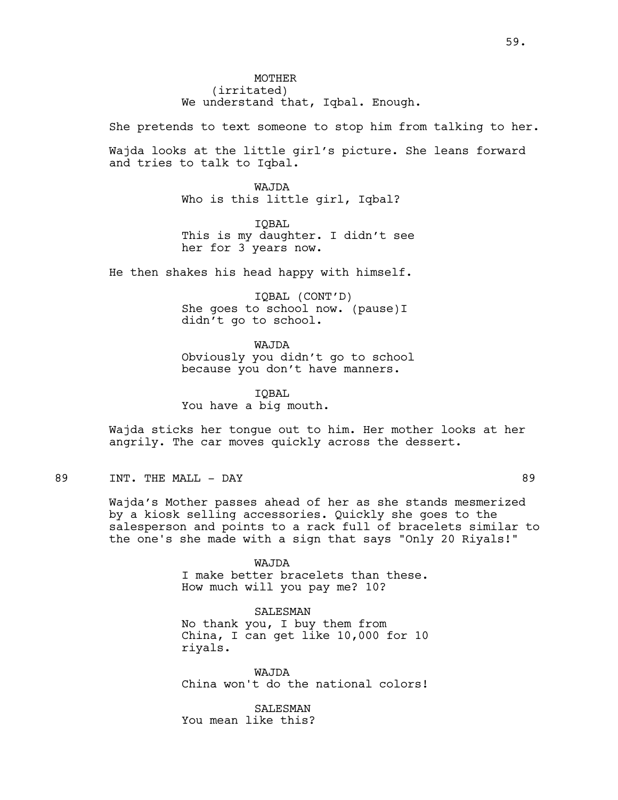**MOTHER** (irritated) We understand that, Iqbal. Enough.

She pretends to text someone to stop him from talking to her.

Wajda looks at the little girl's picture. She leans forward and tries to talk to Iqbal.

> WAJDA Who is this little girl, Iqbal?

IQBAL This is my daughter. I didn't see her for 3 years now.

He then shakes his head happy with himself.

IQBAL (CONT'D) She goes to school now. (pause)I didn't go to school.

WAJDA Obviously you didn't go to school because you don't have manners.

IQBAL You have a big mouth.

Wajda sticks her tongue out to him. Her mother looks at her angrily. The car moves quickly across the dessert.

# 89 INT. THE MALL – DAY 89

Wajda's Mother passes ahead of her as she stands mesmerized by a kiosk selling accessories. Quickly she goes to the salesperson and points to a rack full of bracelets similar to the one's she made with a sign that says "Only 20 Riyals!"

> WAJDA I make better bracelets than these. How much will you pay me? 10?

SALESMAN No thank you, I buy them from

China, I can get like 10,000 for 10 riyals.

WAJDA China won't do the national colors!

**SALESMAN** You mean like this?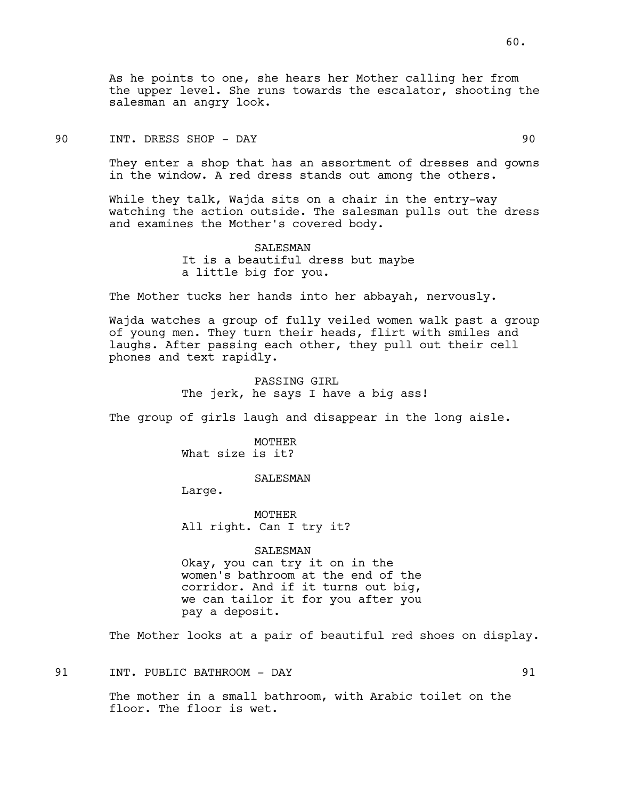As he points to one, she hears her Mother calling her from the upper level. She runs towards the escalator, shooting the salesman an angry look.

# 90 INT. DRESS SHOP - DAY 90

They enter a shop that has an assortment of dresses and gowns in the window. A red dress stands out among the others.

While they talk, Wajda sits on a chair in the entry-way watching the action outside. The salesman pulls out the dress and examines the Mother's covered body.

> SALESMAN It is a beautiful dress but maybe a little big for you.

The Mother tucks her hands into her abbayah, nervously.

Wajda watches a group of fully veiled women walk past a group of young men. They turn their heads, flirt with smiles and laughs. After passing each other, they pull out their cell phones and text rapidly.

> PASSING GIRL The jerk, he says I have a big ass!

The group of girls laugh and disappear in the long aisle.

MOTHER What size is it?

SALESMAN

Large.

MOTHER All right. Can I try it?

SALESMAN Okay, you can try it on in the women's bathroom at the end of the corridor. And if it turns out big, we can tailor it for you after you pay a deposit.

The Mother looks at a pair of beautiful red shoes on display.

91 INT. PUBLIC BATHROOM - DAY 1991

The mother in a small bathroom, with Arabic toilet on the floor. The floor is wet.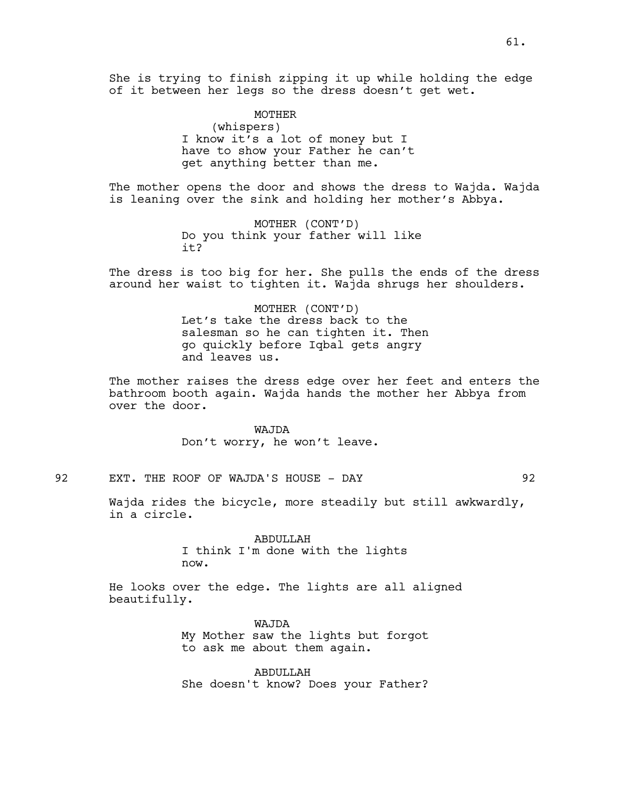She is trying to finish zipping it up while holding the edge of it between her legs so the dress doesn't get wet.

> MOTHER (whispers) I know it's a lot of money but I have to show your Father he can't get anything better than me.

The mother opens the door and shows the dress to Wajda. Wajda is leaning over the sink and holding her mother's Abbya.

> MOTHER (CONT'D) Do you think your father will like it?

The dress is too big for her. She pulls the ends of the dress around her waist to tighten it. Wajda shrugs her shoulders.

> MOTHER (CONT'D) Let's take the dress back to the salesman so he can tighten it. Then go quickly before Iqbal gets angry and leaves us.

The mother raises the dress edge over her feet and enters the bathroom booth again. Wajda hands the mother her Abbya from over the door.

> WAJDA Don't worry, he won't leave.

92 EXT. THE ROOF OF WAJDA'S HOUSE - DAY 92

Wajda rides the bicycle, more steadily but still awkwardly, in a circle.

> ABDULLAH I think I'm done with the lights now.

He looks over the edge. The lights are all aligned beautifully.

> WAJDA My Mother saw the lights but forgot to ask me about them again.

> ABDULLAH She doesn't know? Does your Father?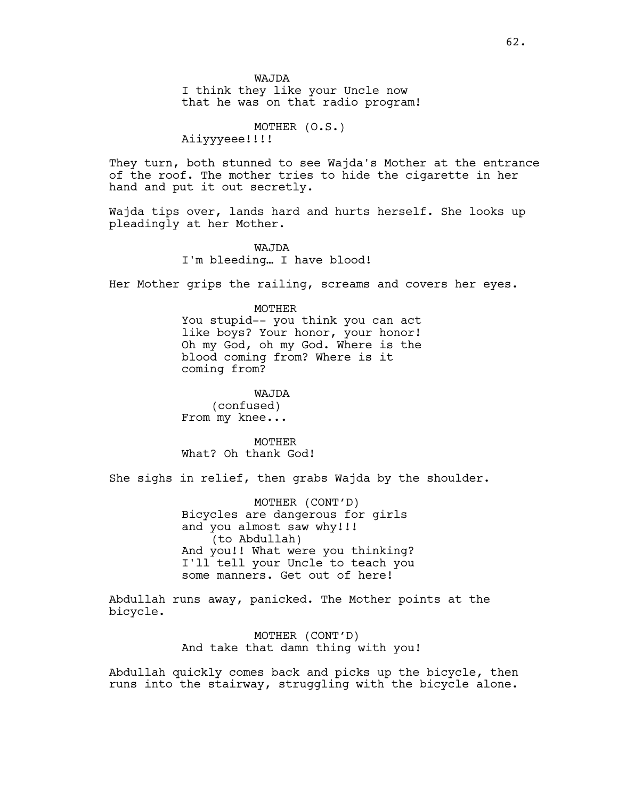I think they like your Uncle now that he was on that radio program!

MOTHER (O.S.)

Aiiyyyeee!!!!

They turn, both stunned to see Wajda's Mother at the entrance of the roof. The mother tries to hide the cigarette in her hand and put it out secretly.

Wajda tips over, lands hard and hurts herself. She looks up pleadingly at her Mother.

> WAJDA I'm bleeding… I have blood!

Her Mother grips the railing, screams and covers her eyes.

### MOTHER

You stupid-- you think you can act like boys? Your honor, your honor! Oh my God, oh my God. Where is the blood coming from? Where is it coming from?

WAJDA

(confused) From my knee...

**MOTHER** What? Oh thank God!

She sighs in relief, then grabs Wajda by the shoulder.

MOTHER (CONT'D) Bicycles are dangerous for girls and you almost saw why!!! (to Abdullah) And you!! What were you thinking? I'll tell your Uncle to teach you some manners. Get out of here!

Abdullah runs away, panicked. The Mother points at the bicycle.

> MOTHER (CONT'D) And take that damn thing with you!

Abdullah quickly comes back and picks up the bicycle, then runs into the stairway, struggling with the bicycle alone.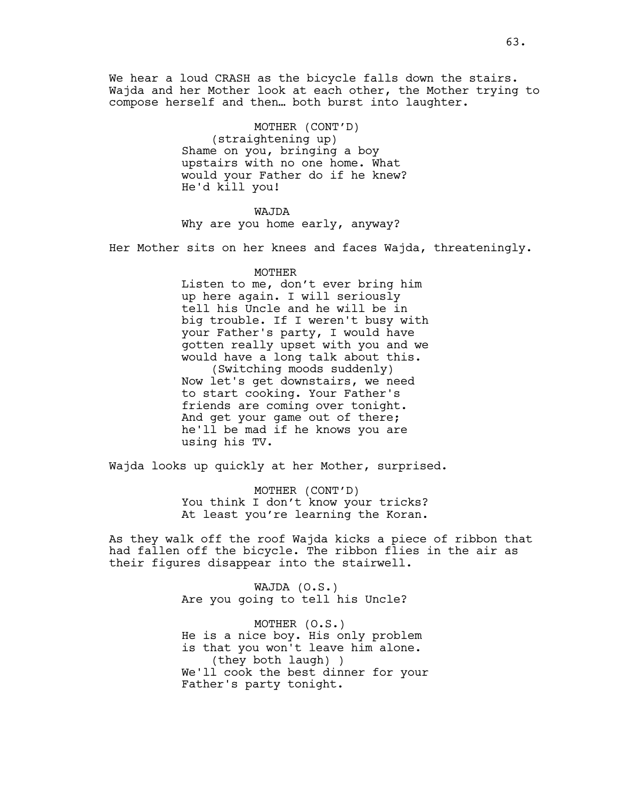We hear a loud CRASH as the bicycle falls down the stairs. Wajda and her Mother look at each other, the Mother trying to compose herself and then… both burst into laughter.

> MOTHER (CONT'D) (straightening up) Shame on you, bringing a boy upstairs with no one home. What would your Father do if he knew? He'd kill you!

#### WAJDA

Why are you home early, anyway?

Her Mother sits on her knees and faces Wajda, threateningly.

#### MOTHER

Listen to me, don't ever bring him up here again. I will seriously tell his Uncle and he will be in big trouble. If I weren't busy with your Father's party, I would have gotten really upset with you and we would have a long talk about this. (Switching moods suddenly) Now let's get downstairs, we need to start cooking. Your Father's friends are coming over tonight. And get your game out of there; he'll be mad if he knows you are using his TV.

Wajda looks up quickly at her Mother, surprised.

MOTHER (CONT'D) You think I don't know your tricks? At least you're learning the Koran.

As they walk off the roof Wajda kicks a piece of ribbon that had fallen off the bicycle. The ribbon flies in the air as their figures disappear into the stairwell.

> WAJDA (O.S.) Are you going to tell his Uncle?

MOTHER (O.S.) He is a nice boy. His only problem is that you won't leave him alone. (they both laugh) ) We'll cook the best dinner for your Father's party tonight.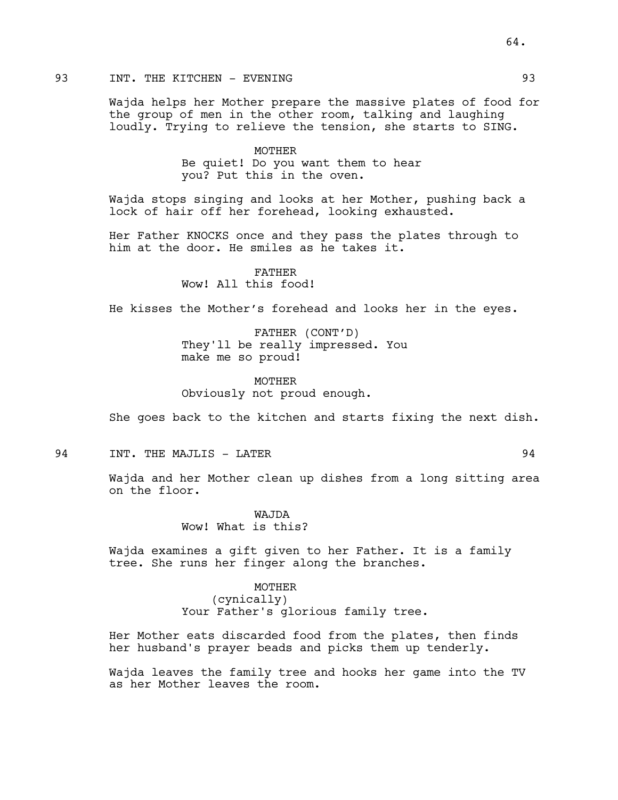# 93 INT. THE KITCHEN - EVENING 1993 1993

Wajda helps her Mother prepare the massive plates of food for the group of men in the other room, talking and laughing loudly. Trying to relieve the tension, she starts to SING.

> MOTHER Be quiet! Do you want them to hear you? Put this in the oven.

Wajda stops singing and looks at her Mother, pushing back a lock of hair off her forehead, looking exhausted.

Her Father KNOCKS once and they pass the plates through to him at the door. He smiles as he takes it.

> FATHER Wow! All this food!

He kisses the Mother's forehead and looks her in the eyes.

FATHER (CONT'D) They'll be really impressed. You make me so proud!

MOTHER Obviously not proud enough.

She goes back to the kitchen and starts fixing the next dish.

94 INT. THE MAJLIS - LATER 94

Wajda and her Mother clean up dishes from a long sitting area on the floor.

> WAJDA Wow! What is this?

Wajda examines a gift given to her Father. It is a family tree. She runs her finger along the branches.

> MOTHER (cynically) Your Father's glorious family tree.

Her Mother eats discarded food from the plates, then finds her husband's prayer beads and picks them up tenderly.

Wajda leaves the family tree and hooks her game into the TV as her Mother leaves the room.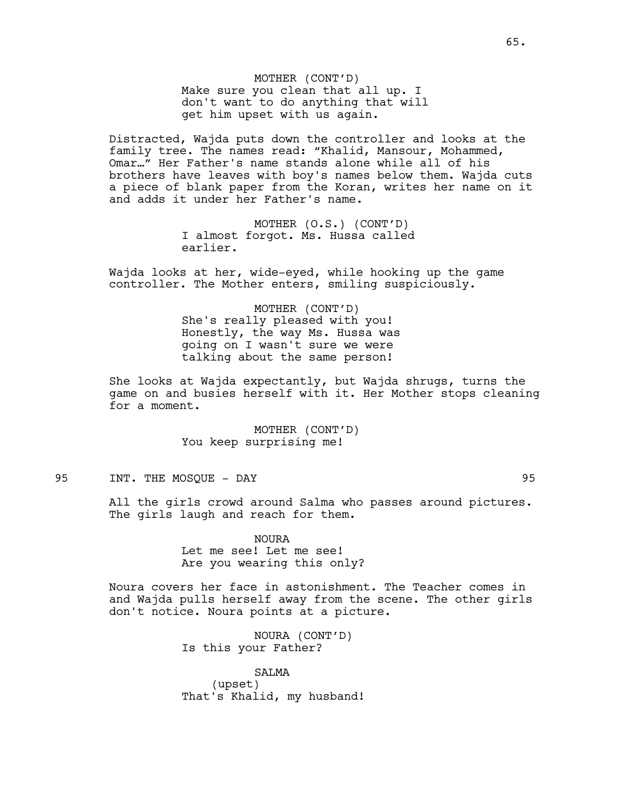MOTHER (CONT'D) Make sure you clean that all up. I don't want to do anything that will get him upset with us again.

Distracted, Wajda puts down the controller and looks at the family tree. The names read: "Khalid, Mansour, Mohammed, Omar…" Her Father's name stands alone while all of his brothers have leaves with boy's names below them. Wajda cuts a piece of blank paper from the Koran, writes her name on it and adds it under her Father's name.

> MOTHER (O.S.) (CONT'D) I almost forgot. Ms. Hussa called earlier.

Wajda looks at her, wide-eyed, while hooking up the game controller. The Mother enters, smiling suspiciously.

> MOTHER (CONT'D) She's really pleased with you! Honestly, the way Ms. Hussa was going on I wasn't sure we were talking about the same person!

She looks at Wajda expectantly, but Wajda shrugs, turns the game on and busies herself with it. Her Mother stops cleaning for a moment.

> MOTHER (CONT'D) You keep surprising me!

# 95 INT. THE MOSQUE - DAY

All the girls crowd around Salma who passes around pictures. The girls laugh and reach for them.

> NOURA Let me see! Let me see! Are you wearing this only?

Noura covers her face in astonishment. The Teacher comes in and Wajda pulls herself away from the scene. The other girls don't notice. Noura points at a picture.

> NOURA (CONT'D) Is this your Father?

SALMA (upset) That's Khalid, my husband!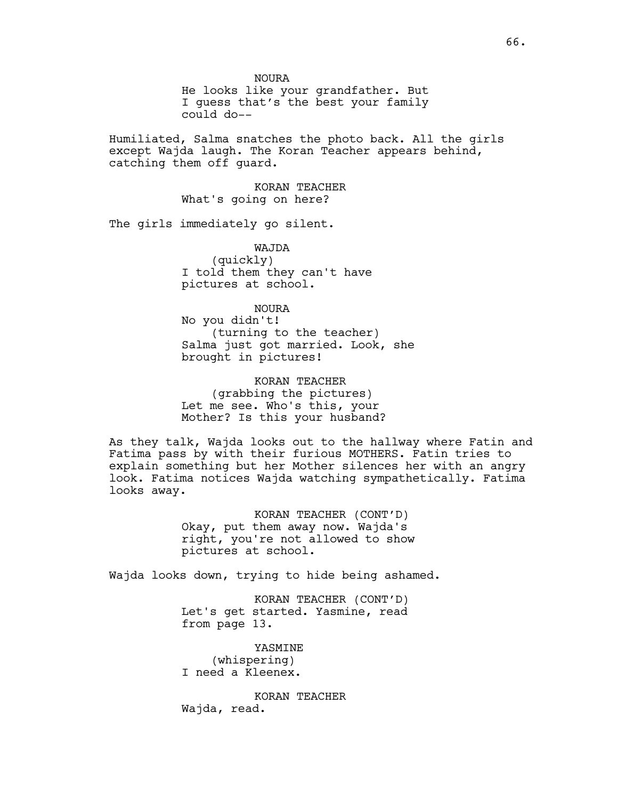NOURA

He looks like your grandfather. But I guess that's the best your family could do--

Humiliated, Salma snatches the photo back. All the girls except Wajda laugh. The Koran Teacher appears behind, catching them off guard.

> KORAN TEACHER What's going on here?

The girls immediately go silent.

WAJDA (quickly) I told them they can't have pictures at school.

#### NOURA

No you didn't! (turning to the teacher) Salma just got married. Look, she brought in pictures!

KORAN TEACHER (grabbing the pictures) Let me see. Who's this, your Mother? Is this your husband?

As they talk, Wajda looks out to the hallway where Fatin and Fatima pass by with their furious MOTHERS. Fatin tries to explain something but her Mother silences her with an angry look. Fatima notices Wajda watching sympathetically. Fatima looks away.

> KORAN TEACHER (CONT'D) Okay, put them away now. Wajda's right, you're not allowed to show pictures at school.

Wajda looks down, trying to hide being ashamed.

KORAN TEACHER (CONT'D) Let's get started. Yasmine, read from page 13.

YASMINE (whispering) I need a Kleenex.

KORAN TEACHER Wajda, read.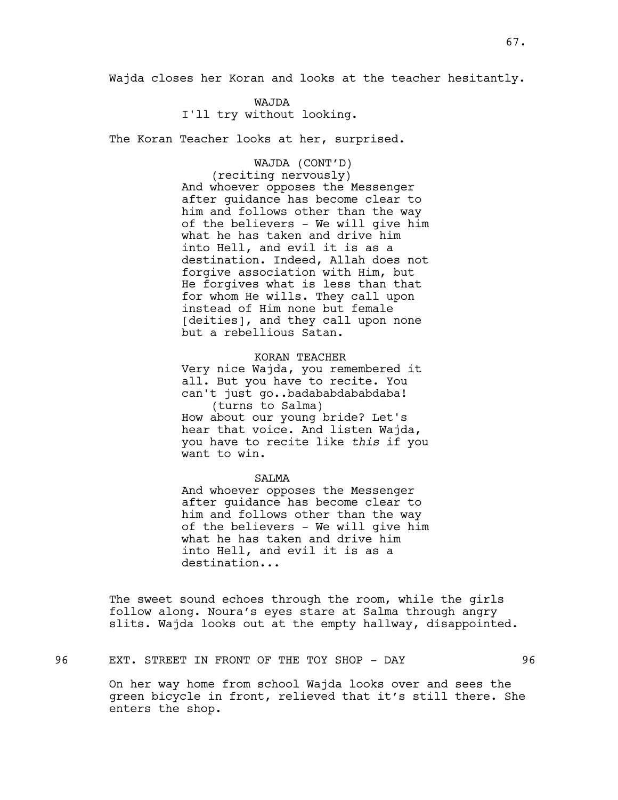Wajda closes her Koran and looks at the teacher hesitantly.

#### WAJDA

I'll try without looking.

The Koran Teacher looks at her, surprised.

# WAJDA (CONT'D)

(reciting nervously) And whoever opposes the Messenger after guidance has become clear to him and follows other than the way of the believers - We will give him what he has taken and drive him into Hell, and evil it is as a destination. Indeed, Allah does not forgive association with Him, but He forgives what is less than that for whom He wills. They call upon instead of Him none but female [deities], and they call upon none but a rebellious Satan.

KORAN TEACHER

Very nice Wajda, you remembered it all. But you have to recite. You can't just go..badababdababdaba! (turns to Salma) How about our young bride? Let's hear that voice. And listen Wajda, you have to recite like *this* if you want to win.

### **SALMA**

And whoever opposes the Messenger after guidance has become clear to him and follows other than the way of the believers - We will give him what he has taken and drive him into Hell, and evil it is as a destination...

The sweet sound echoes through the room, while the girls follow along. Noura's eyes stare at Salma through angry slits. Wajda looks out at the empty hallway, disappointed.

96 EXT. STREET IN FRONT OF THE TOY SHOP - DAY 96

On her way home from school Wajda looks over and sees the green bicycle in front, relieved that it's still there. She enters the shop.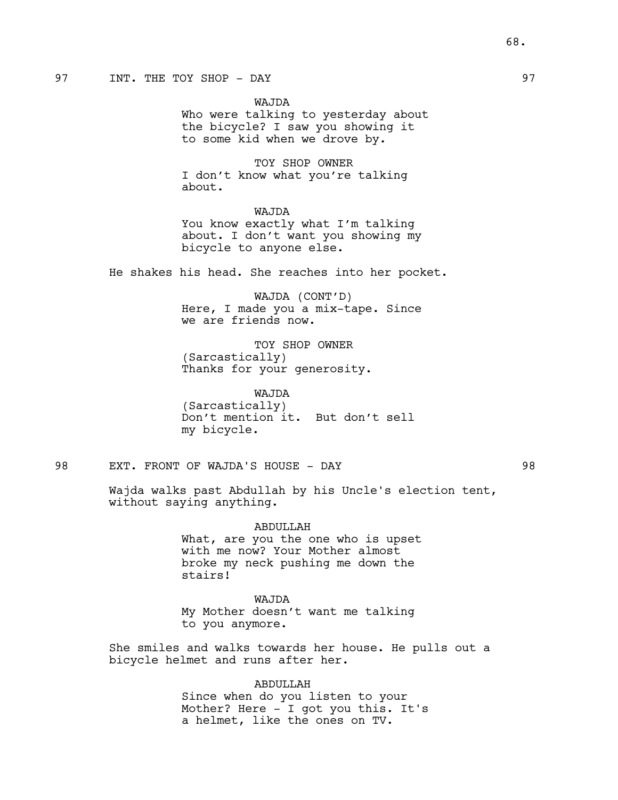# 97 INT. THE TOY SHOP - DAY 1997

WAJDA Who were talking to yesterday about the bicycle? I saw you showing it to some kid when we drove by.

TOY SHOP OWNER I don't know what you're talking about.

WAJDA You know exactly what I'm talking about. I don't want you showing my bicycle to anyone else.

He shakes his head. She reaches into her pocket.

WAJDA (CONT'D) Here, I made you a mix-tape. Since we are friends now.

TOY SHOP OWNER (Sarcastically) Thanks for your generosity.

WAJDA (Sarcastically) Don't mention it. But don't sell my bicycle.

98 EXT. FRONT OF WAJDA'S HOUSE - DAY 98

Wajda walks past Abdullah by his Uncle's election tent, without saying anything.

> ABDULLAH What, are you the one who is upset with me now? Your Mother almost broke my neck pushing me down the stairs!

WAJDA My Mother doesn't want me talking to you anymore.

She smiles and walks towards her house. He pulls out a bicycle helmet and runs after her.

> ABDULLAH Since when do you listen to your Mother? Here - I got you this. It's a helmet, like the ones on TV.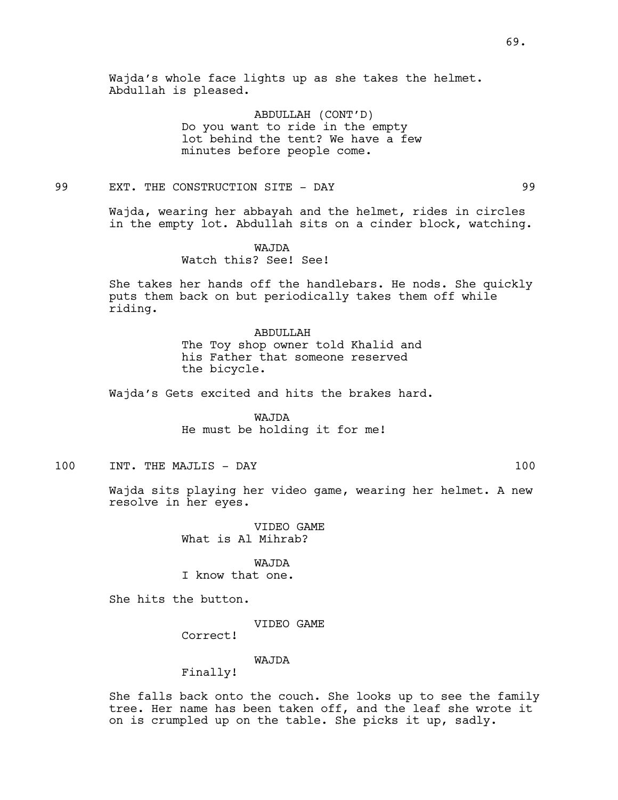Wajda's whole face lights up as she takes the helmet. Abdullah is pleased.

> ABDULLAH (CONT'D) Do you want to ride in the empty lot behind the tent? We have a few minutes before people come.

99 EXT. THE CONSTRUCTION SITE - DAY 99

Wajda, wearing her abbayah and the helmet, rides in circles in the empty lot. Abdullah sits on a cinder block, watching.

> WAJDA Watch this? See! See!

She takes her hands off the handlebars. He nods. She quickly puts them back on but periodically takes them off while riding.

# ABDULLAH

The Toy shop owner told Khalid and his Father that someone reserved the bicycle.

Wajda's Gets excited and hits the brakes hard.

WAJDA He must be holding it for me!

100 INT. THE MAJLIS - DAY 100

Wajda sits playing her video game, wearing her helmet. A new resolve in her eyes.

> VIDEO GAME What is Al Mihrab?

> > WAJDA

I know that one.

She hits the button.

VIDEO GAME

Correct!

# WAJDA

Finally!

She falls back onto the couch. She looks up to see the family tree. Her name has been taken off, and the leaf she wrote it on is crumpled up on the table. She picks it up, sadly.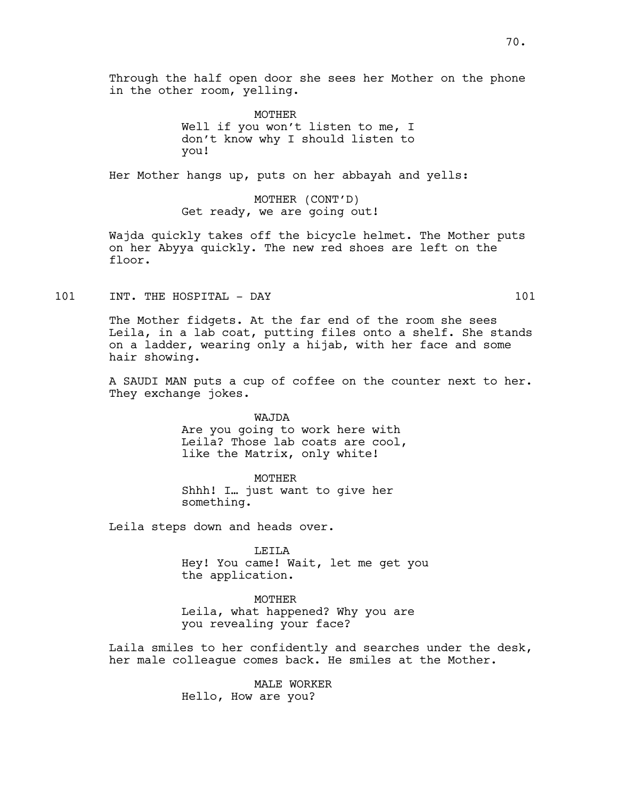Through the half open door she sees her Mother on the phone in the other room, yelling.

> MOTHER Well if you won't listen to me, I don't know why I should listen to you!

Her Mother hangs up, puts on her abbayah and yells:

MOTHER (CONT'D) Get ready, we are going out!

Wajda quickly takes off the bicycle helmet. The Mother puts on her Abyya quickly. The new red shoes are left on the floor.

101 INT. THE HOSPITAL - DAY 101

The Mother fidgets. At the far end of the room she sees Leila, in a lab coat, putting files onto a shelf. She stands on a ladder, wearing only a hijab, with her face and some hair showing.

A SAUDI MAN puts a cup of coffee on the counter next to her. They exchange jokes.

> WAJDA Are you going to work here with Leila? Those lab coats are cool, like the Matrix, only white!

MOTHER Shhh! I… just want to give her something.

Leila steps down and heads over.

LEILA Hey! You came! Wait, let me get you the application.

MOTHER Leila, what happened? Why you are you revealing your face?

Laila smiles to her confidently and searches under the desk, her male colleague comes back. He smiles at the Mother.

> MALE WORKER Hello, How are you?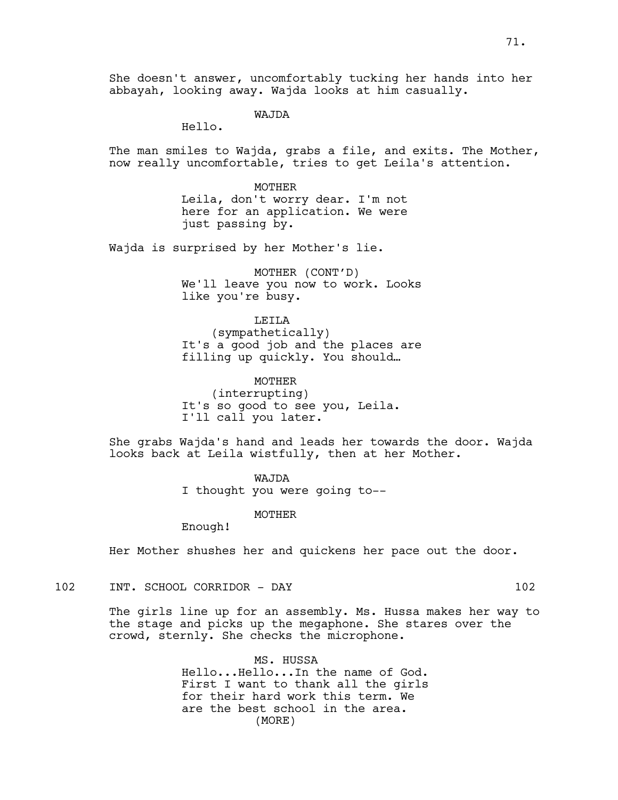She doesn't answer, uncomfortably tucking her hands into her abbayah, looking away. Wajda looks at him casually.

WAJDA

Hello.

The man smiles to Wajda, grabs a file, and exits. The Mother, now really uncomfortable, tries to get Leila's attention.

> MOTHER Leila, don't worry dear. I'm not here for an application. We were just passing by.

Wajda is surprised by her Mother's lie.

MOTHER (CONT'D) We'll leave you now to work. Looks like you're busy.

LEILA (sympathetically) It's a good job and the places are filling up quickly. You should…

MOTHER (interrupting) It's so good to see you, Leila. I'll call you later.

She grabs Wajda's hand and leads her towards the door. Wajda looks back at Leila wistfully, then at her Mother.

> WAJDA I thought you were going to--

> > MOTHER

Enough!

Her Mother shushes her and quickens her pace out the door.

102 INT. SCHOOL CORRIDOR - DAY 102

The girls line up for an assembly. Ms. Hussa makes her way to the stage and picks up the megaphone. She stares over the crowd, sternly. She checks the microphone.

> MS. HUSSA Hello...Hello...In the name of God. First I want to thank all the girls for their hard work this term. We are the best school in the area. (MORE)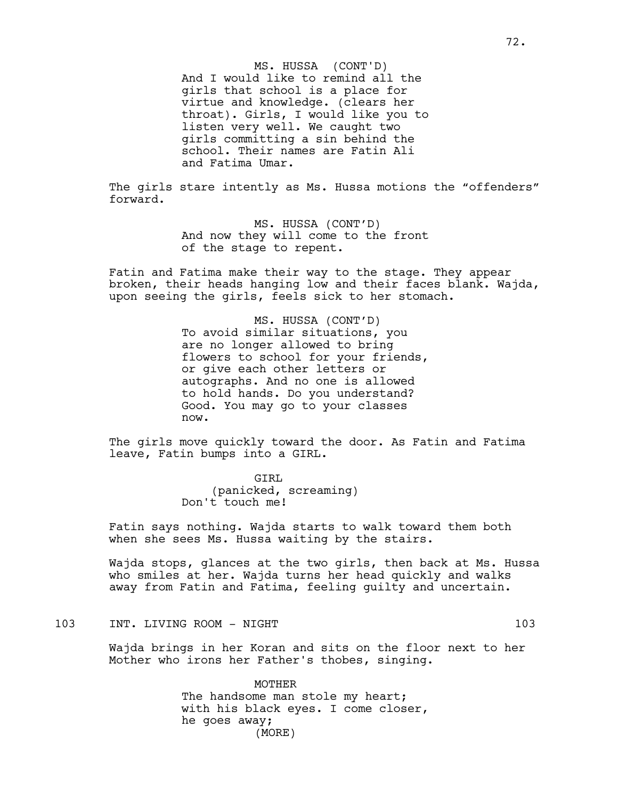And I would like to remind all the girls that school is a place for virtue and knowledge. (clears her throat). Girls, I would like you to listen very well. We caught two girls committing a sin behind the school. Their names are Fatin Ali and Fatima Umar. MS. HUSSA (CONT'D)

The girls stare intently as Ms. Hussa motions the "offenders" forward.

> MS. HUSSA (CONT'D) And now they will come to the front of the stage to repent.

Fatin and Fatima make their way to the stage. They appear broken, their heads hanging low and their faces blank. Wajda, upon seeing the girls, feels sick to her stomach.

> MS. HUSSA (CONT'D) To avoid similar situations, you are no longer allowed to bring flowers to school for your friends, or give each other letters or autographs. And no one is allowed to hold hands. Do you understand? Good. You may go to your classes now.

The girls move quickly toward the door. As Fatin and Fatima leave, Fatin bumps into a GIRL.

> GIRL (panicked, screaming) Don't touch me!

Fatin says nothing. Wajda starts to walk toward them both when she sees Ms. Hussa waiting by the stairs.

Wajda stops, glances at the two girls, then back at Ms. Hussa who smiles at her. Wajda turns her head quickly and walks away from Fatin and Fatima, feeling guilty and uncertain.

103 INT. LIVING ROOM - NIGHT 103

Wajda brings in her Koran and sits on the floor next to her Mother who irons her Father's thobes, singing.

> MOTHER The handsome man stole my heart; with his black eyes. I come closer, he goes away; (MORE)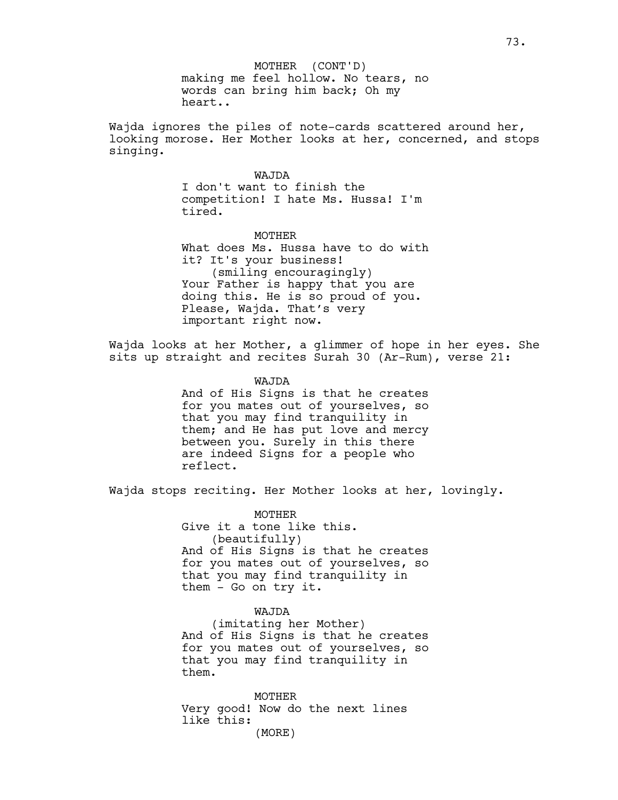making me feel hollow. No tears, no words can bring him back; Oh my heart.. MOTHER (CONT'D)

Wajda ignores the piles of note-cards scattered around her, looking morose. Her Mother looks at her, concerned, and stops singing.

## WAJDA

I don't want to finish the competition! I hate Ms. Hussa! I'm tired.

MOTHER What does Ms. Hussa have to do with it? It's your business! (smiling encouragingly) Your Father is happy that you are doing this. He is so proud of you. Please, Wajda. That's very important right now.

Wajda looks at her Mother, a glimmer of hope in her eyes. She sits up straight and recites Surah 30 (Ar-Rum), verse 21:

WAJDA

And of His Signs is that he creates for you mates out of yourselves, so that you may find tranquility in them; and He has put love and mercy between you. Surely in this there are indeed Signs for a people who reflect.

Wajda stops reciting. Her Mother looks at her, lovingly.

MOTHER Give it a tone like this. (beautifully) And of His Signs is that he creates for you mates out of yourselves, so that you may find tranquility in them - Go on try it.

## WAJDA

(imitating her Mother) And of His Signs is that he creates for you mates out of yourselves, so that you may find tranquility in them.

MOTHER Very good! Now do the next lines like this: (MORE)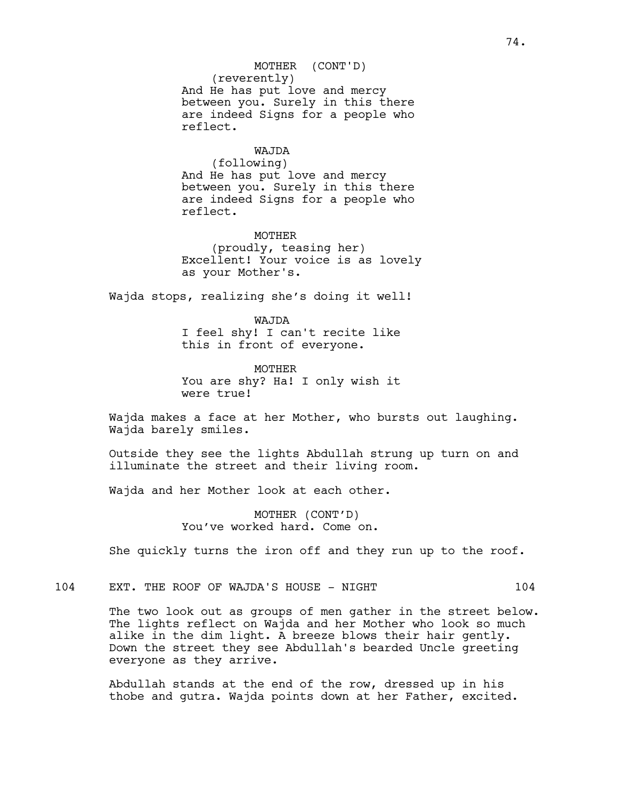# (reverently) And He has put love and mercy between you. Surely in this there are indeed Signs for a people who reflect. MOTHER (CONT'D)

# WAJDA

(following) And He has put love and mercy between you. Surely in this there are indeed Signs for a people who reflect.

MOTHER (proudly, teasing her) Excellent! Your voice is as lovely as your Mother's.

Wajda stops, realizing she's doing it well!

WAJDA I feel shy! I can't recite like this in front of everyone.

MOTHER You are shy? Ha! I only wish it were true!

Wajda makes a face at her Mother, who bursts out laughing. Wajda barely smiles.

Outside they see the lights Abdullah strung up turn on and illuminate the street and their living room.

Wajda and her Mother look at each other.

MOTHER (CONT'D) You've worked hard. Come on.

She quickly turns the iron off and they run up to the roof.

104 EXT. THE ROOF OF WAJDA'S HOUSE - NIGHT 104

The two look out as groups of men gather in the street below. The lights reflect on Wajda and her Mother who look so much alike in the dim light. A breeze blows their hair gently. Down the street they see Abdullah's bearded Uncle greeting everyone as they arrive.

Abdullah stands at the end of the row, dressed up in his thobe and gutra. Wajda points down at her Father, excited.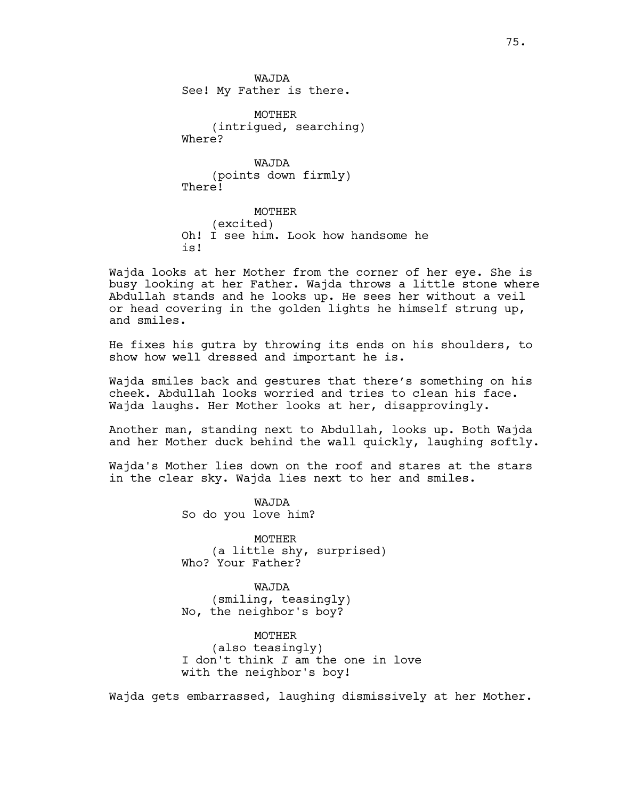WAJDA See! My Father is there.

MOTHER (intrigued, searching) Where?

WAJDA (points down firmly) There!

MOTHER (excited) Oh! I see him. Look how handsome he is!

Wajda looks at her Mother from the corner of her eye. She is busy looking at her Father. Wajda throws a little stone where Abdullah stands and he looks up. He sees her without a veil or head covering in the golden lights he himself strung up, and smiles.

He fixes his gutra by throwing its ends on his shoulders, to show how well dressed and important he is.

Wajda smiles back and gestures that there's something on his cheek. Abdullah looks worried and tries to clean his face. Wajda laughs. Her Mother looks at her, disapprovingly.

Another man, standing next to Abdullah, looks up. Both Wajda and her Mother duck behind the wall quickly, laughing softly.

Wajda's Mother lies down on the roof and stares at the stars in the clear sky. Wajda lies next to her and smiles.

> WAJDA So do you love him?

MOTHER (a little shy, surprised) Who? Your Father?

WAJDA (smiling, teasingly) No, the neighbor's boy?

MOTHER (also teasingly) I don't think *I* am the one in love with the neighbor's boy!

Wajda gets embarrassed, laughing dismissively at her Mother.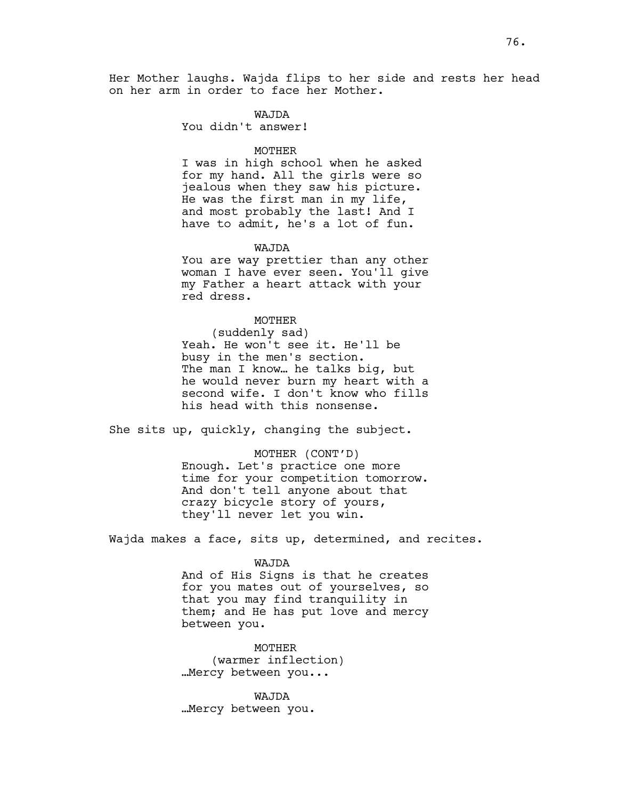Her Mother laughs. Wajda flips to her side and rests her head on her arm in order to face her Mother.

### WAJDA

You didn't answer!

### MOTHER

I was in high school when he asked for my hand. All the girls were so jealous when they saw his picture. He was the first man in my life, and most probably the last! And I have to admit, he's a lot of fun.

#### WAJDA

You are way prettier than any other woman I have ever seen. You'll give my Father a heart attack with your red dress.

### MOTHER

(suddenly sad) Yeah. He won't see it. He'll be busy in the men's section. The man I know… he talks big, but he would never burn my heart with a second wife. I don't know who fills his head with this nonsense.

She sits up, quickly, changing the subject.

MOTHER (CONT'D) Enough. Let's practice one more time for your competition tomorrow. And don't tell anyone about that crazy bicycle story of yours, they'll never let you win.

Wajda makes a face, sits up, determined, and recites.

## WAJDA

And of His Signs is that he creates for you mates out of yourselves, so that you may find tranquility in them; and He has put love and mercy between you.

MOTHER (warmer inflection) …Mercy between you...

WAJDA …Mercy between you.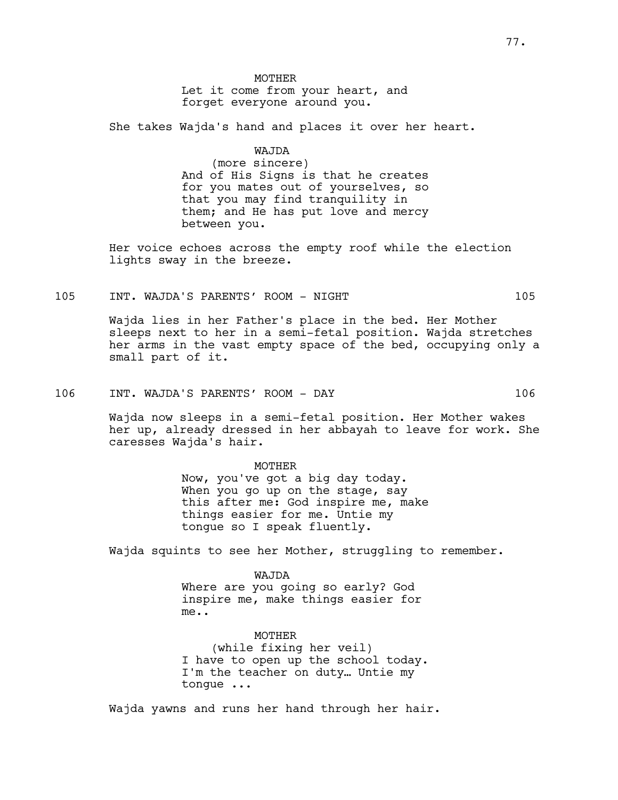## **MOTHER** Let it come from your heart, and forget everyone around you.

She takes Wajda's hand and places it over her heart.

# WAJDA

(more sincere) And of His Signs is that he creates for you mates out of yourselves, so that you may find tranquility in them; and He has put love and mercy between you.

Her voice echoes across the empty roof while the election lights sway in the breeze.

### 105 INT. WAJDA'S PARENTS' ROOM - NIGHT 105

Wajda lies in her Father's place in the bed. Her Mother sleeps next to her in a semi-fetal position. Wajda stretches her arms in the vast empty space of the bed, occupying only a small part of it.

106 INT. WAJDA'S PARENTS' ROOM - DAY 106

Wajda now sleeps in a semi-fetal position. Her Mother wakes her up, already dressed in her abbayah to leave for work. She caresses Wajda's hair.

#### MOTHER

Now, you've got a big day today. When you go up on the stage, say this after me: God inspire me, make things easier for me. Untie my tongue so I speak fluently.

Wajda squints to see her Mother, struggling to remember.

## WAJDA

Where are you going so early? God inspire me, make things easier for me..

## MOTHER

(while fixing her veil) I have to open up the school today. I'm the teacher on duty… Untie my tongue ...

Wajda yawns and runs her hand through her hair.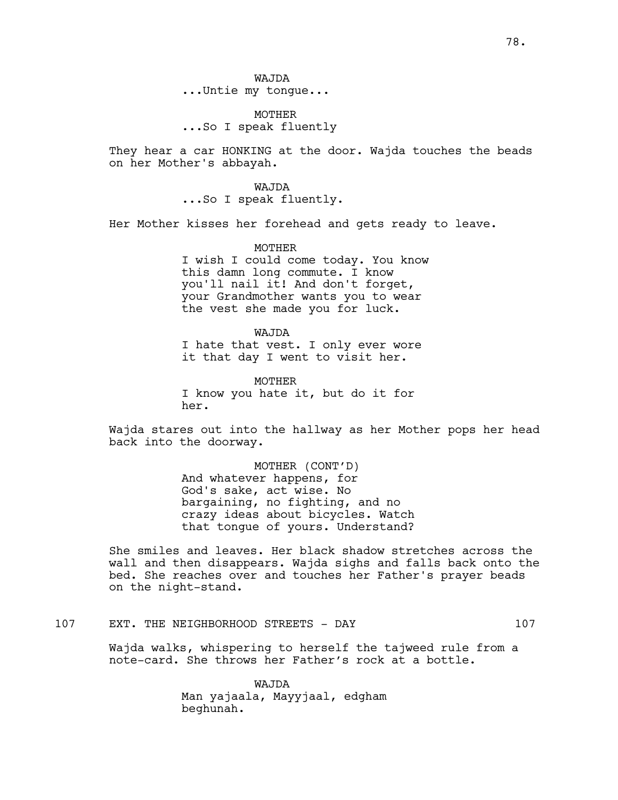WAJDA ...Untie my tongue...

MOTHER ...So I speak fluently

They hear a car HONKING at the door. Wajda touches the beads on her Mother's abbayah.

> WAJDA ...So I speak fluently.

Her Mother kisses her forehead and gets ready to leave.

MOTHER

I wish I could come today. You know this damn long commute. I know you'll nail it! And don't forget, your Grandmother wants you to wear the vest she made you for luck.

WAJDA I hate that vest. I only ever wore it that day I went to visit her.

MOTHER I know you hate it, but do it for her.

Wajda stares out into the hallway as her Mother pops her head back into the doorway.

> MOTHER (CONT'D) And whatever happens, for God's sake, act wise. No bargaining, no fighting, and no crazy ideas about bicycles. Watch that tongue of yours. Understand?

She smiles and leaves. Her black shadow stretches across the wall and then disappears. Wajda sighs and falls back onto the bed. She reaches over and touches her Father's prayer beads on the night-stand.

107 EXT. THE NEIGHBORHOOD STREETS - DAY 107

Wajda walks, whispering to herself the tajweed rule from a note-card. She throws her Father's rock at a bottle.

> WAJDA Man yajaala, Mayyjaal, edgham beghunah.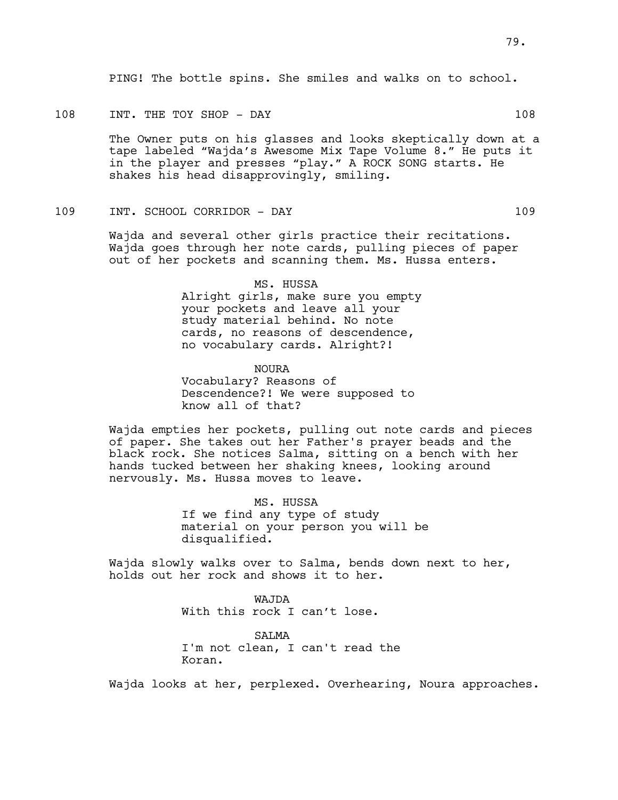PING! The bottle spins. She smiles and walks on to school.

## 108 INT. THE TOY SHOP - DAY 108

The Owner puts on his glasses and looks skeptically down at a tape labeled "Wajda's Awesome Mix Tape Volume 8." He puts it in the player and presses "play." A ROCK SONG starts. He shakes his head disapprovingly, smiling.

## 109 INT. SCHOOL CORRIDOR - DAY 109

Wajda and several other girls practice their recitations. Wajda goes through her note cards, pulling pieces of paper out of her pockets and scanning them. Ms. Hussa enters.

> MS. HUSSA Alright girls, make sure you empty your pockets and leave all your study material behind. No note cards, no reasons of descendence, no vocabulary cards. Alright?!

NOURA Vocabulary? Reasons of Descendence?! We were supposed to know all of that?

Wajda empties her pockets, pulling out note cards and pieces of paper. She takes out her Father's prayer beads and the black rock. She notices Salma, sitting on a bench with her hands tucked between her shaking knees, looking around nervously. Ms. Hussa moves to leave.

> MS. HUSSA If we find any type of study material on your person you will be disqualified.

Wajda slowly walks over to Salma, bends down next to her, holds out her rock and shows it to her.

> WAJDA With this rock I can't lose.

SALMA I'm not clean, I can't read the Koran.

Wajda looks at her, perplexed. Overhearing, Noura approaches.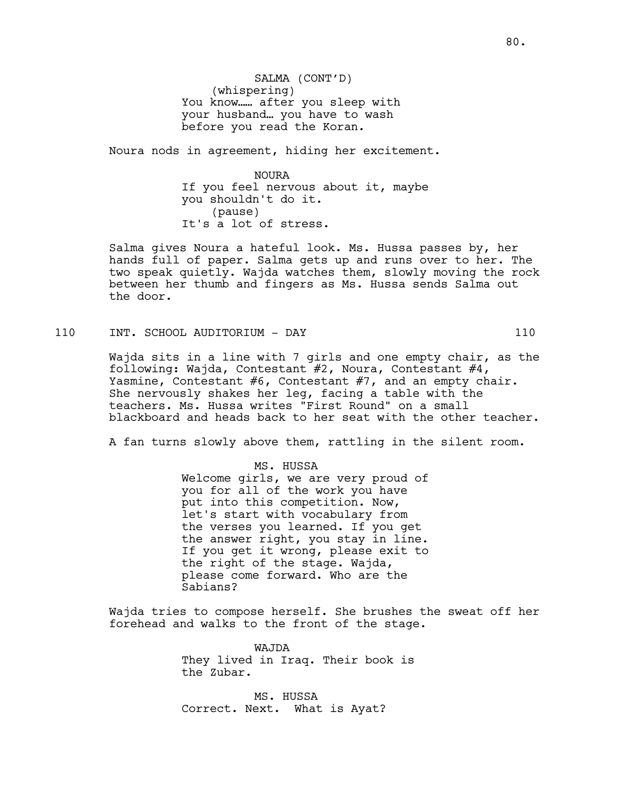SALMA (CONT'D) (whispering) You know…… after you sleep with your husband… you have to wash before you read the Koran.

Noura nods in agreement, hiding her excitement.

NOURA If you feel nervous about it, maybe you shouldn't do it. (pause) It's a lot of stress.

Salma gives Noura a hateful look. Ms. Hussa passes by, her hands full of paper. Salma gets up and runs over to her. The two speak quietly. Wajda watches them, slowly moving the rock between her thumb and fingers as Ms. Hussa sends Salma out the door.

110 INT. SCHOOL AUDITORIUM - DAY 110

Wajda sits in a line with 7 girls and one empty chair, as the following: Wajda, Contestant #2, Noura, Contestant #4, Yasmine, Contestant #6, Contestant #7, and an empty chair. She nervously shakes her leg, facing a table with the teachers. Ms. Hussa writes "First Round" on a small blackboard and heads back to her seat with the other teacher.

A fan turns slowly above them, rattling in the silent room.

### MS. HUSSA

Welcome girls, we are very proud of you for all of the work you have put into this competition. Now, let's start with vocabulary from the verses you learned. If you get the answer right, you stay in line. If you get it wrong, please exit to the right of the stage. Wajda, please come forward. Who are the Sabians?

Wajda tries to compose herself. She brushes the sweat off her forehead and walks to the front of the stage.

> WAJDA They lived in Iraq. Their book is the Zubar.

MS. HUSSA Correct. Next. What is Ayat?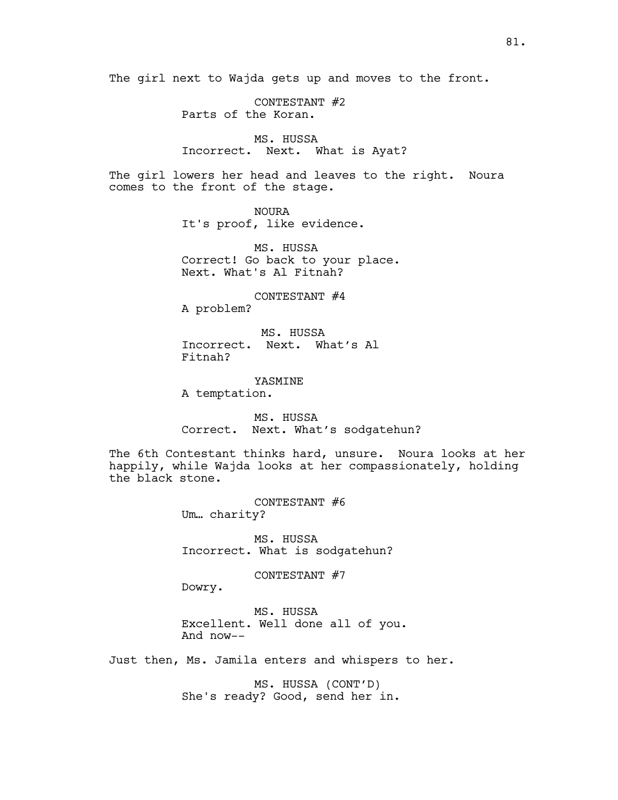The girl next to Wajda gets up and moves to the front.

CONTESTANT #2 Parts of the Koran.

# MS. HUSSA Incorrect. Next. What is Ayat?

The girl lowers her head and leaves to the right. Noura comes to the front of the stage.

> NOURA It's proof, like evidence.

MS. HUSSA Correct! Go back to your place. Next. What's Al Fitnah?

CONTESTANT #4 A problem?

 MS. HUSSA Incorrect. Next. What's Al Fitnah?

YASMINE A temptation.

MS. HUSSA Correct. Next. What's sodgatehun?

The 6th Contestant thinks hard, unsure. Noura looks at her happily, while Wajda looks at her compassionately, holding the black stone.

> CONTESTANT #6 Um… charity?

MS. HUSSA Incorrect. What is sodgatehun?

CONTESTANT #7

Dowry.

MS. HUSSA Excellent. Well done all of you. And now--

Just then, Ms. Jamila enters and whispers to her.

MS. HUSSA (CONT'D) She's ready? Good, send her in.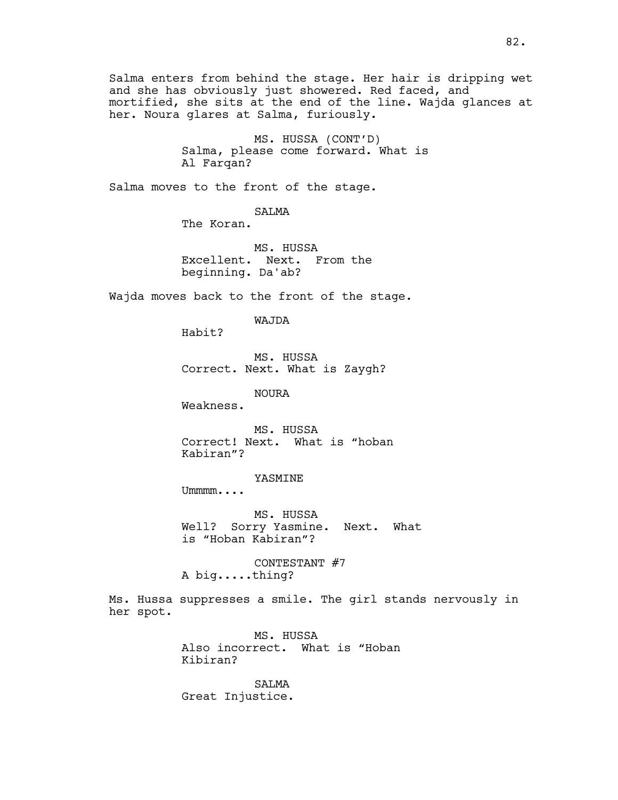Salma enters from behind the stage. Her hair is dripping wet and she has obviously just showered. Red faced, and mortified, she sits at the end of the line. Wajda glances at her. Noura glares at Salma, furiously.

> MS. HUSSA (CONT'D) Salma, please come forward. What is Al Farqan?

Salma moves to the front of the stage.

SALMA

The Koran.

MS. HUSSA Excellent. Next. From the beginning. Da'ab?

Wajda moves back to the front of the stage.

WAJDA

Habit?

MS. HUSSA Correct. Next. What is Zaygh?

NOURA

Weakness.

MS. HUSSA Correct! Next. What is "hoban Kabiran"?

YASMINE

Ummmm....

MS. HUSSA Well? Sorry Yasmine. Next. What is "Hoban Kabiran"?

CONTESTANT #7 A big.....thing?

Ms. Hussa suppresses a smile. The girl stands nervously in her spot.

> MS. HUSSA Also incorrect. What is "Hoban Kibiran?

SALMA Great Injustice.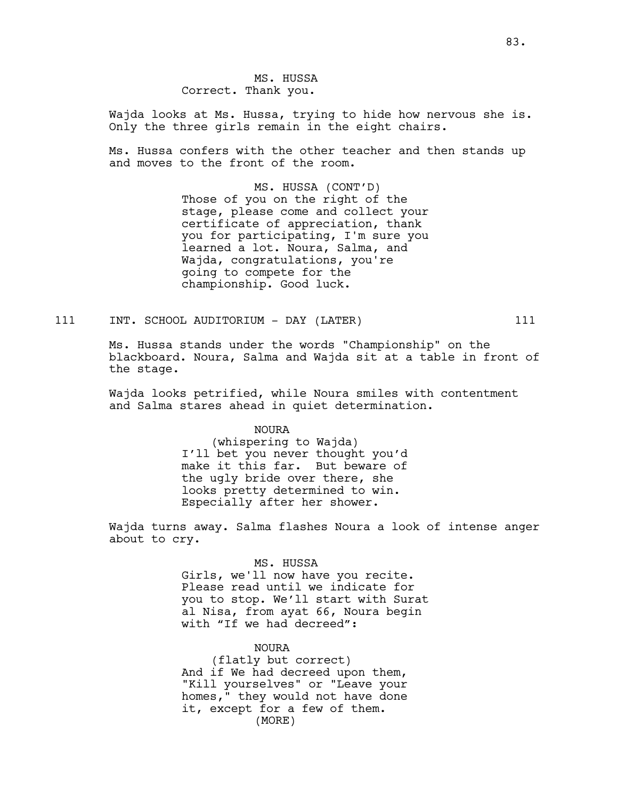Wajda looks at Ms. Hussa, trying to hide how nervous she is. Only the three girls remain in the eight chairs.

Ms. Hussa confers with the other teacher and then stands up and moves to the front of the room.

> MS. HUSSA (CONT'D) Those of you on the right of the stage, please come and collect your certificate of appreciation, thank you for participating, I'm sure you learned a lot. Noura, Salma, and Wajda, congratulations, you're going to compete for the championship. Good luck.

111 INT. SCHOOL AUDITORIUM - DAY (LATER) 111

Ms. Hussa stands under the words "Championship" on the blackboard. Noura, Salma and Wajda sit at a table in front of the stage.

Wajda looks petrified, while Noura smiles with contentment and Salma stares ahead in quiet determination.

NOURA

(whispering to Wajda) I'll bet you never thought you'd make it this far. But beware of the ugly bride over there, she looks pretty determined to win. Especially after her shower.

Wajda turns away. Salma flashes Noura a look of intense anger about to cry.

MS. HUSSA

Girls, we'll now have you recite. Please read until we indicate for you to stop. We'll start with Surat al Nisa, from ayat 66, Noura begin with "If we had decreed":

## NOURA

(flatly but correct) And if We had decreed upon them, "Kill yourselves" or "Leave your homes," they would not have done it, except for a few of them. (MORE)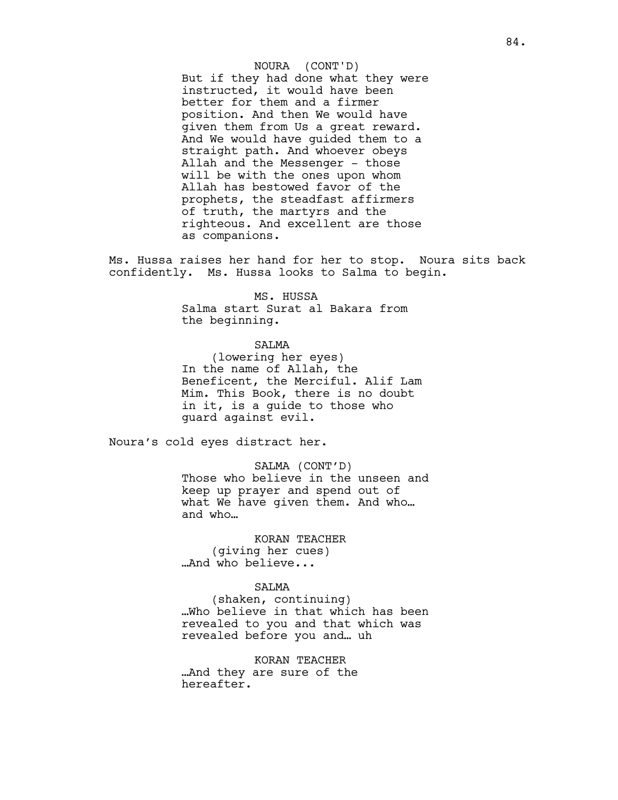But if they had done what they were instructed, it would have been better for them and a firmer position. And then We would have given them from Us a great reward. And We would have guided them to a straight path. And whoever obeys Allah and the Messenger - those will be with the ones upon whom Allah has bestowed favor of the prophets, the steadfast affirmers of truth, the martyrs and the righteous. And excellent are those as companions. NOURA (CONT'D)

Ms. Hussa raises her hand for her to stop. Noura sits back confidently. Ms. Hussa looks to Salma to begin.

> MS. HUSSA Salma start Surat al Bakara from the beginning.

## SALMA

(lowering her eyes) In the name of Allah, the Beneficent, the Merciful. Alif Lam Mim. This Book, there is no doubt in it, is a guide to those who guard against evil.

Noura's cold eyes distract her.

### SALMA (CONT'D)

Those who believe in the unseen and keep up prayer and spend out of what We have given them. And who… and who…

KORAN TEACHER (giving her cues) …And who believe...

## SALMA

(shaken, continuing) …Who believe in that which has been revealed to you and that which was revealed before you and… uh

KORAN TEACHER …And they are sure of the

hereafter.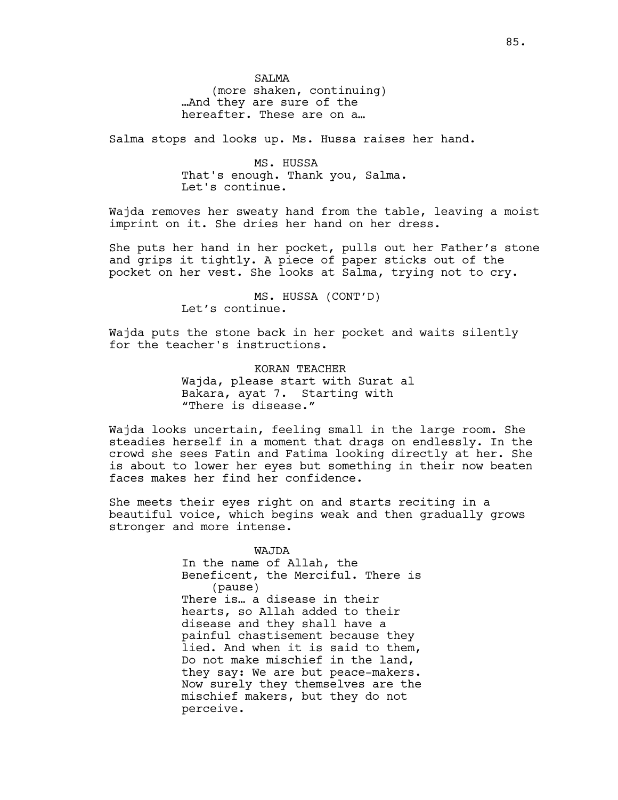**SALMA** 

(more shaken, continuing) …And they are sure of the hereafter. These are on a…

Salma stops and looks up. Ms. Hussa raises her hand.

MS. HUSSA That's enough. Thank you, Salma. Let's continue.

Wajda removes her sweaty hand from the table, leaving a moist imprint on it. She dries her hand on her dress.

She puts her hand in her pocket, pulls out her Father's stone and grips it tightly. A piece of paper sticks out of the pocket on her vest. She looks at Salma, trying not to cry.

> MS. HUSSA (CONT'D) Let's continue.

Wajda puts the stone back in her pocket and waits silently for the teacher's instructions.

> KORAN TEACHER Wajda, please start with Surat al Bakara, ayat 7. Starting with "There is disease."

Wajda looks uncertain, feeling small in the large room. She steadies herself in a moment that drags on endlessly. In the crowd she sees Fatin and Fatima looking directly at her. She is about to lower her eyes but something in their now beaten faces makes her find her confidence.

She meets their eyes right on and starts reciting in a beautiful voice, which begins weak and then gradually grows stronger and more intense.

> WAJDA In the name of Allah, the Beneficent, the Merciful. There is (pause) There is… a disease in their hearts, so Allah added to their disease and they shall have a painful chastisement because they lied. And when it is said to them, Do not make mischief in the land, they say: We are but peace-makers. Now surely they themselves are the mischief makers, but they do not perceive.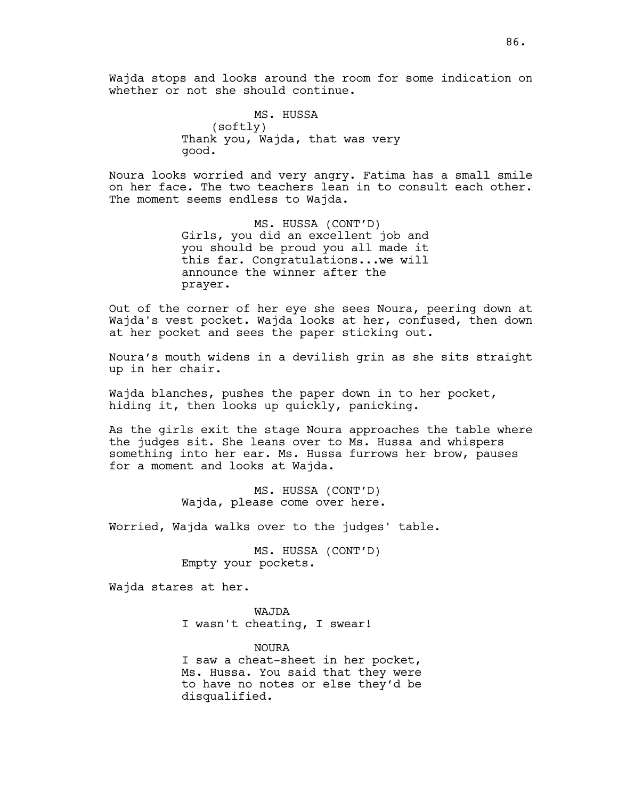Wajda stops and looks around the room for some indication on whether or not she should continue.

> MS. HUSSA (softly) Thank you, Wajda, that was very good.

Noura looks worried and very angry. Fatima has a small smile on her face. The two teachers lean in to consult each other. The moment seems endless to Wajda.

> MS. HUSSA (CONT'D) Girls, you did an excellent job and you should be proud you all made it this far. Congratulations...we will announce the winner after the prayer.

Out of the corner of her eye she sees Noura, peering down at Wajda's vest pocket. Wajda looks at her, confused, then down at her pocket and sees the paper sticking out.

Noura's mouth widens in a devilish grin as she sits straight up in her chair.

Wajda blanches, pushes the paper down in to her pocket, hiding it, then looks up quickly, panicking.

As the girls exit the stage Noura approaches the table where the judges sit. She leans over to Ms. Hussa and whispers something into her ear. Ms. Hussa furrows her brow, pauses for a moment and looks at Wajda.

> MS. HUSSA (CONT'D) Wajda, please come over here.

Worried, Wajda walks over to the judges' table.

MS. HUSSA (CONT'D) Empty your pockets.

Wajda stares at her.

WAJDA I wasn't cheating, I swear!

NOURA I saw a cheat-sheet in her pocket, Ms. Hussa. You said that they were to have no notes or else they'd be disqualified.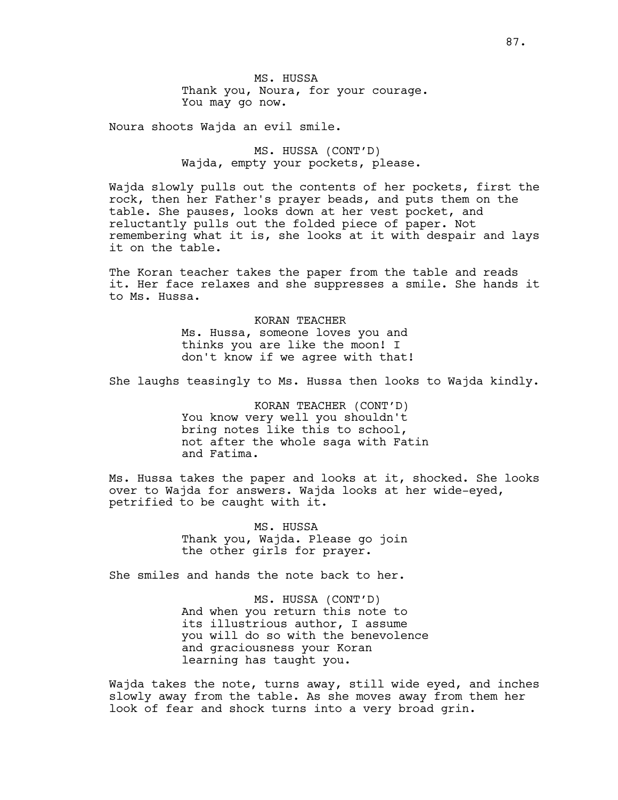MS. HUSSA Thank you, Noura, for your courage. You may go now.

Noura shoots Wajda an evil smile.

MS. HUSSA (CONT'D) Wajda, empty your pockets, please.

Wajda slowly pulls out the contents of her pockets, first the rock, then her Father's prayer beads, and puts them on the table. She pauses, looks down at her vest pocket, and reluctantly pulls out the folded piece of paper. Not remembering what it is, she looks at it with despair and lays it on the table.

The Koran teacher takes the paper from the table and reads it. Her face relaxes and she suppresses a smile. She hands it to Ms. Hussa.

> KORAN TEACHER Ms. Hussa, someone loves you and thinks you are like the moon! I don't know if we agree with that!

She laughs teasingly to Ms. Hussa then looks to Wajda kindly.

KORAN TEACHER (CONT'D) You know very well you shouldn't bring notes like this to school, not after the whole saga with Fatin and Fatima.

Ms. Hussa takes the paper and looks at it, shocked. She looks over to Wajda for answers. Wajda looks at her wide-eyed, petrified to be caught with it.

> MS. HUSSA Thank you, Wajda. Please go join the other girls for prayer.

She smiles and hands the note back to her.

MS. HUSSA (CONT'D) And when you return this note to its illustrious author, I assume you will do so with the benevolence and graciousness your Koran learning has taught you.

Wajda takes the note, turns away, still wide eyed, and inches slowly away from the table. As she moves away from them her look of fear and shock turns into a very broad grin.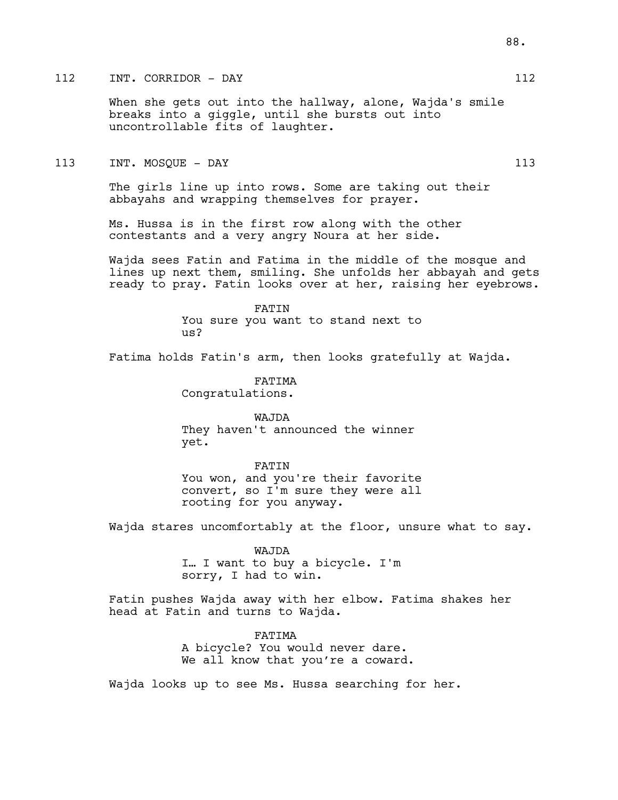# 112 INT. CORRIDOR – DAY 112

When she gets out into the hallway, alone, Wajda's smile breaks into a giggle, until she bursts out into uncontrollable fits of laughter.

### 113 INT. MOSQUE – DAY 113

The girls line up into rows. Some are taking out their abbayahs and wrapping themselves for prayer.

Ms. Hussa is in the first row along with the other contestants and a very angry Noura at her side.

Wajda sees Fatin and Fatima in the middle of the mosque and lines up next them, smiling. She unfolds her abbayah and gets ready to pray. Fatin looks over at her, raising her eyebrows.

FATIN

You sure you want to stand next to  $11S<sup>2</sup>$ 

Fatima holds Fatin's arm, then looks gratefully at Wajda.

FATIMA Congratulations.

WAJDA They haven't announced the winner yet.

FATIN You won, and you're their favorite convert, so I'm sure they were all rooting for you anyway.

Wajda stares uncomfortably at the floor, unsure what to say.

WAJDA I… I want to buy a bicycle. I'm sorry, I had to win.

Fatin pushes Wajda away with her elbow. Fatima shakes her head at Fatin and turns to Wajda.

> FATIMA A bicycle? You would never dare. We all know that you're a coward.

Wajda looks up to see Ms. Hussa searching for her.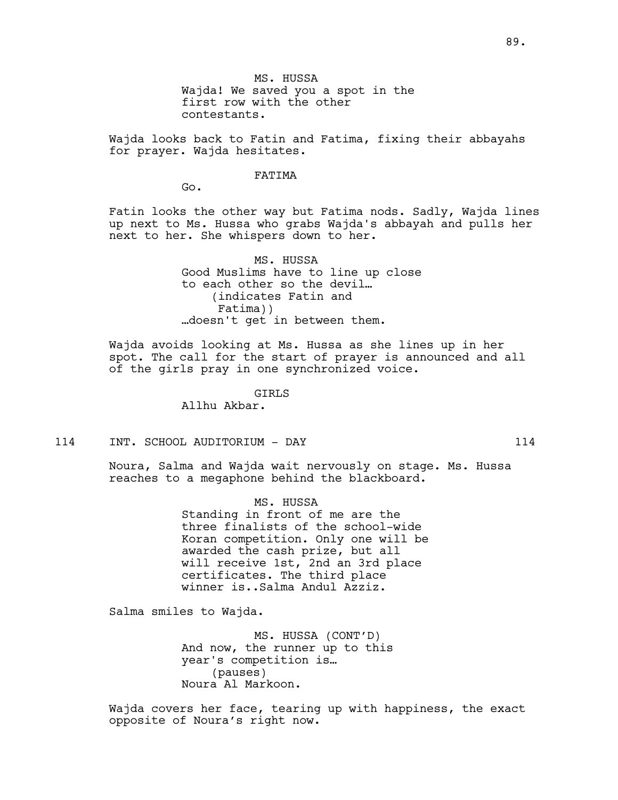Wajda looks back to Fatin and Fatima, fixing their abbayahs for prayer. Wajda hesitates.

#### FATIMA

Go.

Fatin looks the other way but Fatima nods. Sadly, Wajda lines up next to Ms. Hussa who grabs Wajda's abbayah and pulls her next to her. She whispers down to her.

> MS. HUSSA Good Muslims have to line up close to each other so the devil… (indicates Fatin and Fatima)) …doesn't get in between them.

Wajda avoids looking at Ms. Hussa as she lines up in her spot. The call for the start of prayer is announced and all of the girls pray in one synchronized voice.

GIRLS

Allhu Akbar.

114 INT. SCHOOL AUDITORIUM - DAY 114

Noura, Salma and Wajda wait nervously on stage. Ms. Hussa reaches to a megaphone behind the blackboard.

> MS. HUSSA Standing in front of me are the three finalists of the school-wide Koran competition. Only one will be awarded the cash prize, but all will receive 1st, 2nd an 3rd place certificates. The third place winner is..Salma Andul Azziz.

Salma smiles to Wajda.

MS. HUSSA (CONT'D) And now, the runner up to this year's competition is… (pauses) Noura Al Markoon.

Wajda covers her face, tearing up with happiness, the exact opposite of Noura's right now.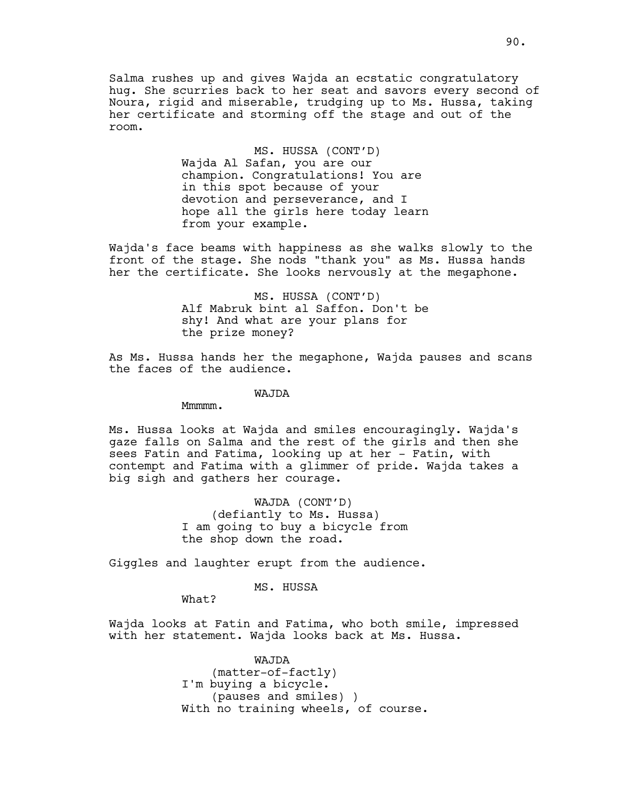Salma rushes up and gives Wajda an ecstatic congratulatory hug. She scurries back to her seat and savors every second of Noura, rigid and miserable, trudging up to Ms. Hussa, taking her certificate and storming off the stage and out of the room.

> MS. HUSSA (CONT'D) Wajda Al Safan, you are our champion. Congratulations! You are in this spot because of your devotion and perseverance, and I hope all the girls here today learn from your example.

Wajda's face beams with happiness as she walks slowly to the front of the stage. She nods "thank you" as Ms. Hussa hands her the certificate. She looks nervously at the megaphone.

> MS. HUSSA (CONT'D) Alf Mabruk bint al Saffon. Don't be shy! And what are your plans for the prize money?

As Ms. Hussa hands her the megaphone, Wajda pauses and scans the faces of the audience.

WAJDA

Mmmmm.

Ms. Hussa looks at Wajda and smiles encouragingly. Wajda's gaze falls on Salma and the rest of the girls and then she sees Fatin and Fatima, looking up at her - Fatin, with contempt and Fatima with a glimmer of pride. Wajda takes a big sigh and gathers her courage.

> WAJDA (CONT'D) (defiantly to Ms. Hussa) I am going to buy a bicycle from the shop down the road.

Giggles and laughter erupt from the audience.

MS. HUSSA

What?

Wajda looks at Fatin and Fatima, who both smile, impressed with her statement. Wajda looks back at Ms. Hussa.

> WAJDA (matter-of-factly) I'm buying a bicycle. (pauses and smiles) ) With no training wheels, of course.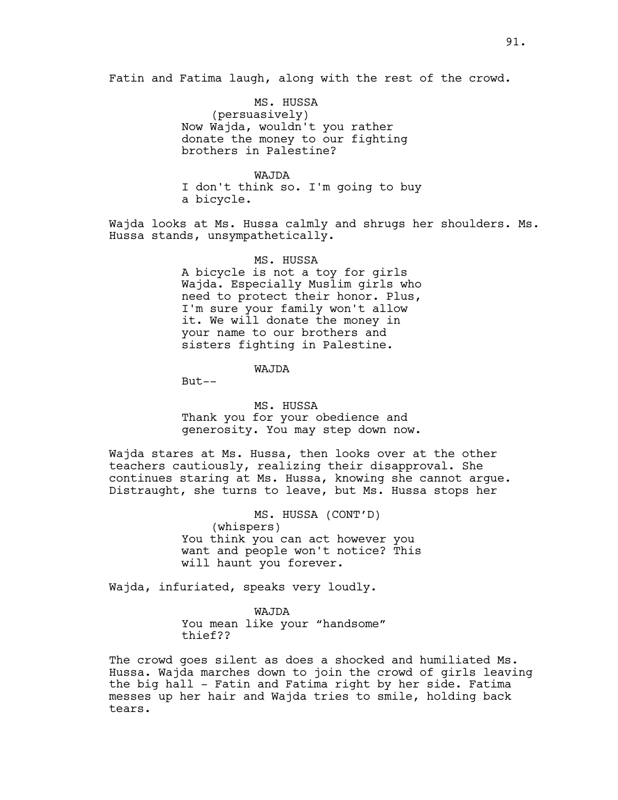Fatin and Fatima laugh, along with the rest of the crowd.

MS. HUSSA (persuasively) Now Wajda, wouldn't you rather donate the money to our fighting brothers in Palestine?

WAJDA

I don't think so. I'm going to buy a bicycle.

Wajda looks at Ms. Hussa calmly and shrugs her shoulders. Ms. Hussa stands, unsympathetically.

> MS. HUSSA A bicycle is not a toy for girls Wajda. Especially Muslim girls who need to protect their honor. Plus, I'm sure your family won't allow

it. We will donate the money in your name to our brothers and sisters fighting in Palestine.

WAJDA

 $But--$ 

MS. HUSSA Thank you for your obedience and generosity. You may step down now.

Wajda stares at Ms. Hussa, then looks over at the other teachers cautiously, realizing their disapproval. She continues staring at Ms. Hussa, knowing she cannot argue. Distraught, she turns to leave, but Ms. Hussa stops her

> MS. HUSSA (CONT'D) (whispers) You think you can act however you want and people won't notice? This will haunt you forever.

Wajda, infuriated, speaks very loudly.

WAJDA You mean like your "handsome" thief??

The crowd goes silent as does a shocked and humiliated Ms. Hussa. Wajda marches down to join the crowd of girls leaving the big hall - Fatin and Fatima right by her side. Fatima messes up her hair and Wajda tries to smile, holding back tears.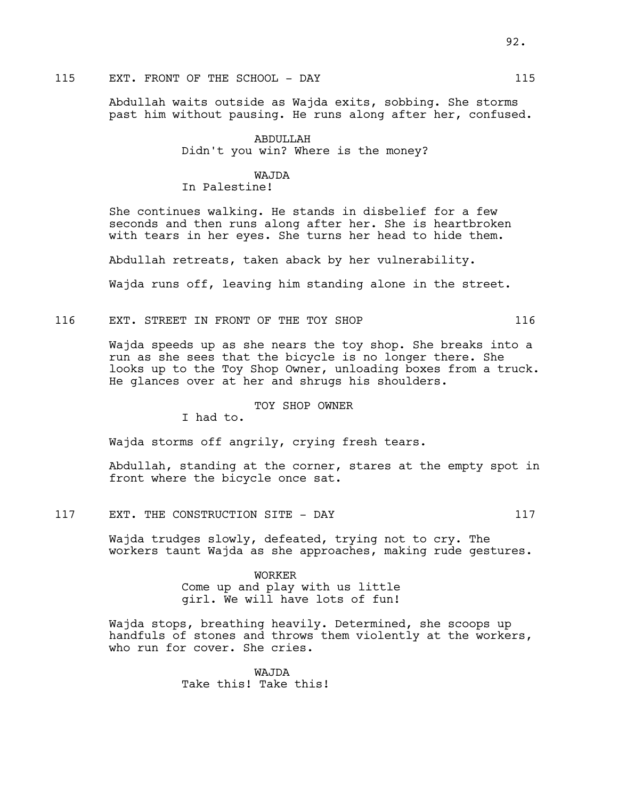# 115 EXT. FRONT OF THE SCHOOL - DAY 115

Abdullah waits outside as Wajda exits, sobbing. She storms past him without pausing. He runs along after her, confused.

> ABDULLAH Didn't you win? Where is the money?

## WAJDA In Palestine!

She continues walking. He stands in disbelief for a few seconds and then runs along after her. She is heartbroken with tears in her eyes. She turns her head to hide them.

Abdullah retreats, taken aback by her vulnerability.

Wajda runs off, leaving him standing alone in the street.

116 EXT. STREET IN FRONT OF THE TOY SHOP 116

Wajda speeds up as she nears the toy shop. She breaks into a run as she sees that the bicycle is no longer there. She looks up to the Toy Shop Owner, unloading boxes from a truck. He glances over at her and shrugs his shoulders.

## TOY SHOP OWNER

I had to.

Wajda storms off angrily, crying fresh tears.

Abdullah, standing at the corner, stares at the empty spot in front where the bicycle once sat.

117 EXT. THE CONSTRUCTION SITE - DAY 117

Wajda trudges slowly, defeated, trying not to cry. The workers taunt Wajda as she approaches, making rude gestures.

> WORKER Come up and play with us little girl. We will have lots of fun!

Wajda stops, breathing heavily. Determined, she scoops up handfuls of stones and throws them violently at the workers, who run for cover. She cries.

> WAJDA Take this! Take this!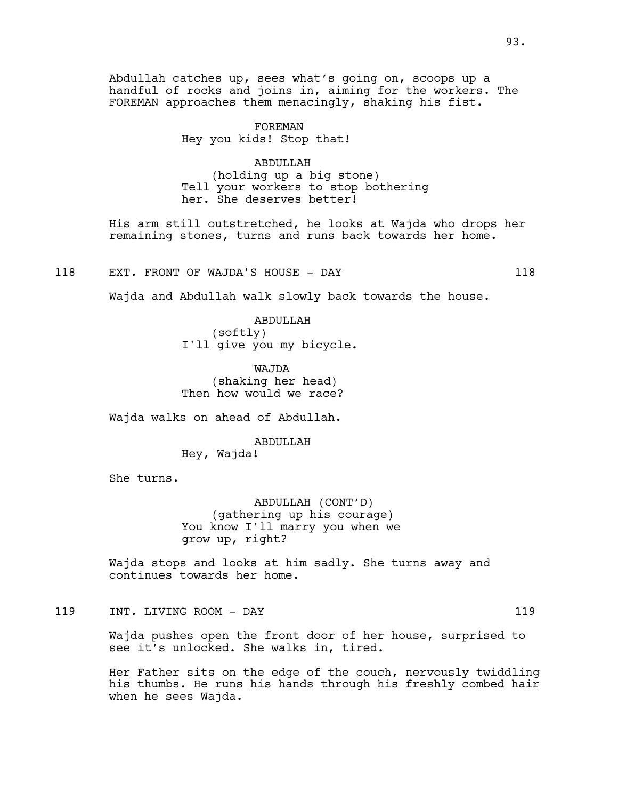Abdullah catches up, sees what's going on, scoops up a handful of rocks and joins in, aiming for the workers. The FOREMAN approaches them menacingly, shaking his fist.

> FOREMAN Hey you kids! Stop that!

ABDULLAH (holding up a big stone) Tell your workers to stop bothering her. She deserves better!

His arm still outstretched, he looks at Wajda who drops her remaining stones, turns and runs back towards her home.

118 EXT. FRONT OF WAJDA'S HOUSE - DAY 118

Wajda and Abdullah walk slowly back towards the house.

ABDULLAH (softly) I'll give you my bicycle.

WAJDA (shaking her head) Then how would we race?

Wajda walks on ahead of Abdullah.

ABDULLAH

Hey, Wajda!

She turns.

ABDULLAH (CONT'D) (gathering up his courage) You know I'll marry you when we grow up, right?

Wajda stops and looks at him sadly. She turns away and continues towards her home.

119 INT. LIVING ROOM - DAY 119

Wajda pushes open the front door of her house, surprised to see it's unlocked. She walks in, tired.

Her Father sits on the edge of the couch, nervously twiddling his thumbs. He runs his hands through his freshly combed hair when he sees Wajda.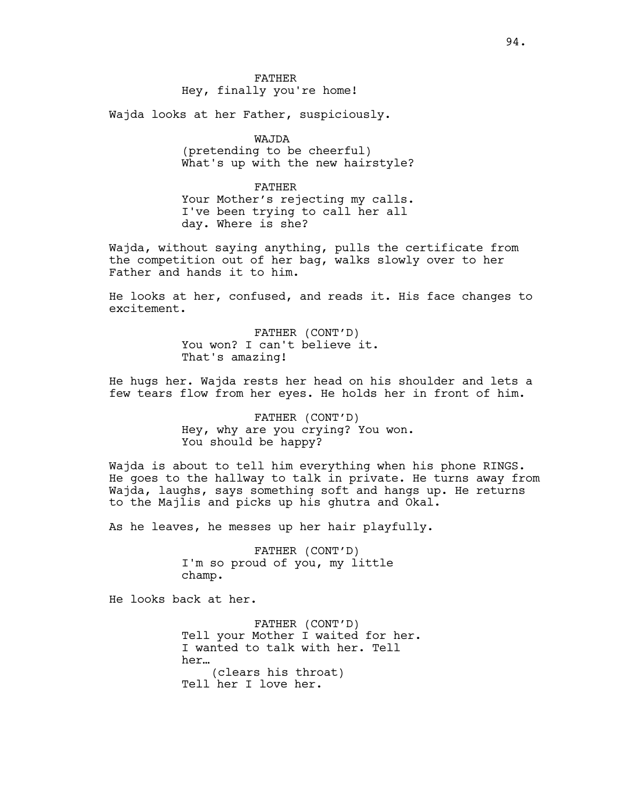Hey, finally you're home!

Wajda looks at her Father, suspiciously.

WAJDA

(pretending to be cheerful) What's up with the new hairstyle?

FATHER Your Mother's rejecting my calls. I've been trying to call her all day. Where is she?

Wajda, without saying anything, pulls the certificate from the competition out of her bag, walks slowly over to her Father and hands it to him.

He looks at her, confused, and reads it. His face changes to excitement.

> FATHER (CONT'D) You won? I can't believe it. That's amazing!

He hugs her. Wajda rests her head on his shoulder and lets a few tears flow from her eyes. He holds her in front of him.

> FATHER (CONT'D) Hey, why are you crying? You won. You should be happy?

Wajda is about to tell him everything when his phone RINGS. He goes to the hallway to talk in private. He turns away from Wajda, laughs, says something soft and hangs up. He returns to the Majlis and picks up his ghutra and Okal.

As he leaves, he messes up her hair playfully.

FATHER (CONT'D) I'm so proud of you, my little champ.

He looks back at her.

FATHER (CONT'D) Tell your Mother I waited for her. I wanted to talk with her. Tell her… (clears his throat) Tell her I love her.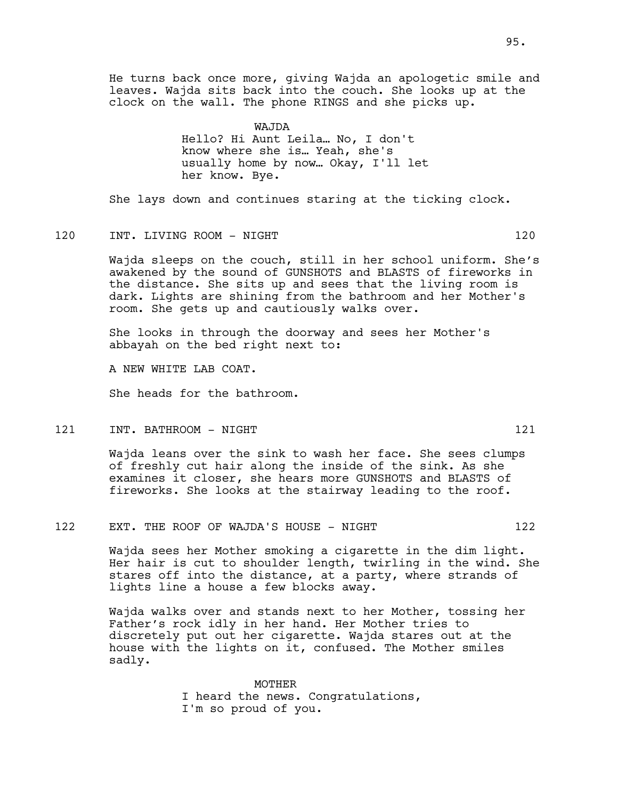He turns back once more, giving Wajda an apologetic smile and leaves. Wajda sits back into the couch. She looks up at the clock on the wall. The phone RINGS and she picks up.

> WAJDA Hello? Hi Aunt Leila… No, I don't know where she is… Yeah, she's usually home by now… Okay, I'll let her know. Bye.

She lays down and continues staring at the ticking clock.

## 120 INT. LIVING ROOM - NIGHT 120

Wajda sleeps on the couch, still in her school uniform. She's awakened by the sound of GUNSHOTS and BLASTS of fireworks in the distance. She sits up and sees that the living room is dark. Lights are shining from the bathroom and her Mother's room. She gets up and cautiously walks over.

She looks in through the doorway and sees her Mother's abbayah on the bed right next to:

A NEW WHITE LAB COAT.

She heads for the bathroom.

121 INT. BATHROOM – NIGHT 121 121 121 122 122 123 124 125 126 127 127 127 127 127 127 127 128 129 12

Wajda leans over the sink to wash her face. She sees clumps of freshly cut hair along the inside of the sink. As she examines it closer, she hears more GUNSHOTS and BLASTS of fireworks. She looks at the stairway leading to the roof.

## 122 EXT. THE ROOF OF WAJDA'S HOUSE - NIGHT

Wajda sees her Mother smoking a cigarette in the dim light. Her hair is cut to shoulder length, twirling in the wind. She stares off into the distance, at a party, where strands of lights line a house a few blocks away.

Wajda walks over and stands next to her Mother, tossing her Father's rock idly in her hand. Her Mother tries to discretely put out her cigarette. Wajda stares out at the house with the lights on it, confused. The Mother smiles sadly.

> MOTHER I heard the news. Congratulations, I'm so proud of you.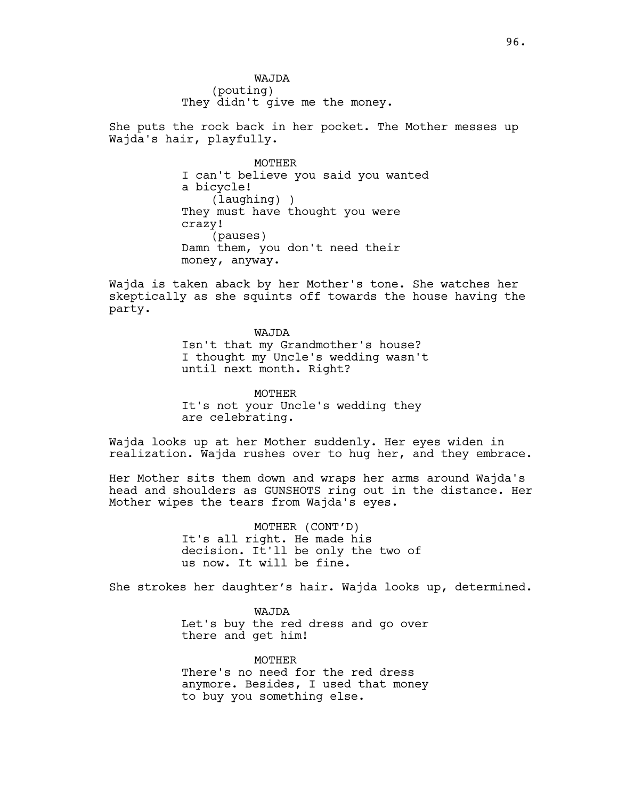WAJDA (pouting) They didn't give me the money.

She puts the rock back in her pocket. The Mother messes up Wajda's hair, playfully.

> MOTHER I can't believe you said you wanted a bicycle! (laughing) ) They must have thought you were crazy! (pauses) Damn them, you don't need their money, anyway.

Wajda is taken aback by her Mother's tone. She watches her skeptically as she squints off towards the house having the party.

> WAJDA Isn't that my Grandmother's house? I thought my Uncle's wedding wasn't until next month. Right?

MOTHER It's not your Uncle's wedding they are celebrating.

Wajda looks up at her Mother suddenly. Her eyes widen in realization. Wajda rushes over to hug her, and they embrace.

Her Mother sits them down and wraps her arms around Wajda's head and shoulders as GUNSHOTS ring out in the distance. Her Mother wipes the tears from Wajda's eyes.

> MOTHER (CONT'D) It's all right. He made his decision. It'll be only the two of us now. It will be fine.

She strokes her daughter's hair. Wajda looks up, determined.

WAJDA Let's buy the red dress and go over there and get him!

MOTHER There's no need for the red dress anymore. Besides, I used that money to buy you something else.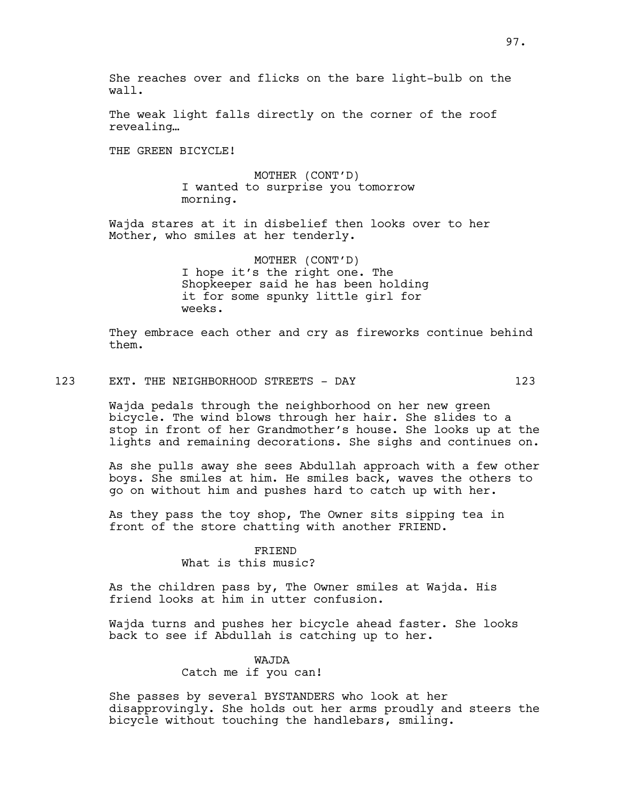She reaches over and flicks on the bare light-bulb on the wall.

The weak light falls directly on the corner of the roof revealing…

THE GREEN BICYCLE!

MOTHER (CONT'D) I wanted to surprise you tomorrow morning.

Wajda stares at it in disbelief then looks over to her Mother, who smiles at her tenderly.

> MOTHER (CONT'D) I hope it's the right one. The Shopkeeper said he has been holding it for some spunky little girl for weeks.

They embrace each other and cry as fireworks continue behind them.

123 EXT. THE NEIGHBORHOOD STREETS - DAY 123

Wajda pedals through the neighborhood on her new green bicycle. The wind blows through her hair. She slides to a stop in front of her Grandmother's house. She looks up at the lights and remaining decorations. She sighs and continues on.

As she pulls away she sees Abdullah approach with a few other boys. She smiles at him. He smiles back, waves the others to go on without him and pushes hard to catch up with her.

As they pass the toy shop, The Owner sits sipping tea in front of the store chatting with another FRIEND.

#### FRIEND

What is this music?

As the children pass by, The Owner smiles at Wajda. His friend looks at him in utter confusion.

Wajda turns and pushes her bicycle ahead faster. She looks back to see if Abdullah is catching up to her.

## WAJDA

Catch me if you can!

She passes by several BYSTANDERS who look at her disapprovingly. She holds out her arms proudly and steers the bicycle without touching the handlebars, smiling.